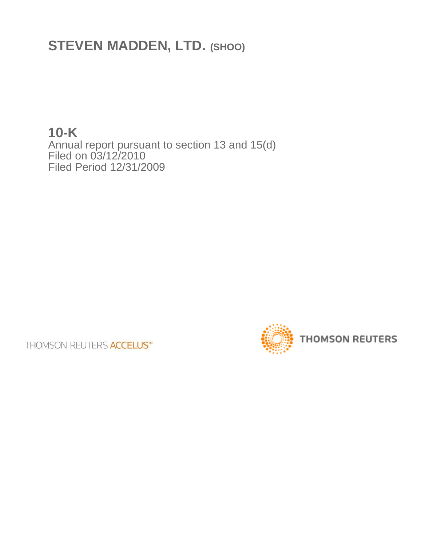# **STEVEN MADDEN, LTD. (SHOO)**

**10-K** Annual report pursuant to section 13 and 15(d) Filed on 03/12/2010 Filed Period 12/31/2009

**THOMSON REUTERS ACCELUS™** 

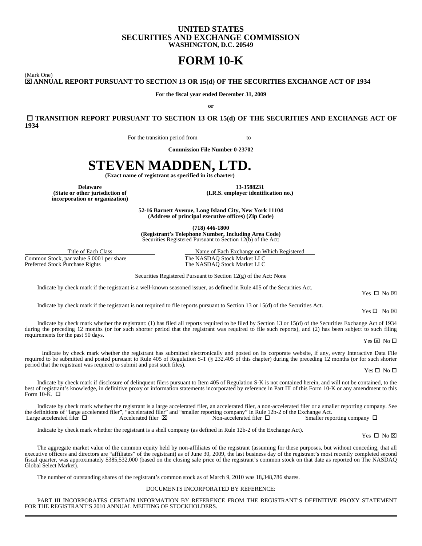## **UNITED STATES SECURITIES AND EXCHANGE COMMISSION WASHINGTON, D.C. 20549**

## **FORM 10-K**

(Mark One)

x **ANNUAL REPORT PURSUANT TO SECTION 13 OR 15(d) OF THE SECURITIES EXCHANGE ACT OF 1934**

**For the fiscal year ended December 31, 2009**

**or**

o **TRANSITION REPORT PURSUANT TO SECTION 13 OR 15(d) OF THE SECURITIES AND EXCHANGE ACT OF 1934**

For the transition period from to

**Commission File Number 0-23702**

## **STEVEN MADDEN, LTD.**

**(Exact name of registrant as specified in its charter)**

**Delaware 13-3588231 (State or other jurisdiction of incorporation or organization)**

**(I.R.S. employer identification no.)**

**52-16 Barnett Avenue, Long Island City, New York 11104 (Address of principal executive offices) (Zip Code)**

**(718) 446-1800**

**(Registrant's Telephone Number, Including Area Code)** Securities Registered Pursuant to Section 12(b) of the Act:

Common Stock, par value \$.0001 per share The NASDAQ Stock Market LLC<br>Preferred Stock Purchase Rights The NASDAQ Stock Market LLC

Title of Each Class Name of Each Exchange on Which Registered The NASDAQ Stock Market LLC

Securities Registered Pursuant to Section 12(g) of the Act: None

Indicate by check mark if the registrant is a well-known seasoned issuer, as defined in Rule 405 of the Securities Act.

Indicate by check mark if the registrant is not required to file reports pursuant to Section 13 or 15(d) of the Securities Act.

Indicate by check mark whether the registrant: (1) has filed all reports required to be filed by Section 13 or 15(d) of the Securities Exchange Act of 1934 during the preceding 12 months (or for such shorter period that the registrant was required to file such reports), and (2) has been subject to such filing requirements for the past 90 days.

 $Yes \boxtimes No \Box$ 

 Indicate by check mark whether the registrant has submitted electronically and posted on its corporate website, if any, every Interactive Data File required to be submitted and posted pursuant to Rule 405 of Regulation S-T (§ 232.405 of this chapter) during the preceding 12 months (or for such shorter period that the registrant was required to submit and post such files).

 $Yes \Box No \Box$ 

Indicate by check mark if disclosure of delinquent filers pursuant to Item 405 of Regulation S-K is not contained herein, and will not be contained, to the best of registrant's knowledge, in definitive proxy or information statements incorporated by reference in Part III of this Form 10-K or any amendment to this Form 10- $\overline{K}$ .  $\Box$ 

Indicate by check mark whether the registrant is a large accelerated filer, an accelerated filer, a non-accelerated filer or a smaller reporting company. See the definitions of "large accelerated filer", "accelerated filer" and "smaller reporting company" in Rule 12b-2 of the Exchange Act.<br>
Large accelerated filer  $\Box$  Accelerated filer  $\boxtimes$  Non-accelerated filer  $\Box$  Smaller Smaller reporting company  $\Box$ 

Indicate by check mark whether the registrant is a shell company (as defined in Rule 12b-2 of the Exchange Act).

Yes □ No ⊠

The aggregate market value of the common equity held by non-affiliates of the registrant (assuming for these purposes, but without conceding, that all executive officers and directors are "affiliates" of the registrant) as of June 30, 2009, the last business day of the registrant's most recently completed second fiscal quarter, was approximately \$385,532,000 (based on the closing sale price of the registrant's common stock on that date as reported on The NASDAQ Global Select Market).

The number of outstanding shares of the registrant's common stock as of March 9, 2010 was 18,348,786 shares.

#### DOCUMENTS INCORPORATED BY REFERENCE:

PART III INCORPORATES CERTAIN INFORMATION BY REFERENCE FROM THE REGISTRANT'S DEFINITIVE PROXY STATEMENT FOR THE REGISTRANT'S 2010 ANNUAL MEETING OF STOCKHOLDERS.

 $Yes \n  $\Box$  No  $\boxtimes$$ 

Yes  $\square$  No  $\square$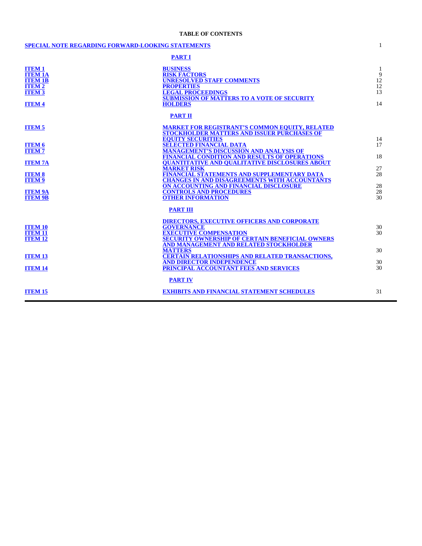## **TABLE OF CONTENTS**

## **SPECIAL NOTE REGARDING FORWARD-LOOKING STATEMENTS** 1

|                                                                                   | <b>PART I</b>                                                                                                                                                                     |                          |
|-----------------------------------------------------------------------------------|-----------------------------------------------------------------------------------------------------------------------------------------------------------------------------------|--------------------------|
| <b>ITEM1</b><br><b>ITEM 1A</b><br><b>ITEM 1B</b><br><b>ITEM 2</b><br><b>ITEM3</b> | <b>BUSINESS</b><br><b>RISK FACTORS</b><br><b>UNRESOLVED STAFF COMMENTS</b><br><b>PROPERTIES</b><br><b>LEGAL PROCEEDINGS</b><br><b>SUBMISSION OF MATTERS TO A VOTE OF SECURITY</b> | 1<br>9<br>12<br>12<br>13 |
| <b>ITEM4</b>                                                                      | <b>HOLDERS</b>                                                                                                                                                                    | 14                       |
|                                                                                   | <b>PART II</b>                                                                                                                                                                    |                          |
| <b>ITEM 5</b>                                                                     | <b>MARKET FOR REGISTRANT'S COMMON EQUITY, RELATED</b><br><b>STOCKHOLDER MATTERS AND ISSUER PURCHASES OF</b>                                                                       |                          |
|                                                                                   | <b>EQUITY SECURITIES</b>                                                                                                                                                          | 14<br>17                 |
| <b>ITEM 6</b><br><b>TTEM7</b>                                                     | <b>SELECTED FINANCIAL DATA</b><br><b>MANAGEMENT'S DISCUSSION AND ANALYSIS OF</b>                                                                                                  |                          |
|                                                                                   | <b>FINANCIAL CONDITION AND RESULTS OF OPERATIONS</b>                                                                                                                              | 18                       |
| <b>ITEM7A</b>                                                                     | <b>OUANTITATIVE AND OUALITATIVE DISCLOSURES ABOUT</b>                                                                                                                             |                          |
| <b>ITEM 8</b>                                                                     | <b>MARKET RISK</b><br>FINANCIAL STATEMENTS AND SUPPLEMENTARY DATA                                                                                                                 | 27<br>28                 |
| <b>ITEM 9</b>                                                                     | <b>CHANGES IN AND DISAGREEMENTS WITH ACCOUNTANTS</b>                                                                                                                              |                          |
|                                                                                   | ON ACCOUNTING AND FINANCIAL DISCLOSURE                                                                                                                                            | 28                       |
| <b>ITEM 9A</b><br><b>ITEM 9B</b>                                                  | <b>CONTROLS AND PROCEDURES</b><br><b>OTHER INFORMATION</b>                                                                                                                        | 28<br>30                 |
|                                                                                   |                                                                                                                                                                                   |                          |
|                                                                                   | <b>PART III</b>                                                                                                                                                                   |                          |
|                                                                                   | <b>DIRECTORS, EXECUTIVE OFFICERS AND CORPORATE</b>                                                                                                                                |                          |
| <b>ITEM 10</b>                                                                    | <b>GOVERNANCE</b><br><b>EXECUTIVE COMPENSATION</b>                                                                                                                                | 30<br>30                 |
| <b>ITEM 11</b><br><b>ITEM 12</b>                                                  | <b>SECURITY OWNERSHIP OF CERTAIN BENEFICIAL OWNERS</b>                                                                                                                            |                          |
|                                                                                   | <b>AND MANAGEMENT AND RELATED STOCKHOLDER</b>                                                                                                                                     |                          |
|                                                                                   | <b>MATTERS</b>                                                                                                                                                                    | 30                       |
| <b>ITEM 13</b>                                                                    | <b>CERTAIN RELATIONSHIPS AND RELATED TRANSACTIONS,</b><br><b>AND DIRECTOR INDEPENDENCE</b>                                                                                        | 30                       |
| <b>ITEM 14</b>                                                                    | PRINCIPAL ACCOUNTANT FEES AND SERVICES                                                                                                                                            | 30                       |
|                                                                                   | <b>PART IV</b>                                                                                                                                                                    |                          |
| <b>ITEM 15</b>                                                                    | <b>EXHIBITS AND FINANCIAL STATEMENT SCHEDULES</b>                                                                                                                                 | 31                       |
|                                                                                   |                                                                                                                                                                                   |                          |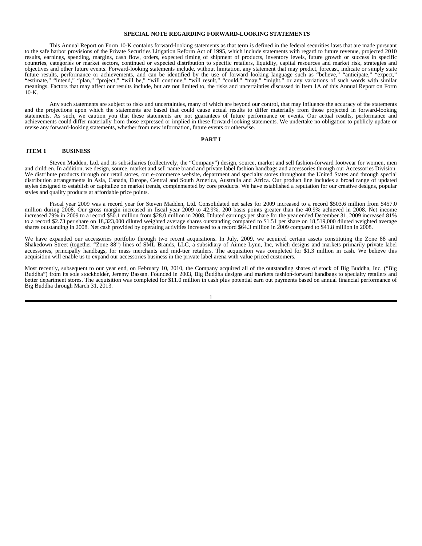## **SPECIAL NOTE REGARDING FORWARD-LOOKING STATEMENTS**

<span id="page-3-0"></span>This Annual Report on Form 10-K contains forward-looking statements as that term is defined in the federal securities laws that are made pursuant to the safe harbor provisions of the Private Securities Litigation Reform Act of 1995, which include statements with regard to future revenue, projected 2010 results, earnings, spending, margins, cash flow, orders, expected timing of shipment of products, inventory levels, future growth or success in specific countries, categories or market sectors, continued or expected distribution to specific retailers, liquidity, capital resources and market risk, strategies and objectives and other future events. Forward-looking statements include, without limitation, any statement that may predict, forecast, indicate or simply state future results, performance or achievements, and can be identified by the use of forward looking language such as "believe," "anticipate," "expect," "estimate," "intend," "plan," "project," "will be," "will continue," "will result," "could," "may," "might," or any variations of such words with similar meanings. Factors that may affect our results include, but are not limited to, the risks and uncertainties discussed in Item 1A of this Annual Report on Form  $10-K$ .

Any such statements are subject to risks and uncertainties, many of which are beyond our control, that may influence the accuracy of the statements and the projections upon which the statements are based that could cause actual results to differ materially from those projected in forward-looking statements. As such, we caution you that these statements are not guarantees of future performance or events. Our actual results, performance and achievements could differ materially from those expressed or implied in these forward-looking statements. We undertake no obligation to publicly update or revise any forward-looking statements, whether from new information, future events or otherwise.

#### **PART I**

#### **ITEM 1 BUSINESS**

Steven Madden, Ltd. and its subsidiaries (collectively, the "Company") design, source, market and sell fashion-forward footwear for women, men and children. In addition, we design, source, market and sell name brand and private label fashion handbags and accessories through our Accessories Division. We distribute products through our retail stores, our e-commerce website, department and specialty stores throughout the United States and through special distribution arrangements in Asia, Canada, Europe, Central and South America, Australia and Africa. Our product line includes a broad range of updated styles designed to establish or capitalize on market trends, complemented by core products. We have established a reputation for our creative designs, popular styles and quality products at affordable price points.

Fiscal year 2009 was a record year for Steven Madden, Ltd. Consolidated net sales for 2009 increased to a record \$503.6 million from \$457.0 million during 2008. Our gross margin increased in fiscal year 2009 to 42.9%, 200 basis points greater than the 40.9% achieved in 2008. Net income increased 79% in 2009 to a record \$50.1 million from \$28.0 million in 2008. Diluted earnings per share for the year ended December 31, 2009 increased 81% to a record \$2.73 per share on 18,323,000 diluted weighted average shares outstanding compared to \$1.51 per share on 18,519,000 diluted weighted average shares outstanding in 2008. Net cash provided by operating activities increased to a record \$64.3 million in 2009 compared to \$41.8 million in 2008.

We have expanded our accessories portfolio through two recent acquisitions. In July, 2009, we acquired certain assets constituting the Zone 88 and Shakedown Street (together "Zone 88") lines of SML Brands, LLC, a subsidiary of Aimee Lynn, Inc, which designs and markets primarily private label accessories, principally handbags, for mass merchants and mid-tier retailers. The acquisition was completed for \$1.3 million in cash. We believe this acquisition will enable us to expand our accessories business in the private label arena with value priced customers.

Most recently, subsequent to our year end, on February 10, 2010, the Company acquired all of the outstanding shares of stock of Big Buddha, Inc. ("Big Buddha") from its sole stockholder, Jeremy Bassan. Founded in 2003, Big Buddha designs and markets fashion-forward handbags to specialty retailers and better department stores. The acquisition was completed for \$11.0 million in cash plus potential earn out payments based on annual financial performance of Big Buddha through March 31, 2013.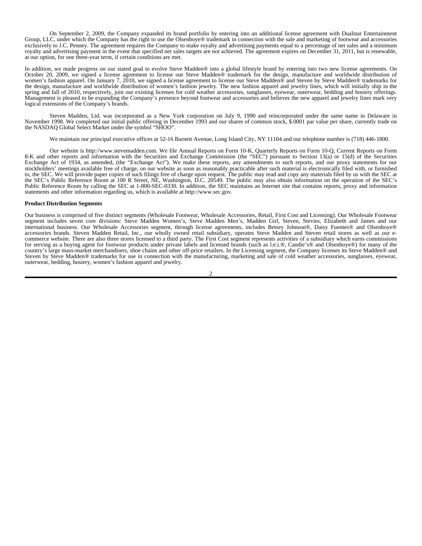On September 2, 2009, the Company expanded its brand portfolio by entering into an additional license agreement with Dualstar Entertainment Group, LLC, under which the Company has the right to use the Olsenboye® trademark in connection with the sale and marketing of footwear and accessories exclusively to J.C. Penney. The agreement requires the Company to make royalty and advertising payments equal to a percentage of net sales and a minimum royalty and advertising payment in the event that specified net sales targets are not achieved. The agreement expires on December 31, 2011, but is renewable, at our option, for one three-year term, if certain conditions are met.

In addition, we made progress on our stated goal to evolve Steve Madden® into a global lifestyle brand by entering into two new license agreements. On October 20, 2009, we signed a license agreement to license our Steve Madden® trademark for the design, manufacture and worldwide distribution of women's fashion apparel. On January 7, 2010, we signed a license agreement to license our Steve Madden® and Steven by Steve Madden® trademarks for the design, manufacture and worldwide distribution of women's fashion jewelry. The new fashion apparel and jewelry lines, which will initially ship in the spring and fall of 2010, respectively, join our existing licenses for cold weather accessories, sunglasses, eyewear, outerwear, bedding and hosiery offerings. Management is pleased to be expanding the Company's presence beyond footwear and accessories and believes the new apparel and jewelry lines mark very logical extensions of the Company's brands.

Steven Madden, Ltd. was incorporated as a New York corporation on July 9, 1990 and reincorporated under the same name in Delaware in November 1998. We completed our initial public offering in December 1993 and our shares of common stock, \$.0001 par value per share, currently trade on the NASDAQ Global Select Market under the symbol "SHOO".

We maintain our principal executive offices at 52-16 Barnett Avenue, Long Island City, NY 11104 and our telephone number is (718) 446-1800.

Our website is http://www.stevemadden.com. We file Annual Reports on Form 10-K, Quarterly Reports on Form 10-Q, Current Reports on Form 8-K and other reports and information with the Securities and Exchange Commission (the "SEC") pursuant to Section 13(a) or 15(d) of the Securities Exchange Act of 1934, as amended, (the "Exchange Act"). We make these reports, any amendments to such reports, and our proxy statements for our stockholders' meetings available free of charge, on our website as soon as reasonably practicable after such material is electronically filed with, or furnished to, the SEC. We will provide paper copies of such filings free of charge upon request. The public may read and copy any materials filed by us with the SEC at the SEC's Public Reference Room at 100 R Street, NE, Washington, D.C. 20549. The public may also obtain information on the operation of the SEC's Public Reference Room by calling the SEC at 1-800-SEC-0330. In addition, the SEC maintains an Internet site that contains reports, proxy and information statements and other information regarding us, which is available at http://www.sec.gov.

#### **Product Distribution Segments**

Our business is comprised of five distinct segments (Wholesale Footwear, Wholesale Accessories, Retail, First Cost and Licensing). Our Wholesale Footwear segment includes seven core divisions: Steve Madden Women's, Steve Madden Men's, Madden Girl, Steven, Stevies, Elizabeth and James and our international business. Our Wholesale Accessories segment, through license agreements, includes Betsey Johnson®, Daisy Fuentes® and Olsenboye® accessories brands. Steven Madden Retail, Inc., our wholly owned retail subsidiary, operates Steve Madden and Steven retail stores as well as our ecommerce website. There are also three stores licensed to a third party. The First Cost segment represents activities of a subsidiary which earns commissions for serving as a buying agent for footwear products under private labels and licensed brands (such as l.e.i.®, Candie's® and Olsenboye®) for many of the country's large mass-market merchandisers, shoe chains and other off-price retailers. In the Licensing segment, the Company licenses its Steve Madden® and Steven by Steve Madden® trademarks for use in connection with the manufacturing, marketing and sale of cold weather accessories, sunglasses, eyewear, outerwear, bedding, hosiery, women's fashion apparel and jewelry.

 $\mathcal{P}$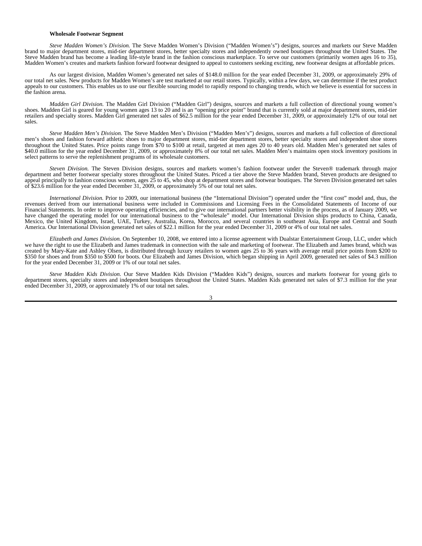#### **Wholesale Footwear Segment**

*Steve Madden Women's Division.* The Steve Madden Women's Division ("Madden Women's") designs, sources and markets our Steve Madden brand to major department stores, mid-tier department stores, better specialty stores and independently owned boutiques throughout the United States. The Steve Madden brand has become a leading life-style brand in the fashion conscious marketplace. To serve our customers (primarily women ages 16 to 35), Madden Women's creates and markets fashion forward footwear designed to appeal to customers seeking exciting, new footwear designs at affordable prices.

As our largest division, Madden Women's generated net sales of \$148.0 million for the year ended December 31, 2009, or approximately 29% of our total net sales. New products for Madden Women's are test marketed at our retail stores. Typically, within a few days, we can determine if the test product appeals to our customers. This enables us to use our flexible sourcing model to rapidly respond to changing trends, which we believe is essential for success in the fashion arena.

*Madden Girl Division.* The Madden Girl Division ("Madden Girl") designs, sources and markets a full collection of directional young women's shoes. Madden Girl is geared for young women ages 13 to 20 and is an "opening price point" brand that is currently sold at major department stores, mid-tier retailers and specialty stores. Madden Girl generated net sales of \$62.5 million for the year ended December 31, 2009, or approximately 12% of our total net sales.

*Steve Madden Men's Division.* The Steve Madden Men's Division ("Madden Men's") designs, sources and markets a full collection of directional men's shoes and fashion forward athletic shoes to major department stores, mid-tier department stores, better specialty stores and independent shoe stores throughout the United States. Price points range from \$70 to \$100 at retail, targeted at men ages 20 to 40 years old. Madden Men's generated net sales of \$40.0 million for the year ended December 31, 2009, or approximately 8% of our total net sales. Madden Men's maintains open stock inventory positions in select patterns to serve the replenishment programs of its wholesale customers.

*Steven Division.* The Steven Division designs, sources and markets women's fashion footwear under the Steven® trademark through major department and better footwear specialty stores throughout the United States. Priced a tier above the Steve Madden brand, Steven products are designed to appeal principally to fashion conscious women, ages 25 to 45, who shop at department stores and footwear boutiques. The Steven Division generated net sales of \$23.6 million for the year ended December 31, 2009, or approximately 5% of our total net sales.

*International Division.* Prior to 2009, our international business (the "International Division") operated under the "first cost" model and, thus, the revenues derived from our international business were included in Commissions and Licensing Fees in the Consolidated Statements of Income of our Financial Statements. In order to improve operating efficiencies, and to give our international partners better visibility in the process, as of January 2009, we have changed the operating model for our international business to the "wholesale" model. Our International Division ships products to China, Canada, Mexico, the United Kingdom, Israel, UAE, Turkey, Australia, Korea, Morocco, and several countries in southeast Asia, Europe and Central and South America. Our International Division generated net sales of \$22.1 million for the year ended December 31, 2009 or 4% of our total net sales.

*Elizabeth and James Division.* On September 10, 2008, we entered into a license agreement with Dualstar Entertainment Group, LLC, under which we have the right to use the Elizabeth and James trademark in connection with the sale and marketing of footwear. The Elizabeth and James brand, which was created by Mary-Kate and Ashley Olsen, is distributed through luxury retailers to women ages 25 to 36 years with average retail price points from \$200 to \$350 for shoes and from \$350 to \$500 for boots. Our Elizabeth and James Division, which began shipping in April 2009, generated net sales of \$4.3 million for the year ended December 31, 2009 or 1% of our total net sales.

*Steve Madden Kids Division.* Our Steve Madden Kids Division ("Madden Kids") designs, sources and markets footwear for young girls to department stores, specialty stores and independent boutiques throughout the United States. Madden Kids generated net sales of \$7.3 million for the year ended December 31, 2009, or approximately 1% of our total net sales.

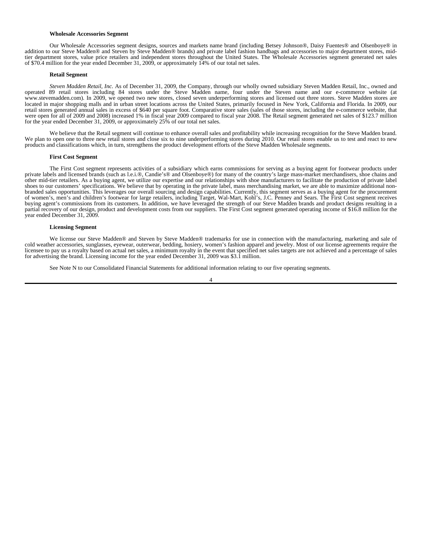#### **Wholesale Accessories Segment**

Our Wholesale Accessories segment designs, sources and markets name brand (including Betsey Johnson®, Daisy Fuentes® and Olsenboye® in addition to our Steve Madden® and Steven by Steve Madden® brands) and private label fashion handbags and accessories to major department stores, midtier department stores, value price retailers and independent stores throughout the United States. The Wholesale Accessories segment generated net sales of \$70.4 million for the year ended December 31, 2009, or approximately 14% of our total net sales.

#### **Retail Segment**

*Steven Madden Retail, Inc.* As of December 31, 2009, the Company, through our wholly owned subsidiary Steven Madden Retail, Inc., owned and operated 89 retail stores including 84 stores under the Steve Madden name, four under the Steven name and our e-commerce website (at www.stevemadden.com). In 2009, we opened two new stores, closed seven underperforming stores and licensed out three stores. Steve Madden stores are located in major shopping malls and in urban street locations across the United States, primarily focused in New York, California and Florida. In 2009, our retail stores generated annual sales in excess of \$640 per square foot. Comparative store sales (sales of those stores, including the e-commerce website, that were open for all of 2009 and 2008) increased 1% in fiscal year 2009 compared to fiscal year 2008. The Retail segment generated net sales of \$123.7 million for the year ended December 31, 2009, or approximately 25% of our total net sales.

We believe that the Retail segment will continue to enhance overall sales and profitability while increasing recognition for the Steve Madden brand. We plan to open one to three new retail stores and close six to nine underperforming stores during 2010. Our retail stores enable us to test and react to new products and classifications which, in turn, strengthens the product development efforts of the Steve Madden Wholesale segments.

#### **First Cost Segment**

The First Cost segment represents activities of a subsidiary which earns commissions for serving as a buying agent for footwear products under private labels and licensed brands (such as l.e.i.®, Candie's® and Olsenboye®) for many of the country's large mass-market merchandisers, shoe chains and other mid-tier retailers. As a buying agent, we utilize our expertise and our relationships with shoe manufacturers to facilitate the production of private label shoes to our customers' specifications. We believe that by operating in the private label, mass merchandising market, we are able to maximize additional nonbranded sales opportunities. This leverages our overall sourcing and design capabilities. Currently, this segment serves as a buying agent for the procurement of women's, men's and children's footwear for large retailers, including Target, Wal-Mart, Kohl's, J.C. Penney and Sears. The First Cost segment receives buying agent's commissions from its customers. In addition, we have leveraged the strength of our Steve Madden brands and product designs resulting in a partial recovery of our design, product and development costs from our suppliers. The First Cost segment generated operating income of \$16.8 million for the year ended December 31, 2009.

#### **Licensing Segment**

We license our Steve Madden® and Steven by Steve Madden® trademarks for use in connection with the manufacturing, marketing and sale of cold weather accessories, sunglasses, eyewear, outerwear, bedding, hosiery, women's fashion apparel and jewelry. Most of our license agreements require the licensee to pay us a royalty based on actual net sales, a minimum royalty in the event that specified net sales targets are not achieved and a percentage of sales for advertising the brand. Licensing income for the year ended December 31, 2009 was \$3.1 million.

See Note N to our Consolidated Financial Statements for additional information relating to our five operating segments.

 $\Delta$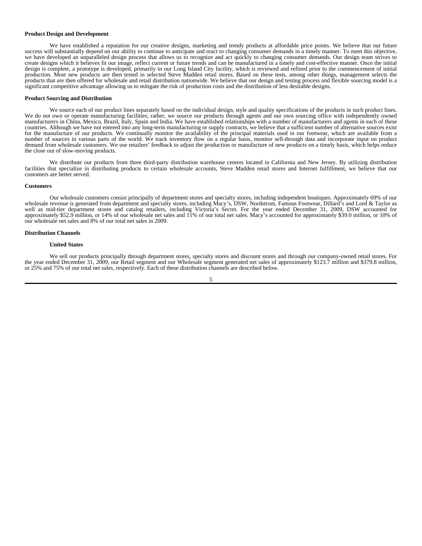#### **Product Design and Development**

We have established a reputation for our creative designs, marketing and trendy products at affordable price points. We believe that our future success will substantially depend on our ability to continue to anticipate and react to changing consumer demands in a timely manner. To meet this objective, we have developed an unparalleled design process that allows us to recognize and act quickly to changing consumer demands. Our design team strives to create designs which it believes fit our image, reflect current or future trends and can be manufactured in a timely and cost-effective manner. Once the initial design is complete, a prototype is developed, primarily in our Long Island City facility, which is reviewed and refined prior to the commencement of initial production. Most new products are then tested in selected Steve Madden retail stores. Based on these tests, among other things, management selects the products that are then offered for wholesale and retail distribution nationwide. We believe that our design and testing process and flexible sourcing model is a significant competitive advantage allowing us to mitigate the risk of production costs and the distribution of less desirable designs.

#### **Product Sourcing and Distribution**

We source each of our product lines separately based on the individual design, style and quality specifications of the products in such product lines. We do not own or operate manufacturing facilities; rather, we source our products through agents and our own sourcing office with independently owned manufacturers in China, Mexico, Brazil, Italy, Spain and India. We have established relationships with a number of manufacturers and agents in each of these countries. Although we have not entered into any long-term manufacturing or supply contracts, we believe that a sufficient number of alternative sources exist for the manufacture of our products. We continually monitor the availability of the principal materials used in our footwear, which are available from a number of sources in various parts of the world. We track inventory flow on a regular basis, monitor sell-through data and incorporate input on product demand from wholesale customers. We use retailers' feedback to adjust the production or manufacture of new products on a timely basis, which helps reduce the close out of slow-moving products.

We distribute our products from three third-party distribution warehouse centers located in California and New Jersey. By utilizing distribution facilities that specialize in distributing products to certain wholesale accounts, Steve Madden retail stores and Internet fulfillment, we believe that our customers are better served.

#### **Customers**

Our wholesale customers consist principally of department stores and specialty stores, including independent boutiques. Approximately 69% of our wholesale revenue is generated from department and specialty stores, including Macy's, DSW, Nordstrom, Famous Footwear, Dillard's and Lord & Taylor as well as mid-tier department stores and catalog retailers, including Victoria's Secret. For the year ended December 31, 2009, DSW accounted for approximately \$52.9 million, or 14% of our wholesale net sales and 11% of our total net sales. Macy's accounted for approximately \$39.0 million, or 10% of our wholesale net sales and 8% of our total net sales in 2009.

#### **Distribution Channels**

#### **United States**

We sell our products principally through department stores, specialty stores and discount stores and through our company-owned retail stores. For the year ended December 31, 2009, our Retail segment and our Wholesale segment generated net sales of approximately \$123.7 million and \$379.8 million, or 25% and 75% of our total net sales, respectively. Each of these distribution channels are described below.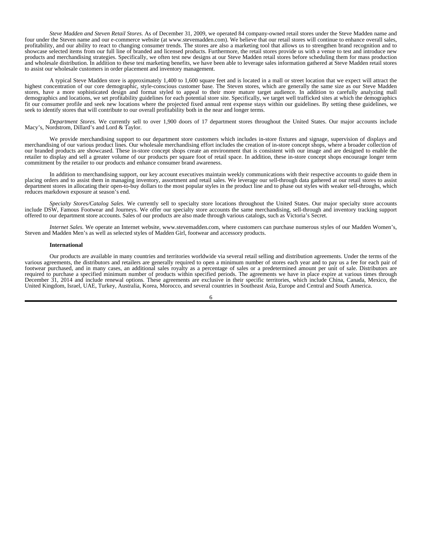*Steve Madden and Steven Retail Stores.* As of December 31, 2009, we operated 84 company-owned retail stores under the Steve Madden name and four under the Steven name and our e-commerce website (at www.stevemadden.com). We believe that our retail stores will continue to enhance overall sales, profitability, and our ability to react to changing consumer trends. The stores are also a marketing tool that allows us to strengthen brand recognition and to showcase selected items from our full line of branded and licensed products. Furthermore, the retail stores provide us with a venue to test and introduce new products and merchandising strategies. Specifically, we often test new designs at our Steve Madden retail stores before scheduling them for mass production and wholesale distribution. In addition to these test marketing benefits, we have been able to leverage sales information gathered at Steve Madden retail stores to assist our wholesale customers in order placement and inventory management.

A typical Steve Madden store is approximately 1,400 to 1,600 square feet and is located in a mall or street location that we expect will attract the highest concentration of our core demographic, style-conscious customer base. The Steven stores, which are generally the same size as our Steve Madden stores, have a more sophisticated design and format styled to appeal to their more mature target audience. In addition to carefully analyzing mall demographics and locations, we set profitability guidelines for each potential store site. Specifically, we target well trafficked sites at which the demographics fit our consumer profile and seek new locations where the projected fixed annual rent expense stays within our guidelines. By setting these guidelines, we seek to identify stores that will contribute to our overall profitability both in the near and longer terms.

*Department Stores.* We currently sell to over 1,900 doors of 17 department stores throughout the United States. Our major accounts include Macy's, Nordstrom, Dillard's and Lord & Taylor.

We provide merchandising support to our department store customers which includes in-store fixtures and signage, supervision of displays and merchandising of our various product lines. Our wholesale merchandising effort includes the creation of in-store concept shops, where a broader collection of our branded products are showcased. These in-store concept shops create an environment that is consistent with our image and are designed to enable the retailer to display and sell a greater volume of our products per square foot of retail space. In addition, these in-store concept shops encourage longer term commitment by the retailer to our products and enhance consumer brand awareness.

In addition to merchandising support, our key account executives maintain weekly communications with their respective accounts to guide them in placing orders and to assist them in managing inventory, assortment and retail sales. We leverage our sell-through data gathered at our retail stores to assist department stores in allocating their open-to-buy dollars to the most popular styles in the product line and to phase out styles with weaker sell-throughs, which reduces markdown exposure at season's end.

*Specialty Stores/Catalog Sales.* We currently sell to specialty store locations throughout the United States. Our major specialty store accounts include DSW, Famous Footwear and Journeys. We offer our specialty store accounts the same merchandising, sell-through and inventory tracking support offered to our department store accounts. Sales of our products are also made through various catalogs, such as Victoria's Secret.

*Internet Sales.* We operate an Internet website, www.stevemadden.com, where customers can purchase numerous styles of our Madden Women's, Steven and Madden Men's as well as selected styles of Madden Girl, footwear and accessory products.

#### **International**

Our products are available in many countries and territories worldwide via several retail selling and distribution agreements. Under the terms of the various agreements, the distributors and retailers are generally required to open a minimum number of stores each year and to pay us a fee for each pair of footwear purchased, and in many cases, an additional sales royalty as a percentage of sales or a predetermined amount per unit of sale. Distributors are required to purchase a specified minimum number of products within specified periods. The agreements we have in place expire at various times through December 31, 2014 and include renewal options. These agreements are exclusive in their specific territories, which include China, Canada, Mexico, the United Kingdom, Israel, UAE, Turkey, Australia, Korea, Morocco, and several countries in Southeast Asia, Europe and Central and South America.

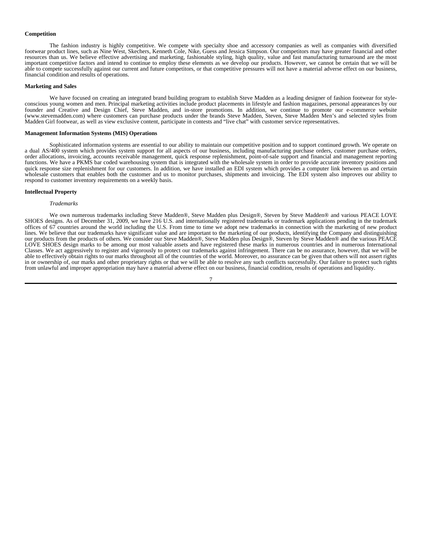## **Competition**

The fashion industry is highly competitive. We compete with specialty shoe and accessory companies as well as companies with diversified footwear product lines, such as Nine West, Skechers, Kenneth Cole, Nike, Guess and Jessica Simpson. Our competitors may have greater financial and other resources than us. We believe effective advertising and marketing, fashionable styling, high quality, value and fast manufacturing turnaround are the most important competitive factors and intend to continue to employ these elements as we develop our products. However, we cannot be certain that we will be able to compete successfully against our current and future competitors, or that competitive pressures will not have a material adverse effect on our business, financial condition and results of operations.

#### **Marketing and Sales**

We have focused on creating an integrated brand building program to establish Steve Madden as a leading designer of fashion footwear for styleconscious young women and men. Principal marketing activities include product placements in lifestyle and fashion magazines, personal appearances by our founder and Creative and Design Chief, Steve Madden, and in-store promotions. In addition, we continue to promote our e-commerce website (www.stevemadden.com) where customers can purchase products under the brands Steve Madden, Steven, Steve Madden Men's and selected styles from Madden Girl footwear, as well as view exclusive content, participate in contests and "live chat" with customer service representatives.

#### **Management Information Systems (MIS) Operations**

Sophisticated information systems are essential to our ability to maintain our competitive position and to support continued growth. We operate on a dual AS/400 system which provides system support for all aspects of our business, including manufacturing purchase orders, customer purchase orders, order allocations, invoicing, accounts receivable management, quick response replenishment, point-of-sale support and financial and management reporting functions. We have a PKMS bar coded warehousing system that is integrated with the wholesale system in order to provide accurate inventory positions and quick response size replenishment for our customers. In addition, we have installed an EDI system which provides a computer link between us and certain wholesale customers that enables both the customer and us to monitor purchases, shipments and invoicing. The EDI system also improves our ability to respond to customer inventory requirements on a weekly basis.

#### **Intellectual Property**

#### *Trademarks*

We own numerous trademarks including Steve Madden®, Steve Madden plus Design®, Steven by Steve Madden® and various PEACE LOVE SHOES designs. As of December 31, 2009, we have 216 U.S. and internationally registered trademarks or trademark applications pending in the trademark offices of 67 countries around the world including the U.S. From time to time we adopt new trademarks in connection with the marketing of new product lines. We believe that our trademarks have significant value and are important to the marketing of our products, identifying the Company and distinguishing our products from the products of others. We consider our Steve Madden®, Steve Madden plus Design®, Steven by Steve Madden® and the various PEACE LOVE SHOES design marks to be among our most valuable assets and have registered these marks in numerous countries and in numerous International Classes. We act aggressively to register and vigorously to protect our trademarks against infringement. There can be no assurance, however, that we will be able to effectively obtain rights to our marks throughout all of the countries of the world. Moreover, no assurance can be given that others will not assert rights in or ownership of, our marks and other proprietary rights or that we will be able to resolve any such conflicts successfully. Our failure to protect such rights from unlawful and improper appropriation may have a material adverse effect on our business, financial condition, results of operations and liquidity.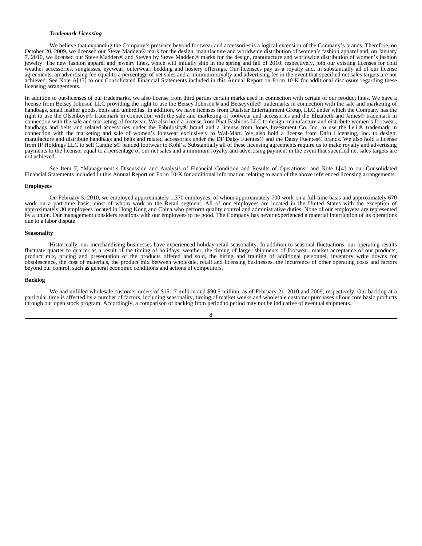#### *Trademark Licensing*

We believe that expanding the Company's presence beyond footwear and accessories is a logical extension of the Company's brands. Therefore, on October 20, 2009, we licensed our Steve Madden® mark for the design, manufacture and worldwide distribution of women's fashion apparel and, on January 7, 2010, we licensed our Steve Madden® and Steven by Steve Madden® marks for the design, manufacture and worldwide distribution of women's fashion jewelry. The new fashion apparel and jewelry lines, which will initially ship in the spring and fall of 2010, respectively, join our existing licenses for cold weather accessories, sunglasses, eyewear, outerwear, bedding and hosiery offerings. Our licensees pay us a royalty and, in substantially all of our license agreements, an advertising fee equal to a percentage of net sales and a minimum royalty and advertising fee in the event that specified net sales targets are not achieved. See Note A[13] to our Consolidated Financial Statements included in this Annual Report on Form 10-K for additional disclosure regarding these licensing arrangements.

In addition to out-licenses of our trademarks, we also license from third parties certain marks used in connection with certain of our product lines. We have a license from Betsey Johnson LLC providing the right to use the Betsey Johnson® and Betseyville® trademarks in connection with the sale and marketing of handbags, small leather goods, belts and umbrellas. In addition, we have licenses from Dualstar Entertainment Group, LLC under which the Company has the right to use the Olsenboye® trademark in connection with the sale and marketing of footwear and accessories and the Elizabeth and James® trademark in connection with the sale and marketing of footwear. We also hold a license from Phat Fashions LLC to design, manufacture and distribute women's footwear, handbags and belts and related accessories under the Fabulosity® brand and a license from Jones Investment Co. Inc. to use the l.e.i.® trademark in connection with the marketing and sale of women's footwear exclusively to Wal-Mart. We also hold a license from Dafu Licensing, Inc. to design, manufacture and distribute handbags and belts and related accessories under the DF Daisy Fuentes® and the Daisy Fuentes® brands. We also hold a license from IP Holdings LLC to sell Candie's® banded footwear to Kohl's. Substantially all of these licensing agreements require us to make royalty and advertising payments to the licensor equal to a percentage of our net sales and a minimum royalty and advertising payment in the event that specified net sales targets are not achieved.

See Item 7, "Management's Discussion and Analysis of Financial Condition and Results of Operations" and Note L[4] to our Consolidated Financial Statements included in this Annual Report on Form 10-K for additional information relating to each of the above referenced licensing arrangements.

#### **Employees**

On February 5, 2010, we employed approximately 1,370 employees, of whom approximately 700 work on a full-time basis and approximately 670 work on a part-time basis, most of whom work in the Retail segment. All of our employees are located in the United States with the exception of approximately 30 employees located in Hong Kong and China who perform quality control and administrative duties. None of our employees are represented by a union. Our management considers relations with our employees to be good. The Company has never experienced a material interruption of its operations due to a labor dispute.

#### **Seasonality**

Historically, our merchandising businesses have experienced holiday retail seasonality. In addition to seasonal fluctuations, our operating results fluctuate quarter to quarter as a result of the timing of holidays, weather, the timing of larger shipments of footwear, market acceptance of our products, product mix, pricing and presentation of the products offered and sold, the hiring and training of additional personnel, inventory write downs for obsolescence, the cost of materials, the product mix between wholesale, retail and licensing businesses, the incurrence of other operating costs and factors beyond our control, such as general economic conditions and actions of competitors.

#### **Backlog**

We had unfilled wholesale customer orders of \$151.7 million and \$90.5 million, as of February 21, 2010 and 2009, respectively. Our backlog at a particular time is affected by a number of factors, including seasonality, timing of market weeks and wholesale customer purchases of our core basic products through our open stock program. Accordingly, a comparison of backlog from period to period may not be indicative of eventual shipments.

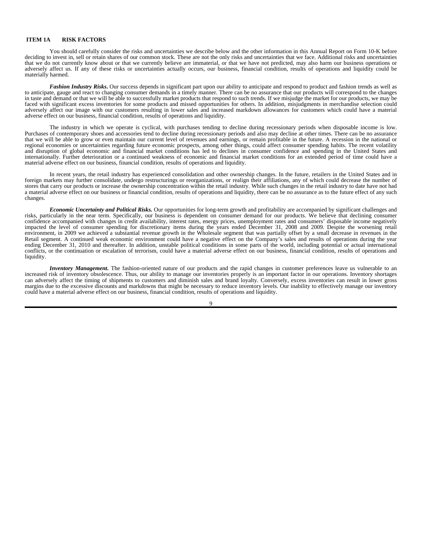## <span id="page-11-0"></span>**ITEM 1A RISK FACTORS**

You should carefully consider the risks and uncertainties we describe below and the other information in this Annual Report on Form 10-K before deciding to invest in, sell or retain shares of our common stock. These are not the only risks and uncertainties that we face. Additional risks and uncertainties that we do not currently know about or that we currently believe are immaterial, or that we have not predicted, may also harm our business operations or adversely affect us. If any of these risks or uncertainties actually occurs, our business, financial condition, results of operations and liquidity could be materially harmed.

*Fashion Industry Risks***.** Our success depends in significant part upon our ability to anticipate and respond to product and fashion trends as well as to anticipate, gauge and react to changing consumer demands in a timely manner. There can be no assurance that our products will correspond to the changes in taste and demand or that we will be able to successfully market products that respond to such trends. If we misjudge the market for our products, we may be faced with significant excess inventories for some products and missed opportunities for others. In addition, misjudgments in merchandise selection could adversely affect our image with our customers resulting in lower sales and increased markdown allowances for customers which could have a material adverse effect on our business, financial condition, results of operations and liquidity.

The industry in which we operate is cyclical, with purchases tending to decline during recessionary periods when disposable income is low. Purchases of contemporary shoes and accessories tend to decline during recessionary periods and also may decline at other times. There can be no assurance that we will be able to grow or even maintain our current level of revenues and earnings, or remain profitable in the future. A recession in the national or regional economies or uncertainties regarding future economic prospects, among other things, could affect consumer spending habits. The recent volatility and disruption of global economic and financial market conditions has led to declines in consumer confidence and spending in the United States and internationally. Further deterioration or a continued weakness of economic and financial market conditions for an extended period of time could have a material adverse effect on our business, financial condition, results of operations and liquidity.

In recent years, the retail industry has experienced consolidation and other ownership changes. In the future, retailers in the United States and in foreign markets may further consolidate, undergo restructurings or reorganizations, or realign their affiliations, any of which could decrease the number of stores that carry our products or increase the ownership concentration within the retail industry. While such changes in the retail industry to date have not had a material adverse effect on our business or financial condition, results of operations and liquidity, there can be no assurance as to the future effect of any such changes.

*Economic Uncertainty and Political Risks.* Our opportunities for long-term growth and profitability are accompanied by significant challenges and risks, particularly in the near term. Specifically, our business is dependent on consumer demand for our products. We believe that declining consumer confidence accompanied with changes in credit availability, interest rates, energy prices, unemployment rates and consumers' disposable income negatively impacted the level of consumer spending for discretionary items during the years ended December 31, 2008 and 2009. Despite the worsening retail environment, in 2009 we achieved a substantial revenue growth in the Wholesale segment that was partially offset by a small decrease in revenues in the Retail segment. A continued weak economic environment could have a negative effect on the Company's sales and results of operations during the year ending December 31, 2010 and thereafter. In addition, unstable political conditions in some parts of the world, including potential or actual international conflicts, or the continuation or escalation of terrorism, could have a material adverse effect on our business, financial condition, results of operations and liquidity.

**Inventory Management**. The fashion-oriented nature of our products and the rapid changes in customer preferences leave us vulnerable to an increased risk of inventory obsolescence. Thus, our ability to manage our inventories properly is an important factor in our operations. Inventory shortages can adversely affect the timing of shipments to customers and diminish sales and brand loyalty. Conversely, excess inventories can result in lower gross margins due to the excessive discounts and markdowns that might be necessary to reduce inventory levels. Our inability to effectively manage our inventory could have a material adverse effect on our business, financial condition, results of operations and liquidity.

 $\mathbf Q$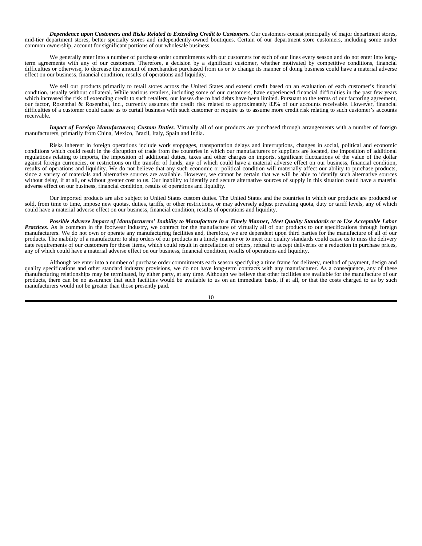*Dependence upon Customers and Risks Related to Extending Credit to Customers***.** Our customers consist principally of major department stores, mid-tier department stores, better specialty stores and independently-owned boutiques. Certain of our department store customers, including some under common ownership, account for significant portions of our wholesale business.

We generally enter into a number of purchase order commitments with our customers for each of our lines every season and do not enter into longterm agreements with any of our customers. Therefore, a decision by a significant customer, whether motivated by competitive conditions, financial difficulties or otherwise, to decrease the amount of merchandise purchased from us or to change its manner of doing business could have a material adverse effect on our business, financial condition, results of operations and liquidity.

We sell our products primarily to retail stores across the United States and extend credit based on an evaluation of each customer's financial condition, usually without collateral. While various retailers, including some of our customers, have experienced financial difficulties in the past few years which increased the risk of extending credit to such retailers, our losses due to bad debts have been limited. Pursuant to the terms of our factoring agreement, our factor, Rosenthal & Rosenthal, Inc., currently assumes the credit risk related to approximately 83% of our accounts receivable. However, financial difficulties of a customer could cause us to curtail business with such customer or require us to assume more credit risk relating to such customer's accounts receivable.

*Impact of Foreign Manufacturers; Custom Duties*. Virtually all of our products are purchased through arrangements with a number of foreign manufacturers, primarily from China, Mexico, Brazil, Italy, Spain and India.

Risks inherent in foreign operations include work stoppages, transportation delays and interruptions, changes in social, political and economic conditions which could result in the disruption of trade from the countries in which our manufacturers or suppliers are located, the imposition of additional regulations relating to imports, the imposition of additional duties, taxes and other charges on imports, significant fluctuations of the value of the dollar against foreign currencies, or restrictions on the transfer of funds, any of which could have a material adverse effect on our business, financial condition, results of operations and liquidity. We do not believe that any such economic or political condition will materially affect our ability to purchase products, since a variety of materials and alternative sources are available. However, we cannot be certain that we will be able to identify such alternative sources without delay, if at all, or without greater cost to us. Our inability to identify and secure alternative sources of supply in this situation could have a material adverse effect on our business, financial condition, results of operations and liquidity.

Our imported products are also subject to United States custom duties. The United States and the countries in which our products are produced or sold, from time to time, impose new quotas, duties, tariffs, or other restrictions, or may adversely adjust prevailing quota, duty or tariff levels, any of which could have a material adverse effect on our business, financial condition, results of operations and liquidity.

*Possible Adverse Impact of Manufacturers' Inability to Manufacture in a Timely Manner, Meet Quality Standards or to Use Acceptable Labor Practices*. As is common in the footwear industry, we contract for the manufacture of virtually all of our products to our specifications through foreign manufacturers. We do not own or operate any manufacturing facilities and, therefore, we are dependent upon third parties for the manufacture of all of our products. The inability of a manufacturer to ship orders of our products in a timely manner or to meet our quality standards could cause us to miss the delivery date requirements of our customers for those items, which could result in cancellation of orders, refusal to accept deliveries or a reduction in purchase prices, any of which could have a material adverse effect on our business, financial condition, results of operations and liquidity.

Although we enter into a number of purchase order commitments each season specifying a time frame for delivery, method of payment, design and quality specifications and other standard industry provisions, we do not have long-term contracts with any manufacturer. As a consequence, any of these manufacturing relationships may be terminated, by either party, at any time. Although we believe that other facilities are available for the manufacture of our products, there can be no assurance that such facilities would be available to us on an immediate basis, if at all, or that the costs charged to us by such manufacturers would not be greater than those presently paid.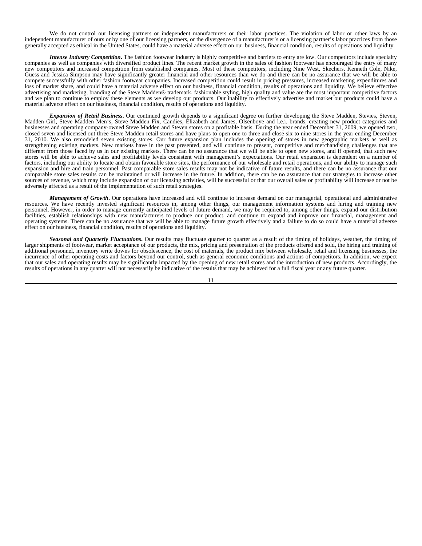We do not control our licensing partners or independent manufacturers or their labor practices. The violation of labor or other laws by an independent manufacturer of ours or by one of our licensing partners, or the divergence of a manufacturer's or a licensing partner's labor practices from those generally accepted as ethical in the United States, could have a material adverse effect on our business, financial condition, results of operations and liquidity.

*Intense Industry Competition***.** The fashion footwear industry is highly competitive and barriers to entry are low. Our competitors include specialty companies as well as companies with diversified product lines. The recent market growth in the sales of fashion footwear has encouraged the entry of many new competitors and increased competition from established companies. Most of these competitors, including Nine West, Skechers, Kenneth Cole, Nike, Guess and Jessica Simpson may have significantly greater financial and other resources than we do and there can be no assurance that we will be able to compete successfully with other fashion footwear companies. Increased competition could result in pricing pressures, increased marketing expenditures and loss of market share, and could have a material adverse effect on our business, financial condition, results of operations and liquidity. We believe effective advertising and marketing, branding of the Steve Madden® trademark, fashionable styling, high quality and value are the most important competitive factors and we plan to continue to employ these elements as we develop our products. Our inability to effectively advertise and market our products could have a material adverse effect on our business, financial condition, results of operations and liquidity.

*Expansion of Retail Business***.** Our continued growth depends to a significant degree on further developing the Steve Madden, Stevies, Steven, Madden Girl, Steve Madden Men's, Steve Madden Fix, Candies, Elizabeth and James, Olsenboye and l.e.i. brands, creating new product categories and businesses and operating company-owned Steve Madden and Steven stores on a profitable basis. During the year ended December 31, 2009, we opened two, closed seven and licensed out three Steve Madden retail stores and have plans to open one to three and close six to nine stores in the year ending December 31, 2010. We also remodeled seven existing stores. Our future expansion plan includes the opening of stores in new geographic markets as well as strengthening existing markets. New markets have in the past presented, and will continue to present, competitive and merchandising challenges that are different from those faced by us in our existing markets. There can be no assurance that we will be able to open new stores, and if opened, that such new stores will be able to achieve sales and profitability levels consistent with management's expectations. Our retail expansion is dependent on a number of factors, including our ability to locate and obtain favorable store sites, the performance of our wholesale and retail operations, and our ability to manage such expansion and hire and train personnel. Past comparable store sales results may not be indicative of future results, and there can be no assurance that our comparable store sales results can be maintained or will increase in the future. In addition, there can be no assurance that our strategies to increase other sources of revenue, which may include expansion of our licensing activities, will be successful or that our overall sales or profitability will increase or not be adversely affected as a result of the implementation of such retail strategies.

*Management of Growth*. Our operations have increased and will continue to increase demand on our managerial, operational and administrative resources. We have recently invested significant resources in, among other things, our management information systems and hiring and training new personnel. However, in order to manage currently anticipated levels of future demand, we may be required to, among other things, expand our distribution facilities, establish relationships with new manufacturers to produce our product, and continue to expand and improve our financial, management and operating systems. There can be no assurance that we will be able to manage future growth effectively and a failure to do so could have a material adverse effect on our business, financial condition, results of operations and liquidity.

**Seasonal and Quarterly Fluctuations.** Our results may fluctuate quarter to quarter as a result of the timing of holidays, weather, the timing of larger shipments of footwear, market acceptance of our products, the mix, pricing and presentation of the products offered and sold, the hiring and training of additional personnel, inventory write downs for obsolescence, the cost of materials, the product mix between wholesale, retail and licensing businesses, the incurrence of other operating costs and factors beyond our control, such as general economic conditions and actions of competitors. In addition, we expect that our sales and operating results may be significantly impacted by the opening of new retail stores and the introduction of new products. Accordingly, the results of operations in any quarter will not necessarily be indicative of the results that may be achieved for a full fiscal year or any future quarter.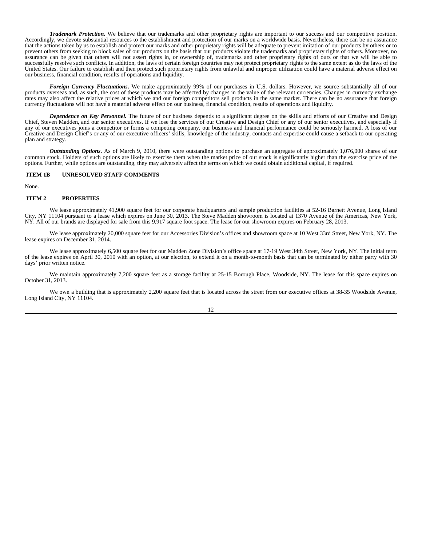<span id="page-14-0"></span>*Trademark Protection***.** We believe that our trademarks and other proprietary rights are important to our success and our competitive position. Accordingly, we devote substantial resources to the establishment and protection of our marks on a worldwide basis. Nevertheless, there can be no assurance that the actions taken by us to establish and protect our marks and other proprietary rights will be adequate to prevent imitation of our products by others or to prevent others from seeking to block sales of our products on the basis that our products violate the trademarks and proprietary rights of others. Moreover, no assurance can be given that others will not assert rights in, or ownership of, trademarks and other proprietary rights of ours or that we will be able to successfully resolve such conflicts. In addition, the laws of certain foreign countries may not protect proprietary rights to the same extent as do the laws of the United States. Our failure to establish and then protect such proprietary rights from unlawful and improper utilization could have a material adverse effect on our business, financial condition, results of operations and liquidity.

*Foreign Currency Fluctuations***.** We make approximately 99% of our purchases in U.S. dollars. However, we source substantially all of our products overseas and, as such, the cost of these products may be affected by changes in the value of the relevant currencies. Changes in currency exchange rates may also affect the relative prices at which we and our foreign competitors sell products in the same market. There can be no assurance that foreign currency fluctuations will not have a material adverse effect on our business, financial condition, results of operations and liquidity.

*Dependence on Key Personnel.* The future of our business depends to a significant degree on the skills and efforts of our Creative and Design Chief, Steven Madden, and our senior executives. If we lose the services of our Creative and Design Chief or any of our senior executives, and especially if any of our executives joins a competitor or forms a competing company, our business and financial performance could be seriously harmed. A loss of our Creative and Design Chief's or any of our executive officers' skills, knowledge of the industry, contacts and expertise could cause a setback to our operating plan and strategy.

*Outstanding Options*. As of March 9, 2010, there were outstanding options to purchase an aggregate of approximately 1,076,000 shares of our common stock. Holders of such options are likely to exercise them when the market price of our stock is significantly higher than the exercise price of the options. Further, while options are outstanding, they may adversely affect the terms on which we could obtain additional capital, if required.

## **ITEM 1B UNRESOLVED STAFF COMMENTS**

None.

#### **ITEM 2 PROPERTIES**

We lease approximately 41,900 square feet for our corporate headquarters and sample production facilities at 52-16 Barnett Avenue, Long Island City, NY 11104 pursuant to a lease which expires on June 30, 2013. The Steve Madden showroom is located at 1370 Avenue of the Americas, New York, NY. All of our brands are displayed for sale from this 9,917 square foot space. The lease for our showroom expires on February 28, 2013.

We lease approximately 20,000 square feet for our Accessories Division's offices and showroom space at 10 West 33rd Street, New York, NY. The lease expires on December 31, 2014.

We lease approximately 6,500 square feet for our Madden Zone Division's office space at 17-19 West 34th Street, New York, NY. The initial term of the lease expires on April 30, 2010 with an option, at our election, to extend it on a month-to-month basis that can be terminated by either party with 30 days' prior written notice.

We maintain approximately 7,200 square feet as a storage facility at 25-15 Borough Place, Woodside, NY. The lease for this space expires on October 31, 2013.

We own a building that is approximately 2,200 square feet that is located across the street from our executive offices at 38-35 Woodside Avenue, Long Island City, NY 11104.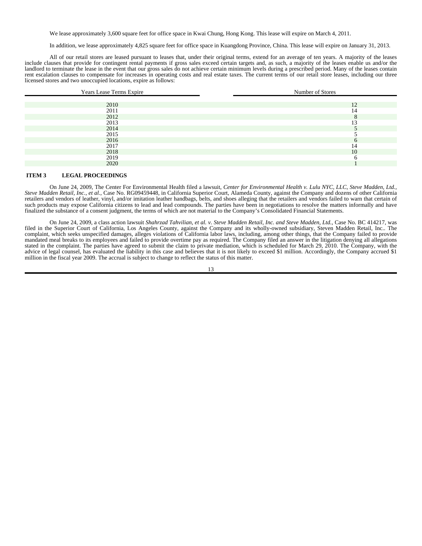<span id="page-15-0"></span>We lease approximately 3,600 square feet for office space in Kwai Chung, Hong Kong. This lease will expire on March 4, 2011.

In addition, we lease approximately 4,825 square feet for office space in Kuangdong Province, China. This lease will expire on January 31, 2013.

All of our retail stores are leased pursuant to leases that, under their original terms, extend for an average of ten years. A majority of the leases include clauses that provide for contingent rental payments if gross sales exceed certain targets and, as such, a majority of the leases enable us and/or the landlord to terminate the lease in the event that our gross sales do not achieve certain minimum levels during a prescribed period. Many of the leases contain rent escalation clauses to compensate for increases in operating costs and real estate taxes. The current terms of our retail store leases, including our three licensed stores and two unoccupied locations, expire as follows:

| Years Lease Terms Expire | Number of Stores |
|--------------------------|------------------|
|                          |                  |
| 2010                     | 12               |
| 2011                     | 14               |
| 2012                     | 8                |
| 2013                     | 12               |
| 2014                     |                  |
| 2015                     |                  |
| 2016                     | h                |
| 2017                     | 14               |
| 2018                     | 10               |
| 2019                     |                  |
| 2020                     |                  |

#### **ITEM 3 LEGAL PROCEEDINGS**

On June 24, 2009, The Center For Environmental Health filed a lawsuit, *Center for Environmental Health v. Lulu NYC, LLC, Steve Madden, Ltd., Steve Madden Retail, Inc., et al.*, Case No. RG09459448, in California Superior Court, Alameda County, against the Company and dozens of other California retailers and vendors of leather, vinyl, and/or imitation leather handbags, belts, and shoes alleging that the retailers and vendors failed to warn that certain of such products may expose California citizens to lead and lead compounds. The parties have been in negotiations to resolve the matters informally and have finalized the substance of a consent judgment, the terms of which are not material to the Company's Consolidated Financial Statements.

On June 24, 2009, a class action lawsuit *Shahrzad Tahvilian, et al. v. Steve Madden Retail, Inc. and Steve Madden, Ltd.*, Case No. BC 414217, was filed in the Superior Court of California, Los Angeles County, against the Company and its wholly-owned subsidiary, Steven Madden Retail, Inc.. The complaint, which seeks unspecified damages, alleges violations of California labor laws, including, among other things, that the Company failed to provide mandated meal breaks to its employees and failed to provide overtime pay as required. The Company filed an answer in the litigation denying all allegations stated in the complaint. The parties have agreed to submit the claim to private mediation, which is scheduled for March 29, 2010. The Company, with the advice of legal counsel, has evaluated the liability in this case and believes that it is not likely to exceed \$1 million. Accordingly, the Company accrued \$1 million in the fiscal year 2009. The accrual is subject to change to reflect the status of this matter.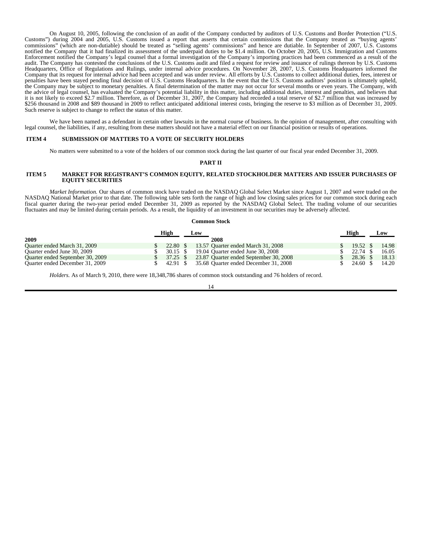<span id="page-16-0"></span>On August 10, 2005, following the conclusion of an audit of the Company conducted by auditors of U.S. Customs and Border Protection ("U.S. Customs") during 2004 and 2005, U.S. Customs issued a report that asserts that certain commissions that the Company treated as "buying agents' commissions" (which are non-dutiable) should be treated as "selling agents' commissions" and hence are dutiable. In September of 2007, U.S. Customs notified the Company that it had finalized its assessment of the underpaid duties to be \$1.4 million. On October 20, 2005, U.S. Immigration and Customs Enforcement notified the Company's legal counsel that a formal investigation of the Company's importing practices had been commenced as a result of the audit. The Company has contested the conclusions of the U.S. Customs audit and filed a request for review and issuance of rulings thereon by U.S. Customs Headquarters, Office of Regulations and Rulings, under internal advice procedures. On November 28, 2007, U.S. Customs Headquarters informed the Company that its request for internal advice had been accepted and was under review. All efforts by U.S. Customs to collect additional duties, fees, interest or penalties have been stayed pending final decision of U.S. Customs Headquarters. In the event that the U.S. Customs auditors' position is ultimately upheld, the Company may be subject to monetary penalties. A final determination of the matter may not occur for several months or even years. The Company, with the advice of legal counsel, has evaluated the Company's potential liability in this matter, including additional duties, interest and penalties, and believes that it is not likely to exceed \$2.7 million. Therefore, as of December 31, 2007, the Company had recorded a total reserve of \$2.7 million that was increased by \$256 thousand in 2008 and \$89 thousand in 2009 to reflect anticipated additional interest costs, bringing the reserve to \$3 million as of December 31, 2009. Such reserve is subject to change to reflect the status of this matter.

We have been named as a defendant in certain other lawsuits in the normal course of business. In the opinion of management, after consulting with legal counsel, the liabilities, if any, resulting from these matters should not have a material effect on our financial position or results of operations.

## **ITEM 4 SUBMISSION OF MATTERS TO A VOTE OF SECURITY HOLDERS**

No matters were submitted to a vote of the holders of our common stock during the last quarter of our fiscal year ended December 31, 2009.

#### **PART II**

## **ITEM 5 MARKET FOR REGISTRANT'S COMMON EQUITY, RELATED STOCKHOLDER MATTERS AND ISSUER PURCHASES OF EQUITY SECURITIES**

*Market Information.* Our shares of common stock have traded on the NASDAQ Global Select Market since August 1, 2007 and were traded on the NASDAQ National Market prior to that date. The following table sets forth the range of high and low closing sales prices for our common stock during each fiscal quarter during the two-year period ended December 31, 2009 as reported by the NASDAQ Global Select. The trading volume of our securities fluctuates and may be limited during certain periods. As a result, the liquidity of an investment in our securities may be adversely affected.

#### **Common Stock**

|                                  | High       | Low                                    | High     | Low   |
|----------------------------------|------------|----------------------------------------|----------|-------|
| 2009                             |            | 2008                                   |          |       |
| Ouarter ended March 31, 2009     | 22.80 \$   | 13.57 Ouarter ended March 31, 2008     | 19.52 S  | 14.98 |
| Quarter ended June 30, 2009      | $30.15$ \$ | 19.04 Ouarter ended June 30, 2008      | 22.74    | 16.05 |
| Quarter ended September 30, 2009 | 37.25 \$   | 23.87 Ouarter ended September 30, 2008 | 28.36 \$ | 18.13 |
| Ouarter ended December 31, 2009  | 42.91 \$   | 35.68 Ouarter ended December 31, 2008  | 24.60 \$ | 14.20 |

*Holders.* As of March 9, 2010, there were 18,348,786 shares of common stock outstanding and 76 holders of record.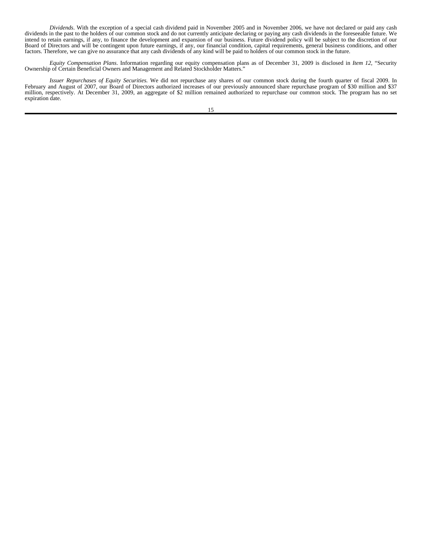*Dividends*. With the exception of a special cash dividend paid in November 2005 and in November 2006, we have not declared or paid any cash dividends in the past to the holders of our common stock and do not currently anticipate declaring or paying any cash dividends in the foreseeable future. We intend to retain earnings, if any, to finance the development and expansion of our business. Future dividend policy will be subject to the discretion of our Board of Directors and will be contingent upon future earnings, if any, our financial condition, capital requirements, general business conditions, and other factors. Therefore, we can give no assurance that any cash dividends of any kind will be paid to holders of our common stock in the future.

*Equity Compensation Plans*. Information regarding our equity compensation plans as of December 31, 2009 is disclosed in *Item 12*, "Security Ownership of Certain Beneficial Owners and Management and Related Stockholder Matters."

*Issuer Repurchases of Equity Securities.* We did not repurchase any shares of our common stock during the fourth quarter of fiscal 2009. In February and August of 2007, our Board of Directors authorized increases of our previously announced share repurchase program of \$30 million and \$37 million, respectively. At December 31, 2009, an aggregate of \$2 million remained authorized to repurchase our common stock. The program has no set expiration date.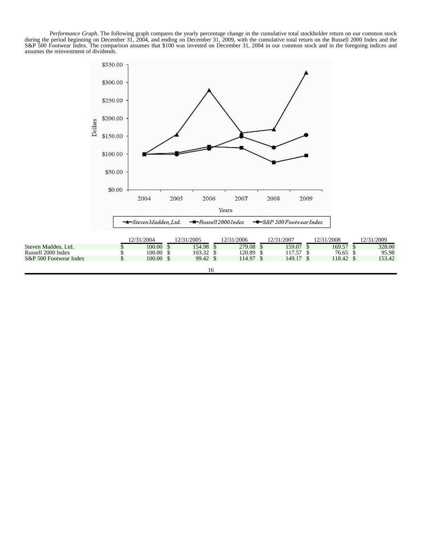*Performance Graph*. The following graph compares the yearly percentage change in the cumulative total stockholder return on our common stock during the period beginning on December 31, 2004, and ending on December 31, 2009, with the cumulative total return on the Russell 2000 Index and the S&P 500 Footwear Index. The comparison assumes that \$100 was invested on December 31, 2004 in our common stock and in the foregoing indices and assumes the reinvestment of dividends.



|                        | 12/31/2004 | 12/31/2005 |   | 12/31/2006 |  | 12/31/2007 |  | 12/31/2008 |  | 12/31/2009 |  |
|------------------------|------------|------------|---|------------|--|------------|--|------------|--|------------|--|
| Steven Madden, Ltd.    | 100.00     | 154.98     |   | 279.08     |  | 159.07     |  | 169.57     |  | 328.00     |  |
| Russell 2000 Index     | 100.00     | 103.32     |   | 20.89      |  | .17.57     |  | 76.65      |  | 95.98      |  |
| S&P 500 Footwear Index | 100.00     | 99.42      |   | 114.97     |  | 149.17     |  | 18.42      |  | 153.42     |  |
|                        |            |            | . |            |  |            |  |            |  |            |  |

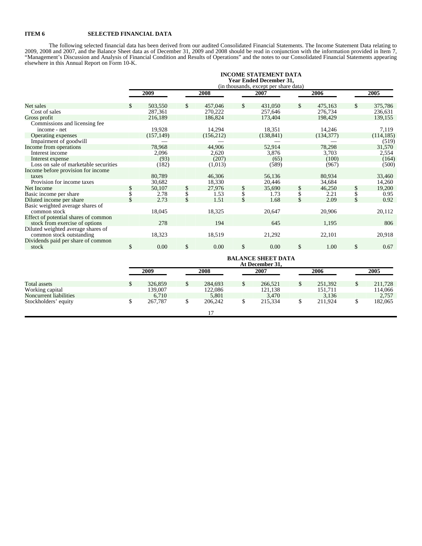## **ITEM 6 SELECTED FINANCIAL DATA**

 The following selected financial data has been derived from our audited Consolidated Financial Statements. The Income Statement Data relating to 2009, 2008 and 2007, and the Balance Sheet data as of December 31, 2009 and 2008 should be read in conjunction with the information provided in Item 7, "Management's Discussion and Analysis of Financial Condition and Results of Operations" and the notes to our Consolidated Financial Statements appearing elsewhere in this Annual Report on Form 10-K.

|                                                                        | <b>INCOME STATEMENT DATA</b><br><b>Year Ended December 31,</b><br>(in thousands, except per share data) |            |              |            |    |            |     |            |               |            |  |  |
|------------------------------------------------------------------------|---------------------------------------------------------------------------------------------------------|------------|--------------|------------|----|------------|-----|------------|---------------|------------|--|--|
|                                                                        |                                                                                                         | 2009       |              | 2008       |    | 2007       |     | 2006       |               | 2005       |  |  |
| Net sales                                                              | \$                                                                                                      | 503,550    | \$           | 457,046    | \$ | 431,050    | \$  | 475,163    | <b>S</b>      | 375,786    |  |  |
| Cost of sales                                                          |                                                                                                         | 287,361    |              | 270,222    |    | 257,646    |     | 276,734    |               | 236,631    |  |  |
| Gross profit                                                           |                                                                                                         | 216,189    |              | 186,824    |    | 173,404    |     | 198,429    |               | 139,155    |  |  |
| Commissions and licensing fee<br>income - net                          |                                                                                                         | 19,928     |              | 14,294     |    | 18,351     |     | 14,246     |               | 7,119      |  |  |
| Operating expenses                                                     |                                                                                                         | (157, 149) |              | (156, 212) |    | (138, 841) |     | (134, 377) |               | (114, 185) |  |  |
| Impairment of goodwill                                                 |                                                                                                         |            |              |            |    |            |     |            |               | (519)      |  |  |
| Income from operations                                                 |                                                                                                         | 78,968     |              | 44,906     |    | 52,914     |     | 78,298     |               | 31,570     |  |  |
| Interest income                                                        |                                                                                                         | 2,096      |              | 2,620      |    | 3,876      |     | 3,703      |               | 2,554      |  |  |
| Interest expense                                                       |                                                                                                         | (93)       |              | (207)      |    | (65)       |     | (100)      |               | (164)      |  |  |
| Loss on sale of marketable securities                                  |                                                                                                         | (182)      |              | (1,013)    |    | (589)      |     | (967)      |               | (500)      |  |  |
| Income before provision for income                                     |                                                                                                         |            |              |            |    |            |     |            |               |            |  |  |
| taxes                                                                  |                                                                                                         | 80,789     |              | 46,306     |    | 56,136     |     | 80,934     |               | 33,460     |  |  |
| Provision for income taxes                                             |                                                                                                         | 30,682     |              | 18,330     |    | 20,446     |     | 34,684     |               | 14,260     |  |  |
| Net Income                                                             |                                                                                                         | 50,107     | $\mathbb{S}$ | 27,976     | \$ | 35,690     | \$. | 46,250     | <sup>\$</sup> | 19,200     |  |  |
| Basic income per share                                                 |                                                                                                         | 2.78       | \$           | 1.53       | \$ | 1.73       | \$  | 2.21       | \$            | 0.95       |  |  |
| Diluted income per share                                               |                                                                                                         | 2.73       | \$           | 1.51       | \$ | 1.68       | \$  | 2.09       |               | 0.92       |  |  |
| Basic weighted average shares of<br>common stock                       |                                                                                                         | 18,045     |              | 18,325     |    | 20,647     |     | 20,906     |               | 20,112     |  |  |
| Effect of potential shares of common<br>stock from exercise of options |                                                                                                         | 278        |              | 194        |    | 645        |     | 1,195      |               | 806        |  |  |
| Diluted weighted average shares of<br>common stock outstanding         |                                                                                                         | 18,323     |              | 18,519     |    | 21,292     |     | 22,101     |               | 20,918     |  |  |
| Dividends paid per share of common<br>stock                            | \$                                                                                                      | 0.00       | \$           | 0.00       | \$ | 0.00       | \$  | 1.00       | $\mathcal{S}$ | 0.67       |  |  |
|                                                                        |                                                                                                         |            |              |            |    |            |     |            |               |            |  |  |

|                        | <b>BALANCE SHEET DATA</b><br>At December 31, |     |         |  |         |    |         |      |         |  |  |  |  |
|------------------------|----------------------------------------------|-----|---------|--|---------|----|---------|------|---------|--|--|--|--|
|                        | 2009                                         |     | 2008    |  | 2007    |    | 2006    | 2005 |         |  |  |  |  |
| Total assets           | 326,859                                      | ND. | 284,693 |  | 266,521 | \$ | 251,392 |      | 211,728 |  |  |  |  |
| Working capital        | 139,007                                      |     | 122,086 |  | 121,138 |    | 151,711 |      | 114,066 |  |  |  |  |
| Noncurrent liabilities | 6,710                                        |     | 5.801   |  | 3.470   |    | 3,136   |      | 2,757   |  |  |  |  |
| Stockholders' equity   | 267,787                                      | Æ   | 206,242 |  | 215,334 | \$ | 211.924 |      | 182,065 |  |  |  |  |
|                        |                                              |     |         |  |         |    |         |      |         |  |  |  |  |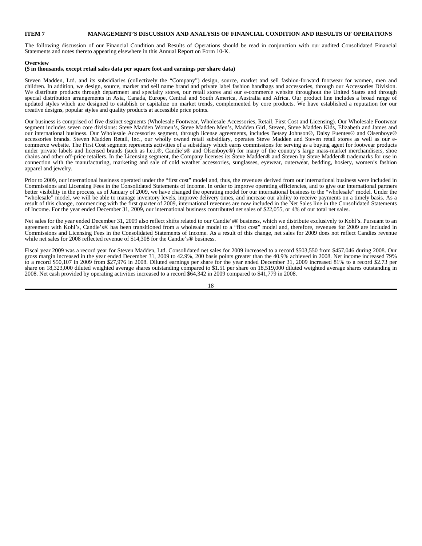## **ITEM 7 MANAGEMENT'S DISCUSSION AND ANALYSIS OF FINANCIAL CONDITION AND RESULTS OF OPERATIONS**

The following discussion of our Financial Condition and Results of Operations should be read in conjunction with our audited Consolidated Financial Statements and notes thereto appearing elsewhere in this Annual Report on Form 10-K.

#### **Overview**

#### **(\$ in thousands, except retail sales data per square foot and earnings per share data)**

Steven Madden, Ltd. and its subsidiaries (collectively the "Company") design, source, market and sell fashion-forward footwear for women, men and children. In addition, we design, source, market and sell name brand and private label fashion handbags and accessories, through our Accessories Division. We distribute products through department and specialty stores, our retail stores and our e-commerce website throughout the United States and through special distribution arrangements in Asia, Canada, Europe, Central and South America, Australia and Africa. Our product line includes a broad range of updated styles which are designed to establish or capitalize on market trends, complemented by core products. We have established a reputation for our creative designs, popular styles and quality products at accessible price points.

Our business is comprised of five distinct segments (Wholesale Footwear, Wholesale Accessories, Retail, First Cost and Licensing). Our Wholesale Footwear segment includes seven core divisions: Steve Madden Women's, Steve Madden Men's, Madden Girl, Steven, Steve Madden Kids, Elizabeth and James and our international business. Our Wholesale Accessories segment, through license agreements, includes Betsey Johnson®, Daisy Fuentes® and Olsenboye® accessories brands. Steven Madden Retail, Inc., our wholly owned retail subsidiary, operates Steve Madden and Steven retail stores as well as our ecommerce website. The First Cost segment represents activities of a subsidiary which earns commissions for serving as a buying agent for footwear products under private labels and licensed brands (such as l.e.i.®, Candie's® and Olsenboye®) for many of the country's large mass-market merchandisers, shoe chains and other off-price retailers. In the Licensing segment, the Company licenses its Steve Madden® and Steven by Steve Madden® trademarks for use in connection with the manufacturing, marketing and sale of cold weather accessories, sunglasses, eyewear, outerwear, bedding, hosiery, women's fashion apparel and jewelry.

Prior to 2009, our international business operated under the "first cost" model and, thus, the revenues derived from our international business were included in Commissions and Licensing Fees in the Consolidated Statements of Income. In order to improve operating efficiencies, and to give our international partners better visibility in the process, as of January of 2009, we have changed the operating model for our international business to the "wholesale" model. Under the "wholesale" model, we will be able to manage inventory levels, improve delivery times, and increase our ability to receive payments on a timely basis. As a result of this change, commencing with the first quarter of 2009, international revenues are now included in the Net Sales line in the Consolidated Statements of Income. For the year ended December 31, 2009, our international business contributed net sales of \$22,055, or 4% of our total net sales.

Net sales for the year ended December 31, 2009 also reflect shifts related to our Candie's® business, which we distribute exclusively to Kohl's. Pursuant to an agreement with Kohl's, Candie's® has been transitioned from a wholesale model to a "first cost" model and, therefore, revenues for 2009 are included in Commissions and Licensing Fees in the Consolidated Statements of Income. As a result of this change, net sales for 2009 does not reflect Candies revenue while net sales for 2008 reflected revenue of \$14,308 for the Candie's® business.

Fiscal year 2009 was a record year for Steven Madden, Ltd. Consolidated net sales for 2009 increased to a record \$503,550 from \$457,046 during 2008. Our gross margin increased in the year ended December 31, 2009 to 42.9%, 200 basis points greater than the 40.9% achieved in 2008. Net income increased 79% to a record \$50,107 in 2009 from \$27,976 in 2008. Diluted earnings per share for the year ended December 31, 2009 increased 81% to a record \$2.73 per share on 18,323,000 diluted weighted average shares outstanding compared to \$1.51 per share on 18,519,000 diluted weighted average shares outstanding in 2008. Net cash provided by operating activities increased to a record \$64,342 in 2009 compared to \$41,779 in 2008.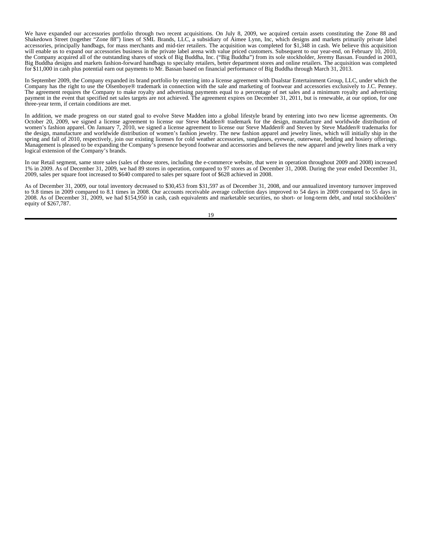We have expanded our accessories portfolio through two recent acquisitions. On July 8, 2009, we acquired certain assets constituting the Zone 88 and Shakedown Street (together "Zone 88") lines of SML Brands, LLC, a subsidiary of Aimee Lynn, Inc, which designs and markets primarily private label accessories, principally handbags, for mass merchants and mid-tier retailers. The acquisition was completed for \$1,348 in cash. We believe this acquisition will enable us to expand our accessories business in the private label arena with value priced customers. Subsequent to our year-end, on February 10, 2010, the Company acquired all of the outstanding shares of stock of Big Buddha, Inc. ("Big Buddha") from its sole stockholder, Jeremy Bassan. Founded in 2003, Big Buddha designs and markets fashion-forward handbags to specialty retailers, better department stores and online retailers. The acquisition was completed for \$11,000 in cash plus potential earn out payments to Mr. Bassan based on financial performance of Big Buddha through March 31, 2013.

In September 2009, the Company expanded its brand portfolio by entering into a license agreement with Dualstar Entertainment Group, LLC, under which the Company has the right to use the Olsenboye® trademark in connection with the sale and marketing of footwear and accessories exclusively to J.C. Penney. The agreement requires the Company to make royalty and advertising payments equal to a percentage of net sales and a minimum royalty and advertising payment in the event that specified net sales targets are not achieved. The agreement expires on December 31, 2011, but is renewable, at our option, for one three-year term, if certain conditions are met.

In addition, we made progress on our stated goal to evolve Steve Madden into a global lifestyle brand by entering into two new license agreements. On October 20, 2009, we signed a license agreement to license our Steve Madden® trademark for the design, manufacture and worldwide distribution of women's fashion apparel. On January 7, 2010, we signed a license agreement to license our Steve Madden® and Steven by Steve Madden® trademarks for the design, manufacture and worldwide distribution of women's fashion jewelry. The new fashion apparel and jewelry lines, which will initially ship in the spring and fall of 2010, respectively, join our existing licenses for cold weather accessories, sunglasses, eyewear, outerwear, bedding and hosiery offerings. Management is pleased to be expanding the Company's presence beyond footwear and accessories and believes the new apparel and jewelry lines mark a very logical extension of the Company's brands.

In our Retail segment, same store sales (sales of those stores, including the e-commerce website, that were in operation throughout 2009 and 2008) increased 1% in 2009. As of December 31, 2009, we had 89 stores in operation, compared to 97 stores as of December 31, 2008. During the year ended December 31, 2009, sales per square foot increased to \$640 compared to sales per square foot of \$628 achieved in 2008.

As of December 31, 2009, our total inventory decreased to \$30,453 from \$31,597 as of December 31, 2008, and our annualized inventory turnover improved to 9.8 times in 2009 compared to 8.1 times in 2008. Our accounts receivable average collection days improved to 54 days in 2009 compared to 55 days in 2008. As of December 31, 2009, we had \$154,950 in cash, cash equivalents and marketable securities, no short- or long-term debt, and total stockholders' equity of \$267,787.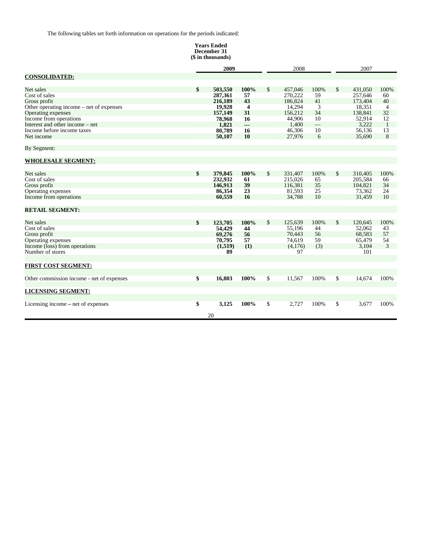The following tables set forth information on operations for the periods indicated:

|                                                                                                                                                                                                         | <b>Years Ended</b><br>December 31<br>(\$ in thousands)                                |                                                               |               |                                                                                 |                                         |               |                                                                                 |                                                                        |
|---------------------------------------------------------------------------------------------------------------------------------------------------------------------------------------------------------|---------------------------------------------------------------------------------------|---------------------------------------------------------------|---------------|---------------------------------------------------------------------------------|-----------------------------------------|---------------|---------------------------------------------------------------------------------|------------------------------------------------------------------------|
|                                                                                                                                                                                                         | 2009                                                                                  |                                                               |               | 2008                                                                            |                                         |               | 2007                                                                            |                                                                        |
| <b>CONSOLIDATED:</b>                                                                                                                                                                                    |                                                                                       |                                                               |               |                                                                                 |                                         |               |                                                                                 |                                                                        |
| Net sales<br>Cost of sales<br>Gross profit<br>Other operating income – net of expenses<br>Operating expenses<br>Income from operations<br>Interest and other income – net<br>Income before income taxes | \$<br>503,550<br>287,361<br>216,189<br>19,928<br>157,149<br>78,968<br>1,821<br>80,789 | 100%<br>57<br>43<br>$\overline{\mathbf{4}}$<br>31<br>16<br>16 | $\mathsf{\$}$ | 457,046<br>270,222<br>186,824<br>14.294<br>156,212<br>44.906<br>1,400<br>46,306 | 100%<br>59<br>41<br>3<br>34<br>10<br>10 | $\mathsf{\$}$ | 431.050<br>257,646<br>173,404<br>18.351<br>138,841<br>52,914<br>3,222<br>56,136 | 100%<br>60<br>40<br>$\overline{4}$<br>32<br>12<br>$\overline{1}$<br>13 |
| Net income                                                                                                                                                                                              | 50.107                                                                                | 10                                                            |               | 27,976                                                                          | 6                                       |               | 35,690                                                                          | 8                                                                      |
| By Segment:                                                                                                                                                                                             |                                                                                       |                                                               |               |                                                                                 |                                         |               |                                                                                 |                                                                        |
| <b>WHOLESALE SEGMENT:</b>                                                                                                                                                                               |                                                                                       |                                                               |               |                                                                                 |                                         |               |                                                                                 |                                                                        |
| Net sales<br>Cost of sales<br>Gross profit<br>Operating expenses<br>Income from operations                                                                                                              | \$<br>379,845<br>232,932<br>146,913<br>86,354<br>60.559                               | 100%<br>61<br>39<br>23<br>16                                  | \$            | 331,407<br>215.026<br>116,381<br>81,593<br>34,788                               | 100%<br>65<br>35<br>25<br>10            | \$            | 310,405<br>205,584<br>104,821<br>73,362<br>31,459                               | 100%<br>66<br>34<br>24<br>10                                           |
| <b>RETAIL SEGMENT:</b>                                                                                                                                                                                  |                                                                                       |                                                               |               |                                                                                 |                                         |               |                                                                                 |                                                                        |
| Net sales<br>Cost of sales<br>Gross profit<br>Operating expenses<br>Income (loss) from operations<br>Number of stores                                                                                   | \$<br>123,705<br>54,429<br>69,276<br>70,795<br>(1,519)<br>89                          | 100%<br>44<br>56<br>57<br>(1)                                 | $\mathcal{S}$ | 125,639<br>55,196<br>70.443<br>74.619<br>(4,176)<br>97                          | 100%<br>44<br>56<br>59<br>(3)           | $\mathcal{S}$ | 120,645<br>52,062<br>68,583<br>65,479<br>3,104<br>101                           | 100%<br>43<br>57<br>54<br>3                                            |
| <b>FIRST COST SEGMENT:</b>                                                                                                                                                                              |                                                                                       |                                                               |               |                                                                                 |                                         |               |                                                                                 |                                                                        |
| Other commission income - net of expenses                                                                                                                                                               | \$<br>16.803                                                                          | 100%                                                          | \$            | 11.567                                                                          | 100%                                    | \$            | 14.674                                                                          | 100%                                                                   |
| <b>LICENSING SEGMENT:</b>                                                                                                                                                                               |                                                                                       |                                                               |               |                                                                                 |                                         |               |                                                                                 |                                                                        |
| Licensing income – net of expenses                                                                                                                                                                      | \$<br>3,125<br>20                                                                     | 100%                                                          | \$            | 2.727                                                                           | 100%                                    | \$            | 3.677                                                                           | 100%                                                                   |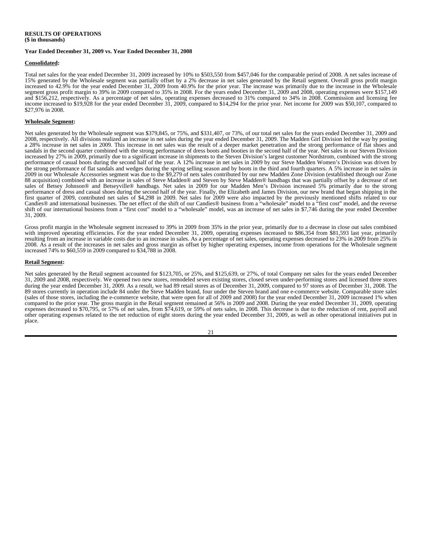#### **Year Ended December 31, 2009 vs. Year Ended December 31, 2008**

#### **Consolidated:**

Total net sales for the year ended December 31, 2009 increased by 10% to \$503,550 from \$457,046 for the comparable period of 2008. A net sales increase of 15% generated by the Wholesale segment was partially offset by a 2% decrease in net sales generated by the Retail segment. Overall gross profit margin increased to 42.9% for the year ended December 31, 2009 from 40.9% for the prior year. The increase was primarily due to the increase in the Wholesale segment gross profit margin to 39% in 2009 compared to 35% in 2008. For the years ended December 31, 2009 and 2008, operating expenses were \$157,149 and \$156,212, respectively. As a percentage of net sales, operating expenses decreased to 31% compared to 34% in 2008. Commission and licensing fee income increased to \$19,928 for the year ended December 31, 2009, compared to \$14,294 for the prior year. Net income for 2009 was \$50,107, compared to \$27,976 in 2008.

#### **Wholesale Segment:**

Net sales generated by the Wholesale segment was \$379,845, or 75%, and \$331,407, or 73%, of our total net sales for the years ended December 31, 2009 and 2008, respectively. All divisions realized an increase in net sales during the year ended December 31, 2009. The Madden Girl Division led the way by posting a 28% increase in net sales in 2009. This increase in net sales was the result of a deeper market penetration and the strong performance of flat shoes and sandals in the second quarter combined with the strong performance of dress boots and booties in the second half of the year. Net sales in our Steven Division increased by 27% in 2009, primarily due to a significant increase in shipments to the Steven Division's largest customer Nordstrom, combined with the strong performance of casual boots during the second half of the year. A 12% increase in net sales in 2009 by our Steve Madden Women's Division was driven by the strong performance of flat sandals and wedges during the spring selling season and by boots in the third and fourth quarters. A 5% increase in net sales in 2009 in our Wholesale Accessories segment was due to the \$9,279 of nets sales contributed by our new Madden Zone Division (established through our Zone 88 acquisition) combined with an increase in sales of Steve Madden® and Steven by Steve Madden® handbags that was partially offset by a decrease of net sales of Betsey Johnson® and Betseyville® handbags. Net sales in 2009 for our Madden Men's Division increased 5% primarily due to the strong performance of dress and casual shoes during the second half of the year. Finally, the Elizabeth and James Division, our new brand that began shipping in the first quarter of 2009, contributed net sales of \$4,298 in 2009. Net sales for 2009 were also impacted by the previously mentioned shifts related to our Candies® and international businesses. The net effect of the shift of our Candies® business from a "wholesale" model to a "first cost" model, and the reverse shift of our international business from a "first cost" model to a "wholesale" model, was an increase of net sales in \$7,746 during the year ended December 31, 2009.

Gross profit margin in the Wholesale segment increased to 39% in 2009 from 35% in the prior year, primarily due to a decrease in close out sales combined with improved operating efficiencies. For the year ended December 31, 2009, operating expenses increased to \$86,354 from \$81,593 last year, primarily resulting from an increase in variable costs due to an increase in sales. As a percentage of net sales, operating expenses decreased to 23% in 2009 from 25% in 2008. As a result of the increases in net sales and gross margin as offset by higher operating expenses, income from operations for the Wholesale segment increased 74% to \$60,559 in 2009 compared to \$34,788 in 2008.

#### **Retail Segment:**

Net sales generated by the Retail segment accounted for \$123,705, or 25%, and \$125,639, or 27%, of total Company net sales for the years ended December 31, 2009 and 2008, respectively. We opened two new stores, remodeled seven existing stores, closed seven under-performing stores and licensed three stores during the year ended December 31, 2009. As a result, we had 89 retail stores as of December 31, 2009, compared to 97 stores as of December 31, 2008. The 89 stores currently in operation include 84 under the Steve Madden brand, four under the Steven brand and one e-commerce website. Comparable store sales (sales of those stores, including the e-commerce website, that were open for all of 2009 and 2008) for the year ended December 31, 2009 increased 1% when compared to the prior year. The gross margin in the Retail segment remained at 56% in 2009 and 2008. During the year ended December 31, 2009, operating expenses decreased to \$70,795, or 57% of net sales, from \$74,619, or 59% of nets sales, in 2008. This decrease is due to the reduction of rent, payroll and other operating expenses related to the net reduction of eight stores during the year ended December 31, 2009, as well as other operational initiatives put in place.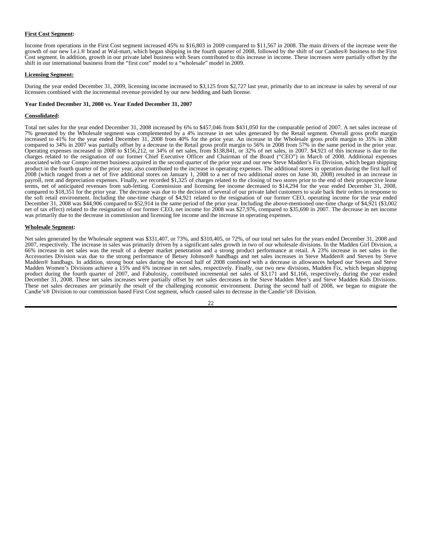## **First Cost Segment:**

Income from operations in the First Cost segment increased 45% to \$16,803 in 2009 compared to \$11,567 in 2008. The main drivers of the increase were the growth of our new l.e.i.® brand at Wal-mart, which began shipping in the fourth quarter of 2008, followed by the shift of our Candies® business to the First Cost segment. In addition, growth in our private label business with Sears contributed to this increase in income. These increases were partially offset by the shift in our international business from the "first cost" model to a "wholesale" model in 2009.

#### **Licensing Segment:**

During the year ended December 31, 2009, licensing income increased to \$3,125 from \$2,727 last year, primarily due to an increase in sales by several of our licensees combined with the incremental revenue provided by our new bedding and bath license.

#### **Year Ended December 31, 2008 vs. Year Ended December 31, 2007**

#### **Consolidated:**

Total net sales for the year ended December 31, 2008 increased by 6% to \$457,046 from \$431,050 for the comparable period of 2007. A net sales increase of 7% generated by the Wholesale segment was complemented by a 4% increase in net sales generated by the Retail segment. Overall gross profit margin increased to 41% for the year ended December 31, 2008 from 40% for the prior year. An increase in the Wholesale gross profit margin to 35% in 2008 compared to 34% in 2007 was partially offset by a decrease in the Retail gross profit margin to 56% in 2008 from 57% in the same period in the prior year. Operating expenses increased in 2008 to \$156,212, or 34% of net sales, from \$138,841, or 32% of net sales, in 2007. \$4,921 of this increase is due to the charges related to the resignation of our former Chief Executive Officer and Chairman of the Board ("CEO") in March of 2008. Additional expenses associated with our Compo internet business acquired in the second quarter of the prior year and our new Steve Madden's Fix Division, which began shipping product in the fourth quarter of the prior year, also contributed to the increase in operating expenses. The additional stores in operation during the first half of 2008 (which ranged from a net of five additional stores on January 1, 2008 to a net of two additional stores on June 30, 2008) resulted in an increase in payroll, rent and depreciation expenses. Finally, we recorded \$1,325 of charges related to the closing of two stores prior to the end of their prospective lease terms, net of anticipated revenues from sub-letting. Commission and licensing fee income decreased to \$14,294 for the year ended December 31, 2008, compared to \$18,351 for the prior year. The decrease was due to the decision of several of our private label customers to scale back their orders in response to the soft retail environment. Including the one-time charge of \$4,921 related to the resignation of our former CEO, operating income for the year ended December 31, 2008 was \$44,906 compared to \$52,914 in the same period of the prior year. Including the above-mentioned one-time charge of \$4,921 (\$3,002 net of tax effect) related to the resignation of our former CEO, net income for 2008 was \$27,976, compared to \$35,690 in 2007. The decrease in net income was primarily due to the decrease in commission and licensing fee income and the increase in operating expenses.

#### **Wholesale Segment:**

Net sales generated by the Wholesale segment was \$331,407, or 73%, and \$310,405, or 72%, of our total net sales for the years ended December 31, 2008 and 2007, respectively. The increase in sales was primarily driven by a significant sales growth in two of our wholesale divisions. In the Madden Girl Division, a 66% increase in net sales was the result of a deeper market penetration and a strong product performance at retail. A 23% increase in net sales in the Accessories Division was due to the strong performance of Betsey Johnson® handbags and net sales increases in Steve Madden® and Steven by Steve Madden® handbags. In addition, strong boot sales during the second half of 2008 combined with a decrease in allowances helped our Steven and Steve Madden Women's Divisions achieve a 15% and 6% increase in net sales, respectively. Finally, our two new divisions, Madden Fix, which began shipping product during the fourth quarter of 2007, and Fabulosity, contributed incremental net sales of \$3,171 and \$1,166, respectively, during the year ended December 31, 2008. These net sales increases were partially offset by net sales decreases in the Steve Madden Men's and Steve Madden Kids Divisions. These net sales decreases are primarily the result of the challenging economic environment. During the second half of 2008, we began to migrate the Candie's® Division to our commission based First Cost segment, which caused sales to decrease in the Candie's® Division.

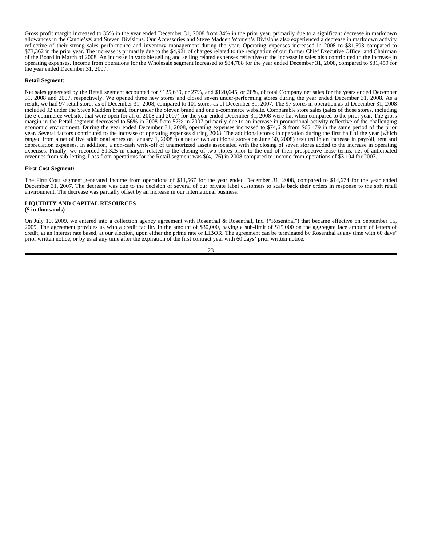Gross profit margin increased to 35% in the year ended December 31, 2008 from 34% in the prior year, primarily due to a significant decrease in markdown allowances in the Candie's® and Steven Divisions. Our Accessories and Steve Madden Women's Divisions also experienced a decrease in markdown activity reflective of their strong sales performance and inventory management during the year. Operating expenses increased in 2008 to \$81,593 compared to \$73,362 in the prior year. The increase is primarily due to the \$4,921 of charges related to the resignation of our former Chief Executive Officer and Chairman of the Board in March of 2008. An increase in variable selling and selling related expenses reflective of the increase in sales also contributed to the increase in operating expenses. Income from operations for the Wholesale segment increased to \$34,788 for the year ended December 31, 2008, compared to \$31,459 for the year ended December 31, 2007.

#### **Retail Segment:**

Net sales generated by the Retail segment accounted for \$125,639, or 27%, and \$120,645, or 28%, of total Company net sales for the years ended December 31, 2008 and 2007, respectively. We opened three new stores and closed seven under-performing stores during the year ended December 31, 2008. As a result, we had 97 retail stores as of December 31, 2008, compared to 101 stores as of December 31, 2007. The 97 stores in operation as of December 31, 2008 included 92 under the Steve Madden brand, four under the Steven brand and one e-commerce website. Comparable store sales (sales of those stores, including the e-commerce website, that were open for all of 2008 and 2007) for the year ended December 31, 2008 were flat when compared to the prior year. The gross margin in the Retail segment decreased to 56% in 2008 from 57% in 2007 primarily due to an increase in promotional activity reflective of the challenging economic environment. During the year ended December 31, 2008, operating expenses increased to \$74,619 from \$65,479 in the same period of the prior year. Several factors contributed to the increase of operating expenses during 2008. The additional stores in operation during the first half of the year (which ranged from a net of five additional stores on January 1, 2008 to a net of two additional stores on June 30, 2008) resulted in an increase in payroll, rent and depreciation expenses. In addition, a non-cash write-off of unamortized assets associated with the closing of seven stores added to the increase in operating expenses. Finally, we recorded \$1,325 in charges related to the closing of two stores prior to the end of their prospective lease terms, net of anticipated revenues from sub-letting. Loss from operations for the Retail segment was \$(4,176) in 2008 compared to income from operations of \$3,104 for 2007.

#### **First Cost Segment:**

The First Cost segment generated income from operations of \$11,567 for the year ended December 31, 2008, compared to \$14,674 for the year ended December 31, 2007. The decrease was due to the decision of several of our private label customers to scale back their orders in response to the soft retail environment. The decrease was partially offset by an increase in our international business.

## **LIQUIDITY AND CAPITAL RESOURCES (\$ in thousands)**

On July 10, 2009, we entered into a collection agency agreement with Rosenthal & Rosenthal, Inc. ("Rosenthal") that became effective on September 15, 2009. The agreement provides us with a credit facility in the amount of \$30,000, having a sub-limit of \$15,000 on the aggregate face amount of letters of credit, at an interest rate based, at our election, upon either the prime rate or LIBOR. The agreement can be terminated by Rosenthal at any time with 60 days' prior written notice, or by us at any time after the expiration of the first contract year with 60 days' prior written notice.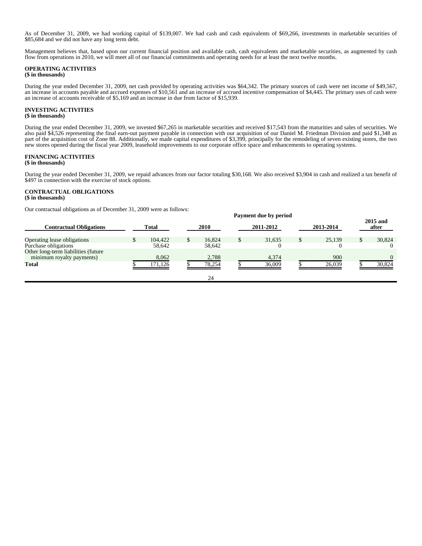As of December 31, 2009, we had working capital of \$139,007. We had cash and cash equivalents of \$69,266, investments in marketable securities of \$85,684 and we did not have any long term debt.

Management believes that, based upon our current financial position and available cash, cash equivalents and marketable securities, as augmented by cash flow from operations in 2010, we will meet all of our financial commitments and operating needs for at least the next twelve months.

#### **OPERATING ACTIVITIES (\$ in thousands)**

During the year ended December 31, 2009, net cash provided by operating activities was \$64,342. The primary sources of cash were net income of \$49,567, an increase in accounts payable and accrued expenses of \$10,561 and an increase of accrued incentive compensation of \$4,445. The primary uses of cash were an increase of accounts receivable of \$5,169 and an increase in due from factor of \$15,939.

#### **INVESTING ACTIVITIES (\$ in thousands)**

During the year ended December 31, 2009, we invested \$67,265 in marketable securities and received \$17,543 from the maturities and sales of securities. We also paid \$4,526 representing the final earn-out payment payable in connection with our acquisition of our Daniel M. Friedman Division and paid \$1,348 as part of the acquisition cost of Zone 88. Additionally, we made capital expenditures of \$3,399, principally for the remodeling of seven existing stores, the two new stores opened during the fiscal year 2009, leasehold improvements to our corporate office space and enhancements to operating systems.

#### **FINANCING ACTIVITIES (\$ in thousands)**

During the year ended December 31, 2009, we repaid advances from our factor totaling \$30,168. We also received \$3,904 in cash and realized a tax benefit of \$497 in connection with the exercise of stock options.

#### **CONTRACTUAL OBLIGATIONS (\$ in thousands)**

Our contractual obligations as of December 31, 2009 were as follows:

|                                                                  |  | Payment due by period |  |        |  |           |  |           |  |                   |  |  |  |
|------------------------------------------------------------------|--|-----------------------|--|--------|--|-----------|--|-----------|--|-------------------|--|--|--|
| <b>Contractual Obligations</b>                                   |  | <b>Total</b>          |  | 2010   |  | 2011-2012 |  | 2013-2014 |  | 2015 and<br>after |  |  |  |
| Operating lease obligations                                      |  | 104.422               |  | 16.824 |  | 31.635    |  | 25,139    |  | 30,824            |  |  |  |
| Purchase obligations                                             |  | 58,642                |  | 58,642 |  |           |  |           |  |                   |  |  |  |
| Other long-term liabilities (future<br>minimum royalty payments) |  | 8,062                 |  | 2,788  |  | 4,374     |  | 900       |  |                   |  |  |  |
| <b>Total</b>                                                     |  | 171,126               |  | 78,254 |  | 36,009    |  | 26,039    |  | 30,824            |  |  |  |
|                                                                  |  |                       |  | 24     |  |           |  |           |  |                   |  |  |  |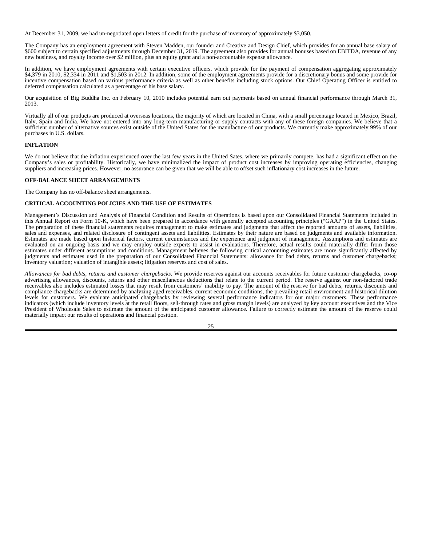At December 31, 2009, we had un-negotiated open letters of credit for the purchase of inventory of approximately \$3,050.

The Company has an employment agreement with Steven Madden, our founder and Creative and Design Chief, which provides for an annual base salary of \$600 subject to certain specified adjustments through December 31, 2019. The agreement also provides for annual bonuses based on EBITDA, revenue of any new business, and royalty income over \$2 million, plus an equity grant and a non-accountable expense allowance.

In addition, we have employment agreements with certain executive officers, which provide for the payment of compensation aggregating approximately \$4,379 in 2010, \$2,334 in 2011 and \$1,503 in 2012. In addition, some of the employment agreements provide for a discretionary bonus and some provide for incentive compensation based on various performance criteria as well as other benefits including stock options. Our Chief Operating Officer is entitled to deferred compensation calculated as a percentage of his base salary.

Our acquisition of Big Buddha Inc. on February 10, 2010 includes potential earn out payments based on annual financial performance through March 31, 2013.

Virtually all of our products are produced at overseas locations, the majority of which are located in China, with a small percentage located in Mexico, Brazil, Italy, Spain and India. We have not entered into any long-term manufacturing or supply contracts with any of these foreign companies. We believe that a sufficient number of alternative sources exist outside of the United States for the manufacture of our products. We currently make approximately 99% of our purchases in U.S. dollars.

#### **INFLATION**

We do not believe that the inflation experienced over the last few years in the United Sates, where we primarily compete, has had a significant effect on the Company's sales or profitability. Historically, we have minimalized the impact of product cost increases by improving operating efficiencies, changing suppliers and increasing prices. However, no assurance can be given that we will be able to offset such inflationary cost increases in the future.

#### **OFF-BALANCE SHEET ARRANGEMENTS**

The Company has no off-balance sheet arrangements.

## **CRITICAL ACCOUNTING POLICIES AND THE USE OF ESTIMATES**

Management's Discussion and Analysis of Financial Condition and Results of Operations is based upon our Consolidated Financial Statements included in this Annual Report on Form 10-K, which have been prepared in accordance with generally accepted accounting principles ("GAAP") in the United States. The preparation of these financial statements requires management to make estimates and judgments that affect the reported amounts of assets, liabilities, sales and expenses, and related disclosure of contingent assets and liabilities. Estimates by their nature are based on judgments and available information. Estimates are made based upon historical factors, current circumstances and the experience and judgment of management. Assumptions and estimates are evaluated on an ongoing basis and we may employ outside experts to assist in evaluations. Therefore, actual results could materially differ from those estimates under different assumptions and conditions. Management believes the following critical accounting estimates are more significantly affected by judgments and estimates used in the preparation of our Consolidated Financial Statements: allowance for bad debts, returns and customer chargebacks; inventory valuation; valuation of intangible assets; litigation reserves and cost of sales.

*Allowances for bad debts, returns and customer chargebacks*. We provide reserves against our accounts receivables for future customer chargebacks, co-op advertising allowances, discounts, returns and other miscellaneous deductions that relate to the current period. The reserve against our non-factored trade receivables also includes estimated losses that may result from customers' inability to pay. The amount of the reserve for bad debts, returns, discounts and compliance chargebacks are determined by analyzing aged receivables, current economic conditions, the prevailing retail environment and historical dilution levels for customers. We evaluate anticipated chargebacks by reviewing several performance indicators for our major customers. These performance indicators (which include inventory levels at the retail floors, sell-through rates and gross margin levels) are analyzed by key account executives and the Vice President of Wholesale Sales to estimate the amount of the anticipated customer allowance. Failure to correctly estimate the amount of the reserve could materially impact our results of operations and financial position.

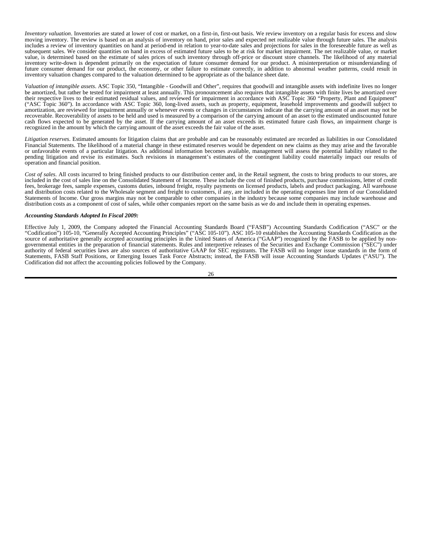*Inventory valuation*. Inventories are stated at lower of cost or market, on a first-in, first-out basis. We review inventory on a regular basis for excess and slow moving inventory. The review is based on an analysis of inventory on hand, prior sales and expected net realizable value through future sales. The analysis includes a review of inventory quantities on hand at period-end in relation to year-to-date sales and projections for sales in the foreseeable future as well as subsequent sales. We consider quantities on hand in excess of estimated future sales to be at risk for market impairment. The net realizable value, or market value, is determined based on the estimate of sales prices of such inventory through off-price or discount store channels. The likelihood of any material inventory write-down is dependent primarily on the expectation of future consumer demand for our product. A misinterpretation or misunderstanding of future consumer demand for our product, the economy, or other failure to estimate correctly, in addition to abnormal weather patterns, could result in inventory valuation changes compared to the valuation determined to be appropriate as of the balance sheet date.

*Valuation of intangible assets*. ASC Topic 350, "Intangible - Goodwill and Other", requires that goodwill and intangible assets with indefinite lives no longer be amortized, but rather be tested for impairment at least annually. This pronouncement also requires that intangible assets with finite lives be amortized over their respective lives to their estimated residual values, and reviewed for impairment in accordance with ASC Topic 360 "Property, Plant and Equipment" ("ASC Topic 360"). In accordance with ASC Topic 360, long-lived assets, such as property, equipment, leasehold improvements and goodwill subject to amortization, are reviewed for impairment annually or whenever events or changes in circumstances indicate that the carrying amount of an asset may not be recoverable. Recoverability of assets to be held and used is measured by a comparison of the carrying amount of an asset to the estimated undiscounted future cash flows expected to be generated by the asset. If the carrying amount of an asset exceeds its estimated future cash flows, an impairment charge is recognized in the amount by which the carrying amount of the asset exceeds the fair value of the asset.

*Litigation reserves*. Estimated amounts for litigation claims that are probable and can be reasonably estimated are recorded as liabilities in our Consolidated Financial Statements. The likelihood of a material change in these estimated reserves would be dependent on new claims as they may arise and the favorable or unfavorable events of a particular litigation. As additional information becomes available, management will assess the potential liability related to the pending litigation and revise its estimates. Such revisions in management's estimates of the contingent liability could materially impact our results of operation and financial position.

Cost of sales. All costs incurred to bring finished products to our distribution center and, in the Retail segment, the costs to bring products to our stores, are included in the cost of sales line on the Consolidated Statement of Income. These include the cost of finished products, purchase commissions, letter of credit fees, brokerage fees, sample expenses, customs duties, inbound freight, royalty payments on licensed products, labels and product packaging. All warehouse and distribution costs related to the Wholesale segment and freight to customers, if any, are included in the operating expenses line item of our Consolidated Statements of Income. Our gross margins may not be comparable to other companies in the industry because some companies may include warehouse and distribution costs as a component of cost of sales, while other companies report on the same basis as we do and include them in operating expenses.

#### *Accounting Standards Adopted In Fiscal 2009:*

Effective July 1, 2009, the Company adopted the Financial Accounting Standards Board ("FASB") Accounting Standards Codification ("ASC" or the "Codification") 105-10, "Generally Accepted Accounting Principles" ("ASC 105-10"). ASC 105-10 establishes the Accounting Standards Codification as the source of authoritative generally accepted accounting principles in the United States of America ("GAAP") recognized by the FASB to be applied by nongovernmental entities in the preparation of financial statements. Rules and interpretive releases of the Securities and Exchange Commission ("SEC") under authority of federal securities laws are also sources of authoritative GAAP for SEC registrants. The FASB will no longer issue standards in the form of Statements, FASB Staff Positions, or Emerging Issues Task Force Abstracts; instead, the FASB will issue Accounting Standards Updates ("ASU"). The Codification did not affect the accounting policies followed by the Company.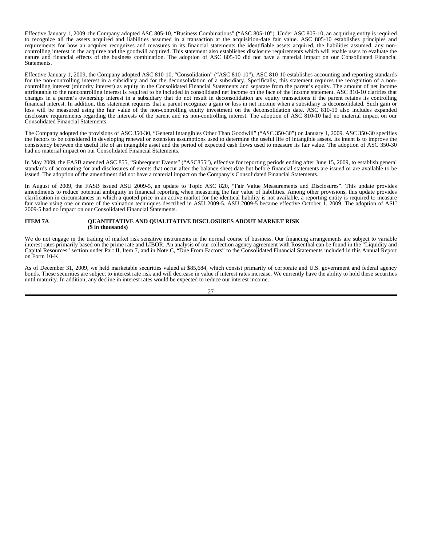Effective January 1, 2009, the Company adopted ASC 805-10, "Business Combinations" ("ASC 805-10"). Under ASC 805-10, an acquiring entity is required to recognize all the assets acquired and liabilities assumed in a transaction at the acquisition-date fair value. ASC 805-10 establishes principles and requirements for how an acquirer recognizes and measures in its financial statements the identifiable assets acquired, the liabilities assumed, any noncontrolling interest in the acquiree and the goodwill acquired. This statement also establishes disclosure requirements which will enable users to evaluate the nature and financial effects of the business combination. The adoption of ASC 805-10 did not have a material impact on our Consolidated Financial Statements.

Effective January 1, 2009, the Company adopted ASC 810-10, "Consolidation" ("ASC 810-10"). ASC 810-10 establishes accounting and reporting standards for the non-controlling interest in a subsidiary and for the deconsolidation of a subsidiary. Specifically, this statement requires the recognition of a noncontrolling interest (minority interest) as equity in the Consolidated Financial Statements and separate from the parent's equity. The amount of net income attributable to the noncontrolling interest is required to be included in consolidated net income on the face of the income statement. ASC 810-10 clarifies that changes in a parent's ownership interest in a subsidiary that do not result in deconsolidation are equity transactions if the parent retains its controlling financial interest. In addition, this statement requires that a parent recognize a gain or loss in net income when a subsidiary is deconsolidated. Such gain or loss will be measured using the fair value of the non-controlling equity investment on the deconsolidation date. ASC 810-10 also includes expanded disclosure requirements regarding the interests of the parent and its non-controlling interest. The adoption of ASC 810-10 had no material impact on our Consolidated Financial Statements.

The Company adopted the provisions of ASC 350-30, "General Intangibles Other Than Goodwill" ("ASC 350-30") on January 1, 2009. ASC 350-30 specifies the factors to be considered in developing renewal or extension assumptions used to determine the useful life of intangible assets. Its intent is to improve the consistency between the useful life of an intangible asset and the period of expected cash flows used to measure its fair value. The adoption of ASC 350-30 had no material impact on our Consolidated Financial Statements.

In May 2009, the FASB amended ASC 855, "Subsequent Events" ("ASC855"), effective for reporting periods ending after June 15, 2009, to establish general standards of accounting for and disclosures of events that occur after the balance sheet date but before financial statements are issued or are available to be issued. The adoption of the amendment did not have a material impact on the Company's Consolidated Financial Statements.

In August of 2009, the FASB issued ASU 2009-5, an update to Topic ASC 820, "Fair Value Measurements and Disclosures". This update provides amendments to reduce potential ambiguity in financial reporting when measuring the fair value of liabilities. Among other provisions, this update provides clarification in circumstances in which a quoted price in an active market for the identical liability is not available, a reporting entity is required to measure fair value using one or more of the valuation techniques described in ASU 2009-5. ASU 2009-5 became effective October 1, 2009. The adoption of ASU 2009-5 had no impact on our Consolidated Financial Statements.

#### **ITEM 7A QUANTITATIVE AND QUALITATIVE DISCLOSURES ABOUT MARKET RISK (\$ in thousands)**

We do not engage in the trading of market risk sensitive instruments in the normal course of business. Our financing arrangements are subject to variable interest rates primarily based on the prime rate and LIBOR. An analysis of our collection agency agreement with Rosenthal can be found in the "Liquidity and Capital Resources" section under Part II, Item 7, and in Note C, "Due From Factors" to the Consolidated Financial Statements included in this Annual Report on Form 10-K.

As of December 31, 2009, we held marketable securities valued at \$85,684, which consist primarily of corporate and U.S. government and federal agency bonds. These securities are subject to interest rate risk and will decrease in value if interest rates increase. We currently have the ability to hold these securities until maturity. In addition, any decline in interest rates would be expected to reduce our interest income.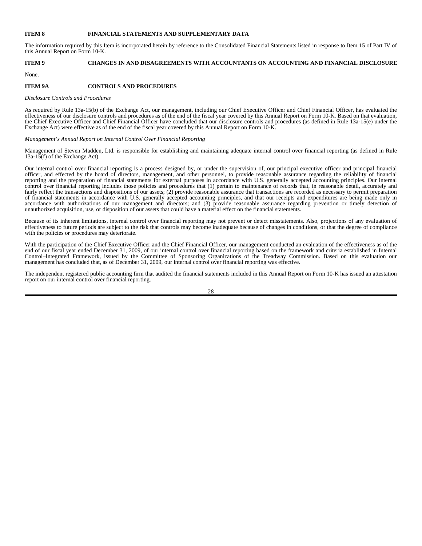## **ITEM 8 FINANCIAL STATEMENTS AND SUPPLEMENTARY DATA**

The information required by this Item is incorporated herein by reference to the Consolidated Financial Statements listed in response to Item 15 of Part IV of this Annual Report on Form 10-K.

## **ITEM 9 CHANGES IN AND DISAGREEMENTS WITH ACCOUNTANTS ON ACCOUNTING AND FINANCIAL DISCLOSURE**

None.

#### **ITEM 9A CONTROLS AND PROCEDURES**

*Disclosure Controls and Procedures*

As required by Rule 13a-15(b) of the Exchange Act, our management, including our Chief Executive Officer and Chief Financial Officer, has evaluated the effectiveness of our disclosure controls and procedures as of the end of the fiscal year covered by this Annual Report on Form 10-K. Based on that evaluation, the Chief Executive Officer and Chief Financial Officer have concluded that our disclosure controls and procedures (as defined in Rule 13a-15(e) under the Exchange Act) were effective as of the end of the fiscal year covered by this Annual Report on Form 10-K.

#### *Management's Annual Report on Internal Control Over Financial Reporting*

Management of Steven Madden, Ltd. is responsible for establishing and maintaining adequate internal control over financial reporting (as defined in Rule  $13a-15(f)$  of the Exchange Act).

Our internal control over financial reporting is a process designed by, or under the supervision of, our principal executive officer and principal financial officer, and effected by the board of directors, management, and other personnel, to provide reasonable assurance regarding the reliability of financial reporting and the preparation of financial statements for external purposes in accordance with U.S. generally accepted accounting principles. Our internal control over financial reporting includes those policies and procedures that (1) pertain to maintenance of records that, in reasonable detail, accurately and fairly reflect the transactions and dispositions of our assets; (2) provide reasonable assurance that transactions are recorded as necessary to permit preparation of financial statements in accordance with U.S. generally accepted accounting principles, and that our receipts and expenditures are being made only in accordance with authorizations of our management and directors; and (3) provide reasonable assurance regarding prevention or timely detection of unauthorized acquisition, use, or disposition of our assets that could have a material effect on the financial statements.

Because of its inherent limitations, internal control over financial reporting may not prevent or detect misstatements. Also, projections of any evaluation of effectiveness to future periods are subject to the risk that controls may become inadequate because of changes in conditions, or that the degree of compliance with the policies or procedures may deteriorate.

With the participation of the Chief Executive Officer and the Chief Financial Officer, our management conducted an evaluation of the effectiveness as of the end of our fiscal year ended December 31, 2009, of our internal control over financial reporting based on the framework and criteria established in Internal Control–Integrated Framework, issued by the Committee of Sponsoring Organizations of the Treadway Commission. Based on this evaluation our management has concluded that, as of December 31, 2009, our internal control over financial reporting was effective.

The independent registered public accounting firm that audited the financial statements included in this Annual Report on Form 10-K has issued an attestation report on our internal control over financial reporting.

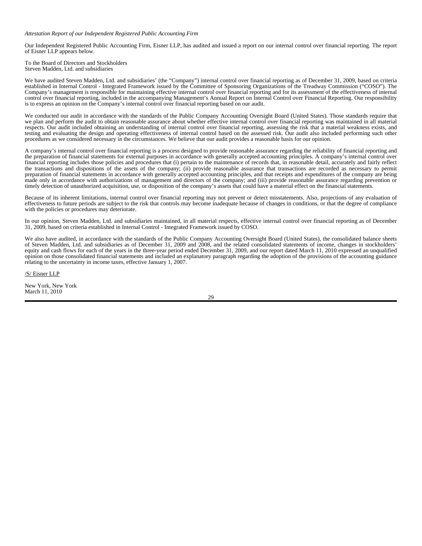*Attestation Report of our Independent Registered Public Accounting Firm*

Our Independent Registered Public Accounting Firm, Eisner LLP, has audited and issued a report on our internal control over financial reporting. The report of Eisner LLP appears below.

To the Board of Directors and Stockholders Steven Madden, Ltd. and subsidiaries

We have audited Steven Madden, Ltd. and subsidiaries' (the "Company") internal control over financial reporting as of December 31, 2009, based on criteria established in Internal Control - Integrated Framework issued by the Committee of Sponsoring Organizations of the Treadway Commission ("COSO"). The Company's management is responsible for maintaining effective internal control over financial reporting and for its assessment of the effectiveness of internal control over financial reporting, included in the accompanying Management's Annual Report on Internal Control over Financial Reporting. Our responsibility is to express an opinion on the Company's internal control over financial reporting based on our audit.

We conducted our audit in accordance with the standards of the Public Company Accounting Oversight Board (United States). Those standards require that we plan and perform the audit to obtain reasonable assurance about whether effective internal control over financial reporting was maintained in all material respects. Our audit included obtaining an understanding of internal control over financial reporting, assessing the risk that a material weakness exists, and testing and evaluating the design and operating effectiveness of internal control based on the assessed risk. Our audit also included performing such other procedures as we considered necessary in the circumstances. We believe that our audit provides a reasonable basis for our opinion.

A company's internal control over financial reporting is a process designed to provide reasonable assurance regarding the reliability of financial reporting and the preparation of financial statements for external purposes in accordance with generally accepted accounting principles. A company's internal control over financial reporting includes those policies and procedures that (i) pertain to the maintenance of records that, in reasonable detail, accurately and fairly reflect the transactions and dispositions of the assets of the company; (ii) provide reasonable assurance that transactions are recorded as necessary to permit preparation of financial statements in accordance with generally accepted accounting principles, and that receipts and expenditures of the company are being made only in accordance with authorizations of management and directors of the company; and (iii) provide reasonable assurance regarding prevention or timely detection of unauthorized acquisition, use, or disposition of the company's assets that could have a material effect on the financial statements.

Because of its inherent limitations, internal control over financial reporting may not prevent or detect misstatements. Also, projections of any evaluation of effectiveness to future periods are subject to the risk that controls may become inadequate because of changes in conditions, or that the degree of compliance with the policies or procedures may deteriorate.

In our opinion, Steven Madden, Ltd. and subsidiaries maintained, in all material respects, effective internal control over financial reporting as of December 31, 2009, based on criteria established in Internal Control - Integrated Framework issued by COSO.

We also have audited, in accordance with the standards of the Public Company Accounting Oversight Board (United States), the consolidated balance sheets of Steven Madden, Ltd. and subsidiaries as of December 31, 2009 and 2008, and the related consolidated statements of income, changes in stockholders' equity and cash flows for each of the years in the three-year period ended December 31, 2009, and our report dated March 11, 2010 expressed an unqualified opinion on those consolidated financial statements and included an explanatory paragraph regarding the adoption of the provisions of the accounting guidance relating to the uncertainty in income taxes, effective January 1, 2007.

/S/ Eisner LLP

New York, New York March 11, 2010

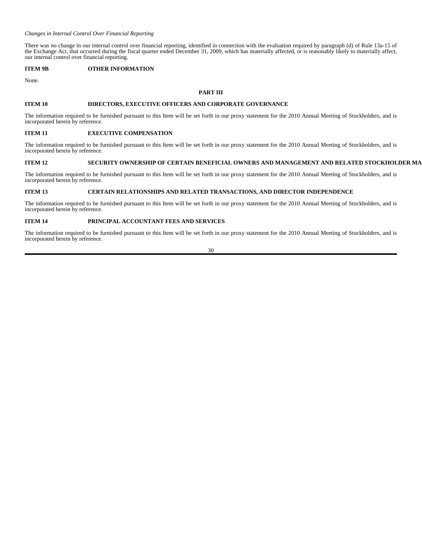#### *Changes in Internal Control Over Financial Reporting*

There was no change in our internal control over financial reporting, identified in connection with the evaluation required by paragraph (d) of Rule 13a-15 of the Exchange Act, that occurred during the fiscal quarter ended December 31, 2009, which has materially affected, or is reasonably likely to materially affect, our internal control over financial reporting.

## **ITEM 9B OTHER INFORMATION**

None.

## **PART III**

## **ITEM 10 DIRECTORS, EXECUTIVE OFFICERS AND CORPORATE GOVERNANCE**

The information required to be furnished pursuant to this Item will be set forth in our proxy statement for the 2010 Annual Meeting of Stockholders, and is incorporated herein by reference.

## **ITEM 11 EXECUTIVE COMPENSATION**

The information required to be furnished pursuant to this Item will be set forth in our proxy statement for the 2010 Annual Meeting of Stockholders, and is incorporated herein by reference.

## **ITEM 12 SECURITY OWNERSHIP OF CERTAIN BENEFICIAL OWNERS AND MANAGEMENT AND RELATED STOCKHOLDER MA**

The information required to be furnished pursuant to this Item will be set forth in our proxy statement for the 2010 Annual Meeting of Stockholders, and is incorporated herein by reference.

## **ITEM 13 CERTAIN RELATIONSHIPS AND RELATED TRANSACTIONS, AND DIRECTOR INDEPENDENCE**

The information required to be furnished pursuant to this Item will be set forth in our proxy statement for the 2010 Annual Meeting of Stockholders, and is incorporated herein by reference.

#### **ITEM 14 PRINCIPAL ACCOUNTANT FEES AND SERVICES**

The information required to be furnished pursuant to this Item will be set forth in our proxy statement for the 2010 Annual Meeting of Stockholders, and is incorporated herein by reference.

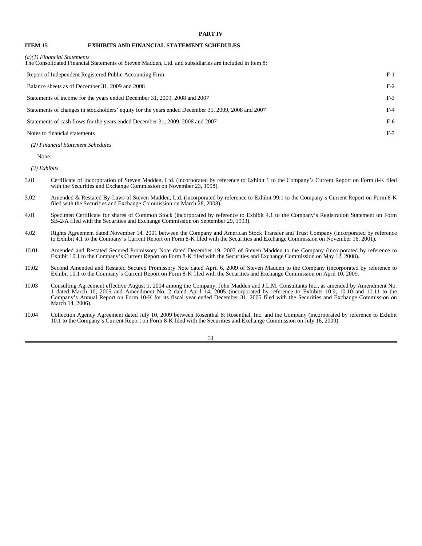## **ITEM 15 EXHIBITS AND FINANCIAL STATEMENT SCHEDULES**

*(a)(1) Financial Statements*

The Consolidated Financial Statements of Steven Madden, Ltd. and subsidiaries are included in Item 8:

| Report of Independent Registered Public Accounting Firm                                            | F-1   |
|----------------------------------------------------------------------------------------------------|-------|
| Balance sheets as of December 31, 2009 and 2008                                                    | $F-2$ |
| Statements of income for the years ended December 31, 2009, 2008 and 2007                          | $F-3$ |
| Statements of changes in stockholders' equity for the years ended December 31, 2009, 2008 and 2007 | $F-4$ |
| Statements of cash flows for the years ended December 31, 2009, 2008 and 2007                      | F-6   |
| Notes to financial statements                                                                      | $F-7$ |
| (2) Financial Statement Schedules                                                                  |       |

None.

*(3) Exhibits.*

- 3.01 Certificate of Incorporation of Steven Madden, Ltd. (incorporated by reference to Exhibit 1 to the Company's Current Report on Form 8-K filed with the Securities and Exchange Commission on November 23, 1998).
- 3.02 Amended & Restated By-Laws of Steven Madden, Ltd. (incorporated by reference to Exhibit 99.1 to the Company's Current Report on Form 8-K filed with the Securities and Exchange Commission on March 28, 2008).
- 4.01 Specimen Certificate for shares of Common Stock (incorporated by reference to Exhibit 4.1 to the Company's Registration Statement on Form SB-2/A filed with the Securities and Exchange Commission on September 29, 1993).
- 4.02 Rights Agreement dated November 14, 2001 between the Company and American Stock Transfer and Trust Company (incorporated by reference to Exhibit 4.1 to the Company's Current Report on Form 8-K filed with the Securities and Exchange Commission on November 16, 2001).
- 10.01 Amended and Restated Secured Promissory Note dated December 19, 2007 of Steven Madden to the Company (incorporated by reference to Exhibit 10.1 to the Company's Current Report on Form 8-K filed with the Securities and Exchange Commission on May 12, 2008).
- 10.02 Second Amended and Restated Secured Promissory Note dated April 6, 2009 of Steven Madden to the Company (incorporated by reference to Exhibit 10.1 to the Company's Current Report on Form 8-K filed with the Securities and Exchange Commission on April 10, 2009.
- 10.03 Consulting Agreement effective August 1, 2004 among the Company, John Madden and J.L.M. Consultants Inc., as amended by Amendment No. 1 dated March 10, 2005 and Amendment No. 2 dated April 14, 2005 (incorporated by reference to Exhibits 10.9, 10.10 and 10.11 to the Company's Annual Report on Form 10-K for its fiscal year ended December 31, 2005 filed with the Securities and Exchange Commission on March 14, 2006).
- 10.04 Collection Agency Agreement dated July 10, 2009 between Rosenthal & Rosenthal, Inc. and the Company (incorporated by reference to Exhibit 10.1 to the Company's Current Report on Form 8-K filed with the Securities and Exchange Commission on July 16, 2009).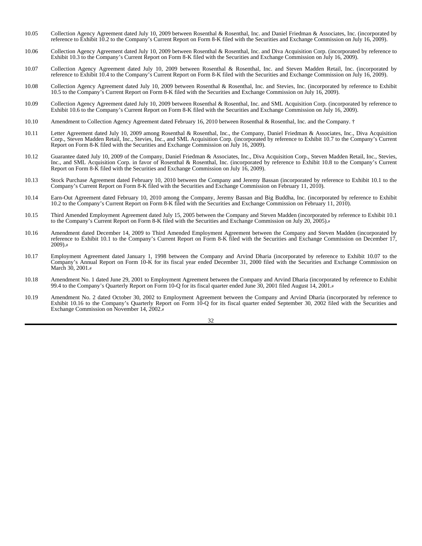- 10.05 Collection Agency Agreement dated July 10, 2009 between Rosenthal & Rosenthal, Inc. and Daniel Friedman & Associates, Inc. (incorporated by reference to Exhibit 10.2 to the Company's Current Report on Form 8-K filed with the Securities and Exchange Commission on July 16, 2009).
- 10.06 Collection Agency Agreement dated July 10, 2009 between Rosenthal & Rosenthal, Inc. and Diva Acquisition Corp. (incorporated by reference to Exhibit 10.3 to the Company's Current Report on Form 8-K filed with the Securities and Exchange Commission on July 16, 2009).
- 10.07 Collection Agency Agreement dated July 10, 2009 between Rosenthal & Rosenthal, Inc. and Steven Madden Retail, Inc. (incorporated by reference to Exhibit 10.4 to the Company's Current Report on Form 8-K filed with the Securities and Exchange Commission on July 16, 2009).
- 10.08 Collection Agency Agreement dated July 10, 2009 between Rosenthal & Rosenthal, Inc. and Stevies, Inc. (incorporated by reference to Exhibit 10.5 to the Company's Current Report on Form 8-K filed with the Securities and Exchange Commission on July 16, 2009).
- 10.09 Collection Agency Agreement dated July 10, 2009 between Rosenthal & Rosenthal, Inc. and SML Acquisition Corp. (incorporated by reference to Exhibit 10.6 to the Company's Current Report on Form 8-K filed with the Securities and Exchange Commission on July 16, 2009).
- 10.10 Amendment to Collection Agency Agreement dated February 16, 2010 between Rosenthal & Rosenthal, Inc. and the Company. †
- 10.11 Letter Agreement dated July 10, 2009 among Rosenthal & Rosenthal, Inc., the Company, Daniel Friedman & Associates, Inc., Diva Acquisition Corp., Steven Madden Retail, Inc., Stevies, Inc., and SML Acquisition Corp. (incorporated by reference to Exhibit 10.7 to the Company's Current Report on Form 8-K filed with the Securities and Exchange Commission on July 16, 2009).
- 10.12 Guarantee dated July 10, 2009 of the Company, Daniel Friedman & Associates, Inc., Diva Acquisition Corp., Steven Madden Retail, Inc., Stevies, Inc., and SML Acquisition Corp. in favor of Rosenthal & Rosenthal, Inc. (incorporated by reference to Exhibit 10.8 to the Company's Current Report on Form 8-K filed with the Securities and Exchange Commission on July 16, 2009).
- 10.13 Stock Purchase Agreement dated February 10, 2010 between the Company and Jeremy Bassan (incorporated by reference to Exhibit 10.1 to the Company's Current Report on Form 8-K filed with the Securities and Exchange Commission on February 11, 2010).
- 10.14 Earn-Out Agreement dated February 10, 2010 among the Company, Jeremy Bassan and Big Buddha, Inc. (incorporated by reference to Exhibit 10.2 to the Company's Current Report on Form 8-K filed with the Securities and Exchange Commission on February 11, 2010).
- 10.15 Third Amended Employment Agreement dated July 15, 2005 between the Company and Steven Madden (incorporated by reference to Exhibit 10.1 to the Company's Current Report on Form 8-K filed with the Securities and Exchange Commission on July 20, 2005).#
- 10.16 Amendment dated December 14, 2009 to Third Amended Employment Agreement between the Company and Steven Madden (incorporated by reference to Exhibit 10.1 to the Company's Current Report on Form 8-K filed with the Securities and Exchange Commission on December 17, 2009).#
- 10.17 Employment Agreement dated January 1, 1998 between the Company and Arvind Dharia (incorporated by reference to Exhibit 10.07 to the Company's Annual Report on Form 10-K for its fiscal year ended December 31, 2000 filed with the Securities and Exchange Commission on March 30, 2001.#
- 10.18 Amendment No. 1 dated June 29, 2001 to Employment Agreement between the Company and Arvind Dharia (incorporated by reference to Exhibit 99.4 to the Company's Quarterly Report on Form 10-Q for its fiscal quarter ended June 30, 2001 filed August 14, 2001.#
- 10.19 Amendment No. 2 dated October 30, 2002 to Employment Agreement between the Company and Arvind Dharia (incorporated by reference to Exhibit 10.16 to the Company's Quarterly Report on Form 10-Q for its fiscal quarter ended September 30, 2002 filed with the Securities and Exchange Commission on November 14, 2002.#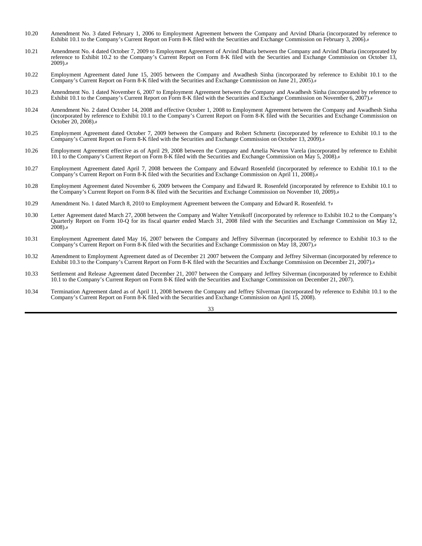- 10.20 Amendment No. 3 dated February 1, 2006 to Employment Agreement between the Company and Arvind Dharia (incorporated by reference to Exhibit 10.1 to the Company's Current Report on Form 8-K filed with the Securities and Exchange Commission on February 3, 2006).#
- 10.21 Amendment No. 4 dated October 7, 2009 to Employment Agreement of Arvind Dharia between the Company and Arvind Dharia (incorporated by reference to Exhibit 10.2 to the Company's Current Report on Form 8-K filed with the Securities and Exchange Commission on October 13, 2009).#
- 10.22 Employment Agreement dated June 15, 2005 between the Company and Awadhesh Sinha (incorporated by reference to Exhibit 10.1 to the Company's Current Report on Form 8-K filed with the Securities and Exchange Commission on June 21, 2005).#
- 10.23 Amendment No. 1 dated November 6, 2007 to Employment Agreement between the Company and Awadhesh Sinha (incorporated by reference to Exhibit 10.1 to the Company's Current Report on Form 8-K filed with the Securities and Exchange Commission on November 6, 2007).#
- 10.24 Amendment No. 2 dated October 14, 2008 and effective October 1, 2008 to Employment Agreement between the Company and Awadhesh Sinha (incorporated by reference to Exhibit 10.1 to the Company's Current Report on Form 8-K filed with the Securities and Exchange Commission on October 20, 2008).#
- 10.25 Employment Agreement dated October 7, 2009 between the Company and Robert Schmertz (incorporated by reference to Exhibit 10.1 to the Company's Current Report on Form 8-K filed with the Securities and Exchange Commission on October 13, 2009).#
- 10.26 Employment Agreement effective as of April 29, 2008 between the Company and Amelia Newton Varela (incorporated by reference to Exhibit 10.1 to the Company's Current Report on Form 8-K filed with the Securities and Exchange Commission on May 5, 2008).#
- 10.27 Employment Agreement dated April 7, 2008 between the Company and Edward Rosenfeld (incorporated by reference to Exhibit 10.1 to the Company's Current Report on Form 8-K filed with the Securities and Exchange Commission on April 11, 2008).#
- 10.28 Employment Agreement dated November 6, 2009 between the Company and Edward R. Rosenfeld (incorporated by reference to Exhibit 10.1 to the Company's Current Report on Form 8-K filed with the Securities and Exchange Commission on November 10, 2009).#
- 10.29 Amendment No. 1 dated March 8, 2010 to Employment Agreement between the Company and Edward R. Rosenfeld. †#
- 10.30 Letter Agreement dated March 27, 2008 between the Company and Walter Yetnikoff (incorporated by reference to Exhibit 10.2 to the Company's Quarterly Report on Form 10-Q for its fiscal quarter ended March 31, 2008 filed with the Securities and Exchange Commission on May 12,  $2008$ ).#
- 10.31 Employment Agreement dated May 16, 2007 between the Company and Jeffrey Silverman (incorporated by reference to Exhibit 10.3 to the Company's Current Report on Form 8-K filed with the Securities and Exchange Commission on May 18, 2007).#
- 10.32 Amendment to Employment Agreement dated as of December 21 2007 between the Company and Jeffrey Silverman (incorporated by reference to Exhibit 10.3 to the Company's Current Report on Form 8-K filed with the Securities and Exchange Commission on December 21, 2007).#
- 10.33 Settlement and Release Agreement dated December 21, 2007 between the Company and Jeffrey Silverman (incorporated by reference to Exhibit 10.1 to the Company's Current Report on Form 8-K filed with the Securities and Exchange Commission on December 21, 2007).
- 10.34 Termination Agreement dated as of April 11, 2008 between the Company and Jeffrey Silverman (incorporated by reference to Exhibit 10.1 to the Company's Current Report on Form 8-K filed with the Securities and Exchange Commission on April 15, 2008).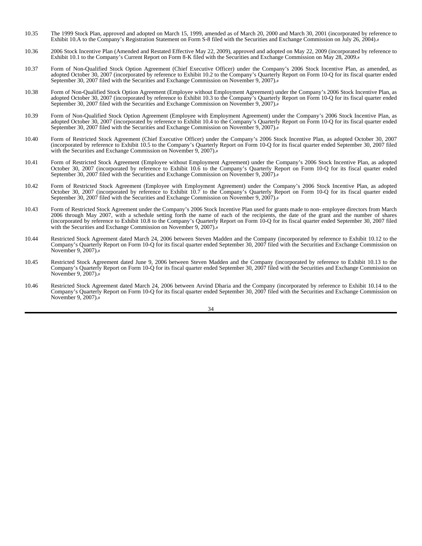- 10.35 The 1999 Stock Plan, approved and adopted on March 15, 1999, amended as of March 20, 2000 and March 30, 2001 (incorporated by reference to Exhibit 10.A to the Company's Registration Statement on Form S-8 filed with the Securities and Exchange Commission on July 26, 2004).#
- 10.36 2006 Stock Incentive Plan (Amended and Restated Effective May 22, 2009), approved and adopted on May 22, 2009 (incorporated by reference to Exhibit 10.1 to the Company's Current Report on Form 8-K filed with the Securities and Exchange Commission on May 28, 2009.#
- 10.37 Form of Non-Qualified Stock Option Agreement (Chief Executive Officer) under the Company's 2006 Stock Incentive Plan, as amended, as adopted October 30, 2007 (incorporated by reference to Exhibit 10.2 to the Company's Quarterly Report on Form 10-Q for its fiscal quarter ended September 30, 2007 filed with the Securities and Exchange Commission on November 9, 2007).#
- 10.38 Form of Non-Qualified Stock Option Agreement (Employee without Employment Agreement) under the Company's 2006 Stock Incentive Plan, as adopted October 30, 2007 (incorporated by reference to Exhibit 10.3 to the Company's Quarterly Report on Form 10-Q for its fiscal quarter ended September 30, 2007 filed with the Securities and Exchange Commission on November 9, 2007).#
- 10.39 Form of Non-Qualified Stock Option Agreement (Employee with Employment Agreement) under the Company's 2006 Stock Incentive Plan, as adopted October 30, 2007 (incorporated by reference to Exhibit 10.4 to the Company's Quarterly Report on Form 10-Q for its fiscal quarter ended September 30, 2007 filed with the Securities and Exchange Commission on November 9, 2007).#
- 10.40 Form of Restricted Stock Agreement (Chief Executive Officer) under the Company's 2006 Stock Incentive Plan, as adopted October 30, 2007 (incorporated by reference to Exhibit 10.5 to the Company's Quarterly Report on Form 10-Q for its fiscal quarter ended September 30, 2007 filed with the Securities and Exchange Commission on November 9, 2007).#
- 10.41 Form of Restricted Stock Agreement (Employee without Employment Agreement) under the Company's 2006 Stock Incentive Plan, as adopted October 30, 2007 (incorporated by reference to Exhibit 10.6 to the Company's Quarterly Report on Form 10-Q for its fiscal quarter ended September 30, 2007 filed with the Securities and Exchange Commission on November 9, 2007).#
- 10.42 Form of Restricted Stock Agreement (Employee with Employment Agreement) under the Company's 2006 Stock Incentive Plan, as adopted October 30, 2007 (incorporated by reference to Exhibit 10.7 to the Company's Quarterly Report on Form 10-Q for its fiscal quarter ended September 30, 2007 filed with the Securities and Exchange Commission on November 9, 2007).#
- 10.43 Form of Restricted Stock Agreement under the Company's 2006 Stock Incentive Plan used for grants made to non- employee directors from March 2006 through May 2007, with a schedule setting forth the name of each of the recipients, the date of the grant and the number of shares (incorporated by reference to Exhibit 10.8 to the Company's Quarterly Report on Form 10-Q for its fiscal quarter ended September 30, 2007 filed with the Securities and Exchange Commission on November 9, 2007).#
- 10.44 Restricted Stock Agreement dated March 24, 2006 between Steven Madden and the Company (incorporated by reference to Exhibit 10.12 to the Company's Quarterly Report on Form 10-Q for its fiscal quarter ended September 30, 2007 filed with the Securities and Exchange Commission on November 9, 2007).#
- 10.45 Restricted Stock Agreement dated June 9, 2006 between Steven Madden and the Company (incorporated by reference to Exhibit 10.13 to the Company's Quarterly Report on Form 10-Q for its fiscal quarter ended September 30, 2007 filed with the Securities and Exchange Commission on November 9, 2007).#
- 10.46 Restricted Stock Agreement dated March 24, 2006 between Arvind Dharia and the Company (incorporated by reference to Exhibit 10.14 to the Company's Quarterly Report on Form 10-Q for its fiscal quarter ended September 30, 2007 filed with the Securities and Exchange Commission on November 9, 2007).#

34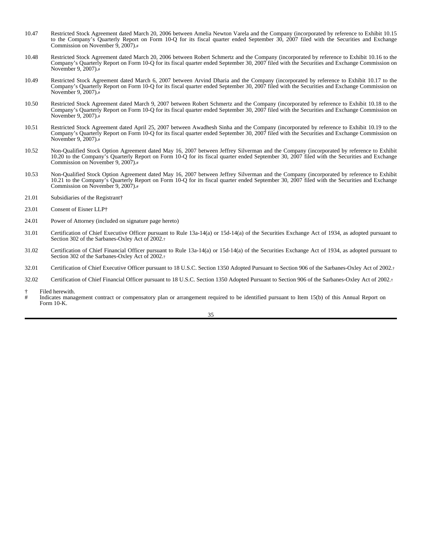- 10.47 Restricted Stock Agreement dated March 20, 2006 between Amelia Newton Varela and the Company (incorporated by reference to Exhibit 10.15 to the Company's Quarterly Report on Form 10-Q for its fiscal quarter ended September 30, 2007 filed with the Securities and Exchange Commission on November 9, 2007).#
- 10.48 Restricted Stock Agreement dated March 20, 2006 between Robert Schmertz and the Company (incorporated by reference to Exhibit 10.16 to the Company's Quarterly Report on Form 10-Q for its fiscal quarter ended September 30, 2007 filed with the Securities and Exchange Commission on November 9, 2007).#
- 10.49 Restricted Stock Agreement dated March 6, 2007 between Arvind Dharia and the Company (incorporated by reference to Exhibit 10.17 to the Company's Quarterly Report on Form 10-Q for its fiscal quarter ended September 30, 2007 filed with the Securities and Exchange Commission on November 9, 2007).#
- 10.50 Restricted Stock Agreement dated March 9, 2007 between Robert Schmertz and the Company (incorporated by reference to Exhibit 10.18 to the Company's Quarterly Report on Form 10-Q for its fiscal quarter ended September 30, 2007 filed with the Securities and Exchange Commission on November 9, 2007).#
- 10.51 Restricted Stock Agreement dated April 25, 2007 between Awadhesh Sinha and the Company (incorporated by reference to Exhibit 10.19 to the Company's Quarterly Report on Form 10-Q for its fiscal quarter ended September 30, 2007 filed with the Securities and Exchange Commission on November 9, 2007).#
- 10.52 Non-Qualified Stock Option Agreement dated May 16, 2007 between Jeffrey Silverman and the Company (incorporated by reference to Exhibit 10.20 to the Company's Quarterly Report on Form 10-Q for its fiscal quarter ended September 30, 2007 filed with the Securities and Exchange Commission on November 9, 2007).#
- 10.53 Non-Qualified Stock Option Agreement dated May 16, 2007 between Jeffrey Silverman and the Company (incorporated by reference to Exhibit 10.21 to the Company's Quarterly Report on Form 10-Q for its fiscal quarter ended September 30, 2007 filed with the Securities and Exchange Commission on November 9, 2007).#
- 21.01 Subsidiaries of the Registrant†
- 23.01 Consent of Eisner LLP†
- 24.01 Power of Attorney (included on signature page hereto)
- 31.01 Certification of Chief Executive Officer pursuant to Rule 13a-14(a) or 15d-14(a) of the Securities Exchange Act of 1934, as adopted pursuant to Section 302 of the Sarbanes-Oxley Act of 2002.†
- 31.02 Certification of Chief Financial Officer pursuant to Rule 13a-14(a) or 15d-14(a) of the Securities Exchange Act of 1934, as adopted pursuant to Section 302 of the Sarbanes-Oxley Act of 2002.†
- 32.01 Certification of Chief Executive Officer pursuant to 18 U.S.C. Section 1350 Adopted Pursuant to Section 906 of the Sarbanes-Oxley Act of 2002.<sup>†</sup>
- 32.02 Certification of Chief Financial Officer pursuant to 18 U.S.C. Section 1350 Adopted Pursuant to Section 906 of the Sarbanes-Oxley Act of 2002.†
- † Filed herewith.
- Indicates management contract or compensatory plan or arrangement required to be identified pursuant to Item 15(b) of this Annual Report on Form 10-K.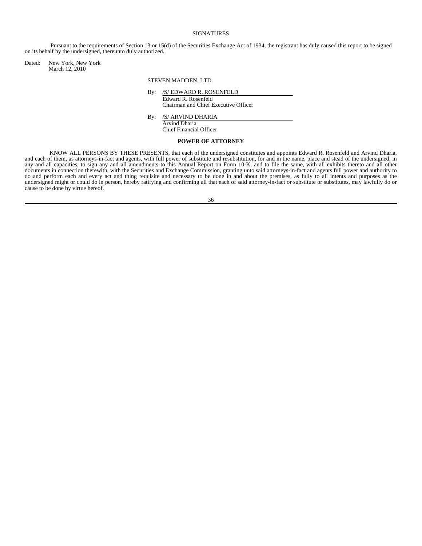# SIGNATURES

 Pursuant to the requirements of Section 13 or 15(d) of the Securities Exchange Act of 1934, the registrant has duly caused this report to be signed on its behalf by the undersigned, thereunto duly authorized.

Dated: New York, New York March 12, 2010

# STEVEN MADDEN, LTD.

By: /S/ EDWARD R. ROSENFELD

Edward R. Rosenfeld Chairman and Chief Executive Officer

By: /S/ ARVIND DHARIA

Arvind Dharia Chief Financial Officer

# **POWER OF ATTORNEY**

KNOW ALL PERSONS BY THESE PRESENTS, that each of the undersigned constitutes and appoints Edward R. Rosenfeld and Arvind Dharia, and each of them, as attorneys-in-fact and agents, with full power of substitute and resubstitution, for and in the name, place and stead of the undersigned, in any and all capacities, to sign any and all amendments to this Annual Report on Form 10-K, and to file the same, with all exhibits thereto and all other documents in connection therewith, with the Securities and Exchange Commission, granting unto said attorneys-in-fact and agents full power and authority to do and perform each and every act and thing requisite and necessary to be done in and about the premises, as fully to all intents and purposes as the undersigned might or could do in person, hereby ratifying and confirming all that each of said attorney-in-fact or substitute or substitutes, may lawfully do or cause to be done by virtue hereof.

36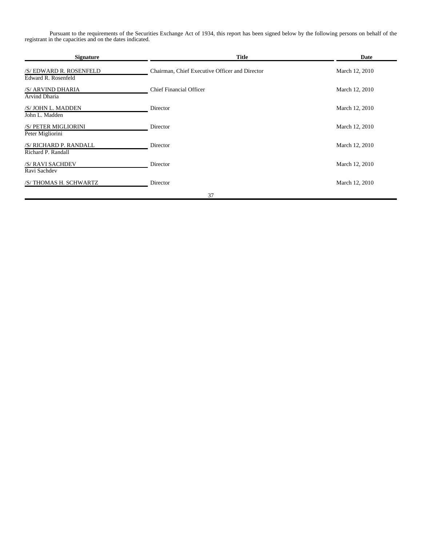Pursuant to the requirements of the Securities Exchange Act of 1934, this report has been signed below by the following persons on behalf of the registrant in the capacities and on the dates indicated.

| <b>Signature</b>                              | <b>Title</b>                                   | Date           |
|-----------------------------------------------|------------------------------------------------|----------------|
| /S/EDWARD R. ROSENFELD<br>Edward R. Rosenfeld | Chairman, Chief Executive Officer and Director | March 12, 2010 |
| /S/ ARVIND DHARIA<br>Arvind Dharia            | <b>Chief Financial Officer</b>                 | March 12, 2010 |
| /S/ JOHN L. MADDEN<br>John L. Madden          | Director                                       | March 12, 2010 |
| /S/ PETER MIGLIORINI<br>Peter Migliorini      | Director                                       | March 12, 2010 |
| /S/ RICHARD P. RANDALL<br>Richard P. Randall  | Director                                       | March 12, 2010 |
| /S/ RAVI SACHDEV<br>Ravi Sachdev              | Director                                       | March 12, 2010 |
| /S/ THOMAS H. SCHWARTZ                        | Director                                       | March 12, 2010 |
|                                               | 37                                             |                |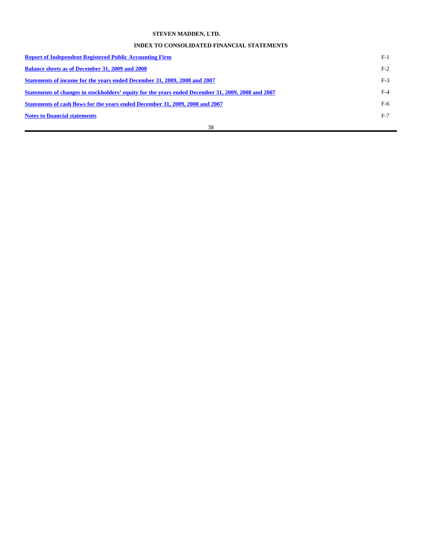# **STEVEN MADDEN, LTD.**

# **INDEX TO CONSOLIDATED FINANCIAL STATEMENTS**

| <b>Report of Independent Registered Public Accounting Firm</b>                                     | $F-1$ |
|----------------------------------------------------------------------------------------------------|-------|
| <b>Balance sheets as of December 31, 2009 and 2008</b>                                             | $F-2$ |
| Statements of income for the years ended December 31, 2009, 2008 and 2007                          | $F-3$ |
| Statements of changes in stockholders' equity for the years ended December 31, 2009, 2008 and 2007 | $F-4$ |
| Statements of cash flows for the years ended December 31, 2009, 2008 and 2007                      | F-6   |
| <b>Notes to financial statements</b>                                                               | $F-7$ |
|                                                                                                    |       |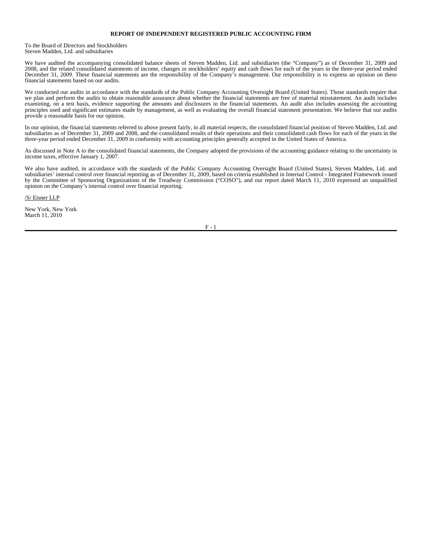# **REPORT OF INDEPENDENT REGISTERED PUBLIC ACCOUNTING FIRM**

To the Board of Directors and Stockholders Steven Madden, Ltd. and subsidiaries

We have audited the accompanying consolidated balance sheets of Steven Madden, Ltd. and subsidiaries (the "Company") as of December 31, 2009 and 2008, and the related consolidated statements of income, changes in stockholders' equity and cash flows for each of the years in the three-year period ended December 31, 2009. These financial statements are the responsibility of the Company's management. Our responsibility is to express an opinion on these financial statements based on our audits.

We conducted our audits in accordance with the standards of the Public Company Accounting Oversight Board (United States). Those standards require that we plan and perform the audits to obtain reasonable assurance about whether the financial statements are free of material misstatement. An audit includes examining, on a test basis, evidence supporting the amounts and disclosures in the financial statements. An audit also includes assessing the accounting principles used and significant estimates made by management, as well as evaluating the overall financial statement presentation. We believe that our audits provide a reasonable basis for our opinion.

In our opinion, the financial statements referred to above present fairly, in all material respects, the consolidated financial position of Steven Madden, Ltd. and subsidiaries as of December 31, 2009 and 2008, and the consolidated results of their operations and their consolidated cash flows for each of the years in the three-year period ended December 31, 2009 in conformity with accounting principles generally accepted in the United States of America.

As discussed in Note A to the consolidated financial statements, the Company adopted the provisions of the accounting guidance relating to the uncertainty in income taxes, effective January 1, 2007.

We also have audited, in accordance with the standards of the Public Company Accounting Oversight Board (United States), Steven Madden, Ltd. and subsidiaries' internal control over financial reporting as of December 31, 2009, based on criteria established in Internal Control - Integrated Framework issued by the Committee of Sponsoring Organizations of the Treadway Commission ("COSO"), and our report dated March 11, 2010 expressed an unqualified opinion on the Company's internal control over financial reporting.

/S/ Eisner LLP

New York, New York March 11, 2010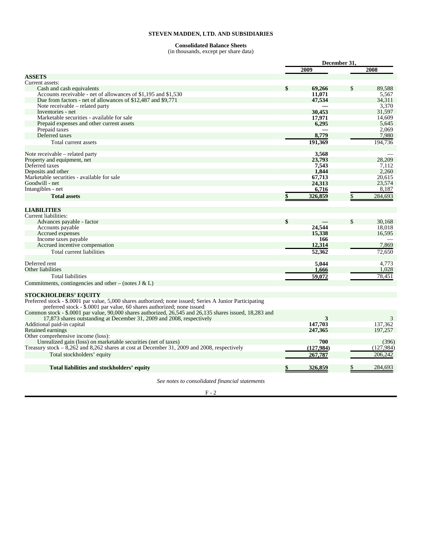## **Consolidated Balance Sheets**

(in thousands, except per share data)

|                                                                                                                                         |    | 2009      |    | 2008      |
|-----------------------------------------------------------------------------------------------------------------------------------------|----|-----------|----|-----------|
| <b>ASSETS</b>                                                                                                                           |    |           |    |           |
| Current assets:                                                                                                                         |    |           |    |           |
| Cash and cash equivalents                                                                                                               | \$ | 69,266    | \$ | 89,588    |
| Accounts receivable - net of allowances of \$1,195 and \$1,530                                                                          |    | 11.071    |    | 5,567     |
| Due from factors - net of allowances of \$12,487 and \$9,771                                                                            |    | 47,534    |    | 34.311    |
| Note receivable – related party                                                                                                         |    |           |    | 3,370     |
| Inventories - net                                                                                                                       |    | 30.453    |    | 31,597    |
| Marketable securities - available for sale                                                                                              |    | 17,971    |    | 14.609    |
| Prepaid expenses and other current assets                                                                                               |    | 6,295     |    | 5.645     |
| Prepaid taxes                                                                                                                           |    |           |    | 2.069     |
| Deferred taxes                                                                                                                          |    | 8,779     |    | 7,980     |
| Total current assets                                                                                                                    |    | 191,369   |    | 194,736   |
|                                                                                                                                         |    |           |    |           |
| Note receivable – related party                                                                                                         |    | 3,568     |    |           |
| Property and equipment, net                                                                                                             |    | 23,793    |    | 28,209    |
| Deferred taxes                                                                                                                          |    | 7.543     |    | 7,112     |
| Deposits and other                                                                                                                      |    | 1.844     |    | 2.260     |
| Marketable securities - available for sale                                                                                              |    | 67,713    |    | 20.615    |
| Goodwill - net                                                                                                                          |    | 24.313    |    | 23,574    |
| Intangibles - net                                                                                                                       |    | 6,716     |    | 8.187     |
| <b>Total assets</b>                                                                                                                     |    | 326,859   |    | 284,693   |
|                                                                                                                                         |    |           |    |           |
| <b>LIABILITIES</b>                                                                                                                      |    |           |    |           |
| Current liabilities:                                                                                                                    |    |           |    |           |
| Advances payable - factor                                                                                                               | \$ |           | \$ | 30.168    |
| Accounts payable                                                                                                                        |    | 24,544    |    | 18,018    |
| Accrued expenses                                                                                                                        |    | 15,338    |    | 16,595    |
| Income taxes payable                                                                                                                    |    | 166       |    |           |
| Accrued incentive compensation                                                                                                          |    | 12,314    |    | 7,869     |
| Total current liabilities                                                                                                               |    | 52,362    |    | 72,650    |
|                                                                                                                                         |    |           |    |           |
| Deferred rent                                                                                                                           |    | 5,044     |    | 4,773     |
| Other liabilities                                                                                                                       |    | 1,666     |    | 1,028     |
| <b>Total liabilities</b>                                                                                                                |    | 59,072    |    | 78,451    |
|                                                                                                                                         |    |           |    |           |
| Commitments, contingencies and other – (notes $J &L$ )                                                                                  |    |           |    |           |
|                                                                                                                                         |    |           |    |           |
| <b>STOCKHOLDERS' EQUITY</b><br>Preferred stock - \$.0001 par value, 5,000 shares authorized; none issued; Series A Junior Participating |    |           |    |           |
| preferred stock - \$.0001 par value, 60 shares authorized; none issued                                                                  |    |           |    |           |
| Common stock - \$.0001 par value, 90,000 shares authorized, 26,545 and 26,135 shares issued, 18,283 and                                 |    |           |    |           |
| 17,873 shares outstanding at December 31, 2009 and 2008, respectively                                                                   |    | 3         |    |           |
| Additional paid-in capital                                                                                                              |    | 147,703   |    | 137,362   |
| <b>Retained earnings</b>                                                                                                                |    | 247,365   |    | 197,257   |
| Other comprehensive income (loss):                                                                                                      |    |           |    |           |
| Unrealized gain (loss) on marketable securities (net of taxes)                                                                          |    | 700       |    | (396)     |
| Treasury stock $-8,262$ and $8,262$ shares at cost at December 31, 2009 and 2008, respectively                                          |    | (127,984) |    | (127,984) |
| Total stockholders' equity                                                                                                              |    |           |    | 206,242   |
|                                                                                                                                         |    | 267,787   |    |           |
| Total liabilities and stockholders' equity                                                                                              |    | 326,859   |    | 284,693   |
|                                                                                                                                         |    |           |    |           |
| See notes to consolidated financial statements                                                                                          |    |           |    |           |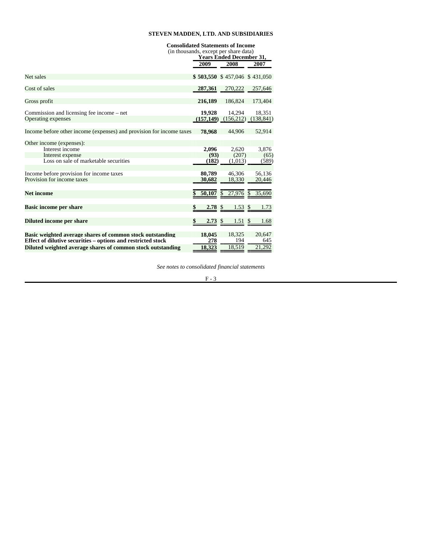|                                                                                                                                                                                          | <b>Consolidated Statements of Income</b><br>(in thousands, except per share data) |                                 |                         |  |  |  |
|------------------------------------------------------------------------------------------------------------------------------------------------------------------------------------------|-----------------------------------------------------------------------------------|---------------------------------|-------------------------|--|--|--|
|                                                                                                                                                                                          |                                                                                   | <b>Years Ended December 31,</b> |                         |  |  |  |
|                                                                                                                                                                                          | 2009                                                                              | 2008                            | 2007                    |  |  |  |
| Net sales                                                                                                                                                                                |                                                                                   | $$503.550 \$457,046 \$431,050$  |                         |  |  |  |
| Cost of sales                                                                                                                                                                            | 287,361                                                                           | 270,222                         | 257,646                 |  |  |  |
| Gross profit                                                                                                                                                                             | 216,189                                                                           | 186,824                         | 173,404                 |  |  |  |
| Commission and licensing fee income – net<br>Operating expenses                                                                                                                          | 19,928<br>(157, 149)                                                              | 14.294<br>(156,212)             | 18,351<br>(138, 841)    |  |  |  |
| Income before other income (expenses) and provision for income taxes                                                                                                                     | 78,968                                                                            | 44,906                          | 52,914                  |  |  |  |
| Other income (expenses):<br>Interest income<br>Interest expense<br>Loss on sale of marketable securities                                                                                 | 2.096<br>(93)<br>(182)                                                            | 2,620<br>(207)<br>(1,013)       | 3,876<br>(65)<br>(589)  |  |  |  |
| Income before provision for income taxes<br>Provision for income taxes                                                                                                                   | 80,789<br>30,682                                                                  | 46,306<br>18,330                | 56,136<br>20,446        |  |  |  |
| <b>Net income</b>                                                                                                                                                                        | 50,107                                                                            | 27,976<br><sup>\$</sup>         | 35,690<br><sup>\$</sup> |  |  |  |
| <b>Basic income per share</b>                                                                                                                                                            | 2.78                                                                              | 1.53<br>\$                      | S<br>1.73               |  |  |  |
| Diluted income per share                                                                                                                                                                 | 2.73                                                                              | 1.51<br>-S                      | 1.68                    |  |  |  |
| Basic weighted average shares of common stock outstanding<br>Effect of dilutive securities – options and restricted stock<br>Diluted weighted average shares of common stock outstanding | 18,045<br>278<br>18,323                                                           | 18,325<br>194<br>18,519         | 20,647<br>645<br>21,292 |  |  |  |

*See notes to consolidated financial statements*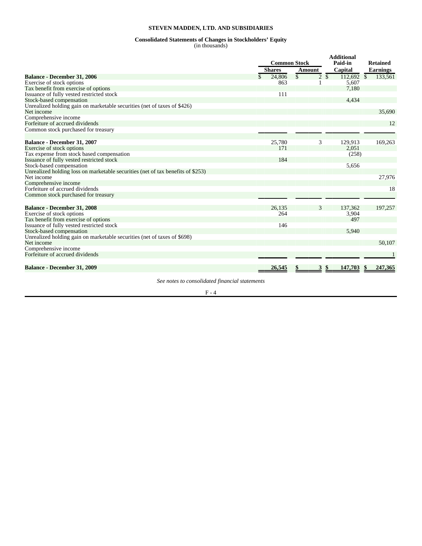# **Consolidated Statements of Changes in Stockholders' Equity**

(in thousands)

|                                                                                                      | <b>Common Stock</b>     |                                | <b>Additional</b><br>Paid-in | <b>Retained</b> |  |
|------------------------------------------------------------------------------------------------------|-------------------------|--------------------------------|------------------------------|-----------------|--|
|                                                                                                      | <b>Shares</b>           | Amount                         | Capital                      | <b>Earnings</b> |  |
| <b>Balance - December 31, 2006</b>                                                                   | 24.806<br>$\mathcal{S}$ | $\mathbb{S}$<br>2 <sup>5</sup> | 112.692 \$                   | 133,561         |  |
| Exercise of stock options                                                                            | 863                     | 1                              | 5,607                        |                 |  |
| Tax benefit from exercise of options                                                                 |                         |                                | 7.180                        |                 |  |
| Issuance of fully vested restricted stock                                                            | 111                     |                                |                              |                 |  |
| Stock-based compensation                                                                             |                         |                                | 4,434                        |                 |  |
| Unrealized holding gain on marketable securities (net of taxes of \$426)                             |                         |                                |                              |                 |  |
| Net income                                                                                           |                         |                                |                              | 35,690          |  |
| Comprehensive income                                                                                 |                         |                                |                              |                 |  |
| Forfeiture of accrued dividends                                                                      |                         |                                |                              | 12              |  |
| Common stock purchased for treasury                                                                  |                         |                                |                              |                 |  |
| <b>Balance - December 31, 2007</b>                                                                   | 25,780                  | 3                              | 129,913                      | 169,263         |  |
| Exercise of stock options                                                                            | 171                     |                                | 2.051                        |                 |  |
| Tax expense from stock based compensation                                                            |                         |                                | (258)                        |                 |  |
| Issuance of fully vested restricted stock                                                            | 184                     |                                |                              |                 |  |
| Stock-based compensation                                                                             |                         |                                | 5,656                        |                 |  |
| Unrealized holding loss on marketable securities (net of tax benefits of \$253)                      |                         |                                |                              |                 |  |
| Net income                                                                                           |                         |                                |                              | 27,976          |  |
| Comprehensive income                                                                                 |                         |                                |                              |                 |  |
| Forfeiture of accrued dividends                                                                      |                         |                                |                              | 18              |  |
| Common stock purchased for treasury                                                                  |                         |                                |                              |                 |  |
|                                                                                                      |                         |                                |                              |                 |  |
| <b>Balance - December 31, 2008</b>                                                                   | 26.135                  | 3                              | 137,362                      | 197,257         |  |
| Exercise of stock options                                                                            | 264                     |                                | 3,904                        |                 |  |
| Tax benefit from exercise of options                                                                 | 146                     |                                | 497                          |                 |  |
| Issuance of fully vested restricted stock                                                            |                         |                                |                              |                 |  |
| Stock-based compensation<br>Unrealized holding gain on marketable securities (net of taxes of \$698) |                         |                                | 5,940                        |                 |  |
| Net income                                                                                           |                         |                                |                              | 50,107          |  |
| Comprehensive income                                                                                 |                         |                                |                              |                 |  |
| Forfeiture of accrued dividends                                                                      |                         |                                |                              |                 |  |
|                                                                                                      |                         |                                |                              |                 |  |
| <b>Balance - December 31, 2009</b>                                                                   |                         |                                |                              |                 |  |
|                                                                                                      |                         |                                |                              |                 |  |

*See notes to consolidated financial statements*

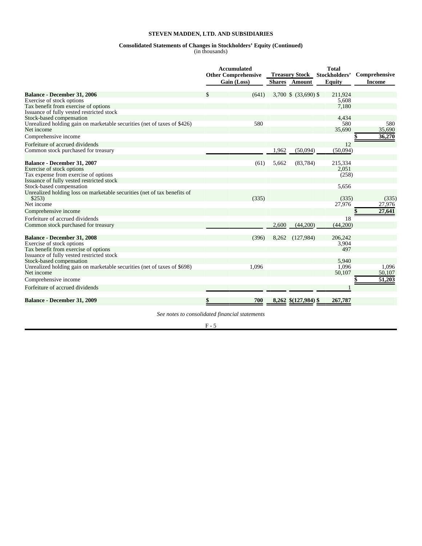#### **Consolidated Statements of Changes in Stockholders' Equity (Continued)** (in thousands)

|                                                                                    | <b>Accumulated</b><br><b>Other Comprehensive</b> |       |               |                                   | <b>Total</b><br><b>Treasury Stock Stockholders'</b> | Comprehensive |
|------------------------------------------------------------------------------------|--------------------------------------------------|-------|---------------|-----------------------------------|-----------------------------------------------------|---------------|
|                                                                                    | Gain (Loss)                                      |       | <b>Shares</b> | Amount                            | <b>Equity</b>                                       | Income        |
| <b>Balance - December 31, 2006</b>                                                 | $\mathcal{S}$                                    | (641) |               | $3,700 \text{ }$ \$ $(33,690)$ \$ | 211,924                                             |               |
| Exercise of stock options                                                          |                                                  |       |               |                                   | 5,608                                               |               |
| Tax benefit from exercise of options                                               |                                                  |       |               |                                   | 7,180                                               |               |
| Issuance of fully vested restricted stock                                          |                                                  |       |               |                                   |                                                     |               |
| Stock-based compensation                                                           |                                                  |       |               |                                   | 4,434                                               |               |
| Unrealized holding gain on marketable securities (net of taxes of \$426)           |                                                  | 580   |               |                                   | 580                                                 | 580           |
| Net income                                                                         |                                                  |       |               |                                   | 35,690                                              | 35,690        |
| Comprehensive income                                                               |                                                  |       |               |                                   |                                                     | 36,270        |
| Forfeiture of accrued dividends                                                    |                                                  |       |               |                                   | 12                                                  |               |
| Common stock purchased for treasury                                                |                                                  |       | 1,962         | (50,094)                          | (50,094)                                            |               |
| <b>Balance - December 31, 2007</b>                                                 |                                                  | (61)  | 5,662         | (83, 784)                         | 215,334                                             |               |
| Exercise of stock options                                                          |                                                  |       |               |                                   | 2,051                                               |               |
| Tax expense from exercise of options                                               |                                                  |       |               |                                   | (258)                                               |               |
| Issuance of fully vested restricted stock                                          |                                                  |       |               |                                   |                                                     |               |
| Stock-based compensation                                                           |                                                  |       |               |                                   | 5,656                                               |               |
| Unrealized holding loss on marketable securities (net of tax benefits of<br>\$253) |                                                  | (335) |               |                                   | (335)                                               | (335)         |
| Net income                                                                         |                                                  |       |               |                                   | 27,976                                              | 27,976        |
| Comprehensive income                                                               |                                                  |       |               |                                   |                                                     | 27,641        |
| Forfeiture of accrued dividends                                                    |                                                  |       |               |                                   | 18                                                  |               |
| Common stock purchased for treasury                                                |                                                  |       | 2.600         | (44,200)                          | (44,200)                                            |               |
| <b>Balance - December 31, 2008</b>                                                 |                                                  | (396) | 8,262         | (127, 984)                        | 206,242                                             |               |
| Exercise of stock options                                                          |                                                  |       |               |                                   | 3,904                                               |               |
| Tax benefit from exercise of options                                               |                                                  |       |               |                                   | 497                                                 |               |
| Issuance of fully vested restricted stock                                          |                                                  |       |               |                                   |                                                     |               |
| Stock-based compensation                                                           |                                                  |       |               |                                   | 5.940                                               |               |
| Unrealized holding gain on marketable securities (net of taxes of \$698)           |                                                  | 1,096 |               |                                   | 1,096                                               | 1.096         |
| Net income                                                                         |                                                  |       |               |                                   | 50,107                                              | 50,107        |
| Comprehensive income                                                               |                                                  |       |               |                                   |                                                     | 51,203        |
| Forfeiture of accrued dividends                                                    |                                                  |       |               |                                   |                                                     |               |
| <b>Balance - December 31, 2009</b>                                                 | \$                                               | 700   |               | 8,262 \$(127,984) \$              | 267,787                                             |               |
|                                                                                    |                                                  |       |               |                                   |                                                     |               |

*See notes to consolidated financial statements*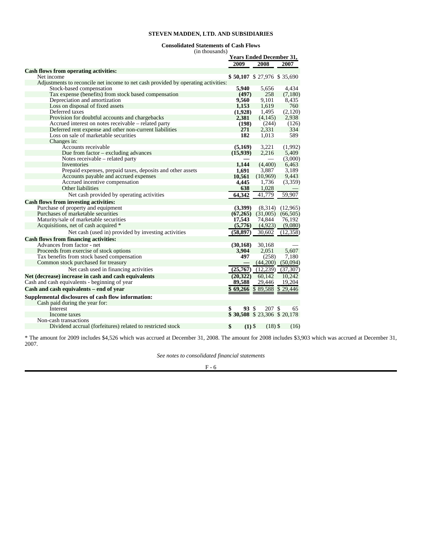# **Consolidated Statements of Cash Flows**

(in thousands)

|                                                                                   | <b>Years Ended December 31,</b> |                               |                             |  |
|-----------------------------------------------------------------------------------|---------------------------------|-------------------------------|-----------------------------|--|
|                                                                                   | $\frac{2009}{ }$                | 2008                          | 2007                        |  |
| <b>Cash flows from operating activities:</b>                                      |                                 |                               |                             |  |
| Net income                                                                        |                                 | $$50,107$ $$27,976$ $$35,690$ |                             |  |
| Adjustments to reconcile net income to net cash provided by operating activities: |                                 |                               |                             |  |
| Stock-based compensation                                                          | 5.940                           | 5.656                         | 4.434                       |  |
| Tax expense (benefits) from stock based compensation                              | (497)                           | 258                           | (7,180)                     |  |
| Depreciation and amortization                                                     | 9,560                           | 9,101                         | 8,435                       |  |
| Loss on disposal of fixed assets                                                  | 1,153                           | 1,619                         | 760                         |  |
| Deferred taxes                                                                    | (1,928)                         | 1,495                         | (2,120)                     |  |
| Provision for doubtful accounts and chargebacks                                   | 2,381                           | (4,145)                       | 2,938                       |  |
| Accrued interest on notes receivable – related party                              | (198)                           | (244)                         | (126)                       |  |
| Deferred rent expense and other non-current liabilities                           | 271                             | 2,331                         | 334                         |  |
| Loss on sale of marketable securities                                             | 182                             | 1,013                         | 589                         |  |
| Changes in:                                                                       |                                 |                               |                             |  |
| Accounts receivable                                                               | (5.169)                         | 3,221                         | (1,992)                     |  |
| Due from factor – excluding advances                                              | (15,939)                        | 2,216                         | 5,409                       |  |
| Notes receivable – related party                                                  |                                 |                               | (3,000)                     |  |
| Inventories                                                                       | 1.144                           | (4,400)                       | 6,463                       |  |
| Prepaid expenses, prepaid taxes, deposits and other assets                        | 1,691                           | 3,887                         | 3,189                       |  |
| Accounts payable and accrued expenses                                             | 10,561                          | (10,969)                      | 9,443                       |  |
| Accrued incentive compensation                                                    | 4,445                           | 1,736                         | (3,359)                     |  |
| Other liabilities                                                                 | 638                             | 1,028                         |                             |  |
| Net cash provided by operating activities                                         | 64,342                          | 41,779                        | 59,907                      |  |
| <b>Cash flows from investing activities:</b>                                      |                                 |                               |                             |  |
| Purchase of property and equipment                                                | (3,399)                         | (8,314)                       | (12,965)                    |  |
| Purchases of marketable securities                                                | (67,265)                        | (31,005)                      | (66, 505)                   |  |
| Maturity/sale of marketable securities                                            | 17,543                          | 74,844                        | 76,192                      |  |
| Acquisitions, net of cash acquired *                                              | (5,776)                         | (4,923)                       | (9,080)                     |  |
| Net cash (used in) provided by investing activities                               | (58, 897)                       | 30,602                        | (12,358)                    |  |
| <b>Cash flows from financing activities:</b>                                      |                                 |                               |                             |  |
| Advances from factor - net                                                        | (30, 168)                       | 30,168                        |                             |  |
| Proceeds from exercise of stock options                                           | 3,904                           | 2.051                         | 5.607                       |  |
| Tax benefits from stock based compensation                                        | 497                             | (258)                         | 7,180                       |  |
| Common stock purchased for treasury                                               |                                 |                               | $(44,200)$ $(50,094)$       |  |
| Net cash used in financing activities                                             | (25,767)                        |                               | $(12,239)$ $(37,307)$       |  |
| Net (decrease) increase in cash and cash equivalents                              | (20.322)                        | 60,142                        | 10,242                      |  |
| Cash and cash equivalents - beginning of year                                     | 89,588                          | 29,446                        | 19,204                      |  |
| Cash and cash equivalents - end of year                                           | \$69,266                        | \$89,588                      | \$29,446                    |  |
| Supplemental disclosures of cash flow information:                                |                                 |                               |                             |  |
| Cash paid during the year for:                                                    |                                 |                               |                             |  |
| Interest                                                                          | 93 S<br>\$                      | 207 \$                        | 65                          |  |
| Income taxes                                                                      |                                 |                               | $$30.508 \$23.306 \$20.178$ |  |
| Non-cash transactions                                                             |                                 |                               |                             |  |
| Dividend accrual (forfeitures) related to restricted stock                        | \$<br>$(1)$ \$                  | $(18)$ \$                     | (16)                        |  |

\* The amount for 2009 includes \$4,526 which was accrued at December 31, 2008. The amount for 2008 includes \$3,903 which was accrued at December 31, 2007.

*See notes to consolidated financial statements*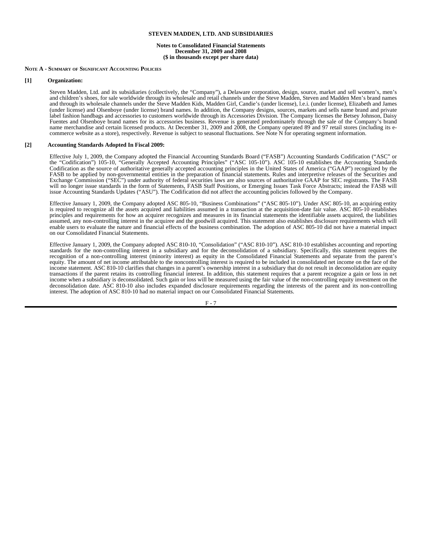### **Notes to Consolidated Financial Statements December 31, 2009 and 2008 (\$ in thousands except per share data)**

## **NOTE A - SUMMARY OF SIGNIFICANT ACCOUNTING POLICIES**

#### **[1] Organization:**

Steven Madden, Ltd. and its subsidiaries (collectively, the "Company"), a Delaware corporation, design, source, market and sell women's, men's and children's shoes, for sale worldwide through its wholesale and retail channels under the Steve Madden, Steven and Madden Men's brand names and through its wholesale channels under the Steve Madden Kids, Madden Girl, Candie's (under license), l.e.i. (under license), Elizabeth and James (under license) and Olsenboye (under license) brand names. In addition, the Company designs, sources, markets and sells name brand and private label fashion handbags and accessories to customers worldwide through its Accessories Division. The Company licenses the Betsey Johnson, Daisy Fuentes and Olsenboye brand names for its accessories business. Revenue is generated predominately through the sale of the Company's brand name merchandise and certain licensed products. At December 31, 2009 and 2008, the Company operated 89 and 97 retail stores (including its ecommerce website as a store), respectively. Revenue is subject to seasonal fluctuations. See Note N for operating segment information.

### **[2] Accounting Standards Adopted In Fiscal 2009:**

Effective July 1, 2009, the Company adopted the Financial Accounting Standards Board ("FASB") Accounting Standards Codification ("ASC" or the "Codification") 105-10, "Generally Accepted Accounting Principles" ("ASC 105-10"). ASC 105-10 establishes the Accounting Standards Codification as the source of authoritative generally accepted accounting principles in the United States of America ("GAAP") recognized by the FASB to be applied by non-governmental entities in the preparation of financial statements. Rules and interpretive releases of the Securities and Exchange Commission ("SEC") under authority of federal securities laws are also sources of authoritative GAAP for SEC registrants. The FASB will no longer issue standards in the form of Statements, FASB Staff Positions, or Emerging Issues Task Force Abstracts; instead the FASB will issue Accounting Standards Updates ("ASU"). The Codification did not affect the accounting policies followed by the Company.

Effective January 1, 2009, the Company adopted ASC 805-10, "Business Combinations" ("ASC 805-10"). Under ASC 805-10, an acquiring entity is required to recognize all the assets acquired and liabilities assumed in a transaction at the acquisition-date fair value. ASC 805-10 establishes principles and requirements for how an acquirer recognizes and measures in its financial statements the identifiable assets acquired, the liabilities assumed, any non-controlling interest in the acquiree and the goodwill acquired. This statement also establishes disclosure requirements which will enable users to evaluate the nature and financial effects of the business combination. The adoption of ASC 805-10 did not have a material impact on our Consolidated Financial Statements.

Effective January 1, 2009, the Company adopted ASC 810-10, "Consolidation" ("ASC 810-10"). ASC 810-10 establishes accounting and reporting standards for the non-controlling interest in a subsidiary and for the deconsolidation of a subsidiary. Specifically, this statement requires the recognition of a non-controlling interest (minority interest) as equity in the Consolidated Financial Statements and separate from the parent's equity. The amount of net income attributable to the noncontrolling interest is required to be included in consolidated net income on the face of the income statement. ASC 810-10 clarifies that changes in a parent's ownership interest in a subsidiary that do not result in deconsolidation are equity transactions if the parent retains its controlling financial interest. In addition, this statement requires that a parent recognize a gain or loss in net income when a subsidiary is deconsolidated. Such gain or loss will be measured using the fair value of the non-controlling equity investment on the deconsolidation date. ASC 810-10 also includes expanded disclosure requirements regarding the interests of the parent and its non-controlling interest. The adoption of ASC 810-10 had no material impact on our Consolidated Financial Statements.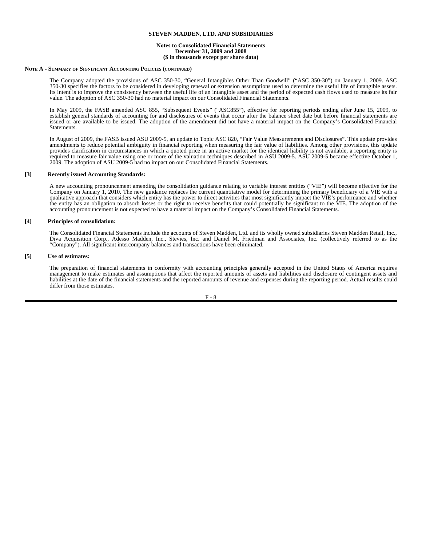### **Notes to Consolidated Financial Statements December 31, 2009 and 2008 (\$ in thousands except per share data)**

## **NOTE A - SUMMARY OF SIGNIFICANT ACCOUNTING POLICIES (CONTINUED)**

The Company adopted the provisions of ASC 350-30, "General Intangibles Other Than Goodwill" ("ASC 350-30") on January 1, 2009. ASC 350-30 specifies the factors to be considered in developing renewal or extension assumptions used to determine the useful life of intangible assets. Its intent is to improve the consistency between the useful life of an intangible asset and the period of expected cash flows used to measure its fair value. The adoption of ASC 350-30 had no material impact on our Consolidated Financial Statements.

In May 2009, the FASB amended ASC 855, "Subsequent Events" ("ASC855"), effective for reporting periods ending after June 15, 2009, to establish general standards of accounting for and disclosures of events that occur after the balance sheet date but before financial statements are issued or are available to be issued. The adoption of the amendment did not have a material impact on the Company's Consolidated Financial Statements.

In August of 2009, the FASB issued ASU 2009-5, an update to Topic ASC 820, "Fair Value Measurements and Disclosures". This update provides amendments to reduce potential ambiguity in financial reporting when measuring the fair value of liabilities. Among other provisions, this update provides clarification in circumstances in which a quoted price in an active market for the identical liability is not available, a reporting entity is required to measure fair value using one or more of the valuation techniques described in ASU 2009-5. ASU 2009-5 became effective October 1, 2009. The adoption of ASU 2009-5 had no impact on our Consolidated Financial Statements.

### **[3] Recently issued Accounting Standards:**

A new accounting pronouncement amending the consolidation guidance relating to variable interest entities ("VIE") will become effective for the Company on January 1, 2010. The new guidance replaces the current quantitative model for determining the primary beneficiary of a VIE with a qualitative approach that considers which entity has the power to direct activities that most significantly impact the VIE's performance and whether the entity has an obligation to absorb losses or the right to receive benefits that could potentially be significant to the VIE. The adoption of the accounting pronouncement is not expected to have a material impact on the Company's Consolidated Financial Statements.

#### **[4] Principles of consolidation:**

The Consolidated Financial Statements include the accounts of Steven Madden, Ltd. and its wholly owned subsidiaries Steven Madden Retail, Inc., Diva Acquisition Corp., Adesso Madden, Inc., Stevies, Inc. and Daniel M. Friedman and Associates, Inc. (collectively referred to as the "Company"). All significant intercompany balances and transactions have been eliminated.

### **[5] Use of estimates:**

The preparation of financial statements in conformity with accounting principles generally accepted in the United States of America requires management to make estimates and assumptions that affect the reported amounts of assets and liabilities and disclosure of contingent assets and liabilities at the date of the financial statements and the reported amounts of revenue and expenses during the reporting period. Actual results could differ from those estimates.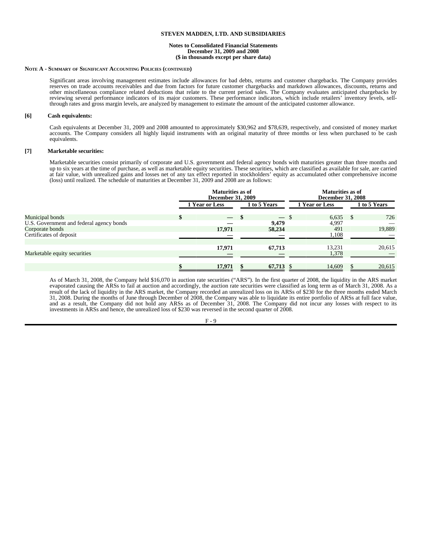### **Notes to Consolidated Financial Statements December 31, 2009 and 2008 (\$ in thousands except per share data)**

### **NOTE A - SUMMARY OF SIGNIFICANT ACCOUNTING POLICIES (CONTINUED)**

Significant areas involving management estimates include allowances for bad debts, returns and customer chargebacks. The Company provides reserves on trade accounts receivables and due from factors for future customer chargebacks and markdown allowances, discounts, returns and other miscellaneous compliance related deductions that relate to the current period sales. The Company evaluates anticipated chargebacks by reviewing several performance indicators of its major customers. These performance indicators, which include retailers' inventory levels, sellthrough rates and gross margin levels, are analyzed by management to estimate the amount of the anticipated customer allowance.

#### **[6] Cash equivalents:**

Cash equivalents at December 31, 2009 and 2008 amounted to approximately \$30,962 and \$78,639, respectively, and consisted of money market accounts. The Company considers all highly liquid instruments with an original maturity of three months or less when purchased to be cash equivalents.

# **[7] Marketable securities:**

Marketable securities consist primarily of corporate and U.S. government and federal agency bonds with maturities greater than three months and up to six years at the time of purchase, as well as marketable equity securities. These securities, which are classified as available for sale, are carried at fair value, with unrealized gains and losses net of any tax effect reported in stockholders' equity as accumulated other comprehensive income (loss) until realized. The schedule of maturities at December 31, 2009 and 2008 are as follows:

|                                          | <b>Maturities as of</b><br><b>December 31, 2009</b> |  | <b>Maturities as of</b><br><b>December 31, 2008</b> |                |      |                     |
|------------------------------------------|-----------------------------------------------------|--|-----------------------------------------------------|----------------|------|---------------------|
|                                          | 1 Year or Less                                      |  | 1 to 5 Years                                        | 1 Year or Less |      | <b>1 to 5 Years</b> |
| Municipal bonds                          |                                                     |  |                                                     | 6.635          | - \$ | 726                 |
| U.S. Government and federal agency bonds |                                                     |  | 9,479                                               | 4,997          |      | _                   |
| Corporate bonds                          | 17,971                                              |  | 58,234                                              | 491            |      | 19,889              |
| Certificates of deposit                  |                                                     |  |                                                     | 1,108          |      |                     |
|                                          | 17,971                                              |  | 67,713                                              | 13,231         |      | 20,615              |
| Marketable equity securities             |                                                     |  |                                                     | 1,378          |      |                     |
|                                          | 17,971                                              |  | 67,713 \$                                           | 14,609         |      | 20,615              |

As of March 31, 2008, the Company held \$16,070 in auction rate securities ("ARS"). In the first quarter of 2008, the liquidity in the ARS market evaporated causing the ARSs to fail at auction and accordingly, the auction rate securities were classified as long term as of March 31, 2008. As a result of the lack of liquidity in the ARS market, the Company recorded an unrealized loss on its ARSs of \$230 for the three months ended March 31, 2008. During the months of June through December of 2008, the Company was able to liquidate its entire portfolio of ARSs at full face value, and as a result, the Company did not hold any ARSs as of December 31, 2008. The Company did not incur any losses with respect to its investments in ARSs and hence, the unrealized loss of \$230 was reversed in the second quarter of 2008.

 $F - Q$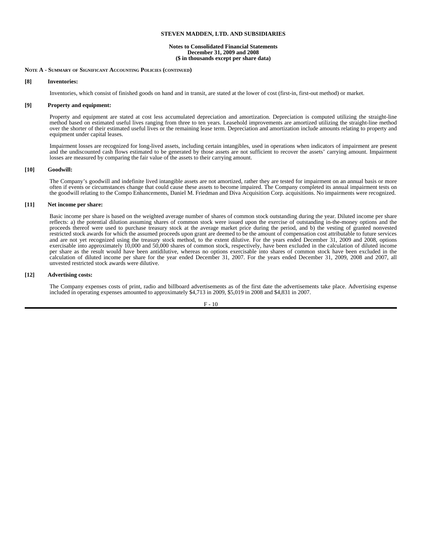#### **Notes to Consolidated Financial Statements December 31, 2009 and 2008 (\$ in thousands except per share data)**

### **NOTE A - SUMMARY OF SIGNIFICANT ACCOUNTING POLICIES (CONTINUED)**

## **[8] Inventories:**

Inventories, which consist of finished goods on hand and in transit, are stated at the lower of cost (first-in, first-out method) or market.

## **[9] Property and equipment:**

Property and equipment are stated at cost less accumulated depreciation and amortization. Depreciation is computed utilizing the straight-line method based on estimated useful lives ranging from three to ten years. Leasehold improvements are amortized utilizing the straight-line method over the shorter of their estimated useful lives or the remaining lease term. Depreciation and amortization include amounts relating to property and equipment under capital leases.

Impairment losses are recognized for long-lived assets, including certain intangibles, used in operations when indicators of impairment are present and the undiscounted cash flows estimated to be generated by those assets are not sufficient to recover the assets' carrying amount. Impairment losses are measured by comparing the fair value of the assets to their carrying amount.

## **[10] Goodwill:**

The Company's goodwill and indefinite lived intangible assets are not amortized, rather they are tested for impairment on an annual basis or more often if events or circumstances change that could cause these assets to become impaired. The Company completed its annual impairment tests on the goodwill relating to the Compo Enhancements, Daniel M. Friedman and Diva Acquisition Corp. acquisitions. No impairments were recognized.

# **[11] Net income per share:**

Basic income per share is based on the weighted average number of shares of common stock outstanding during the year. Diluted income per share reflects: a) the potential dilution assuming shares of common stock were issued upon the exercise of outstanding in-the-money options and the proceeds thereof were used to purchase treasury stock at the average market price during the period, and b) the vesting of granted nonvested restricted stock awards for which the assumed proceeds upon grant are deemed to be the amount of compensation cost attributable to future services and are not yet recognized using the treasury stock method, to the extent dilutive. For the years ended December 31, 2009 and 2008, options exercisable into approximately 10,000 and 50,000 shares of common stock, respectively, have been excluded in the calculation of diluted income per share as the result would have been antidilutive, whereas no options exercisable into shares of common stock have been excluded in the calculation of diluted income per share for the year ended December 31, 2007. For the years ended December 31, 2009, 2008 and 2007, all unvested restricted stock awards were dilutive.

## **[12] Advertising costs:**

The Company expenses costs of print, radio and billboard advertisements as of the first date the advertisements take place. Advertising expense included in operating expenses amounted to approximately \$4,713 in 2009, \$5,019 in 2008 and \$4,831 in 2007.

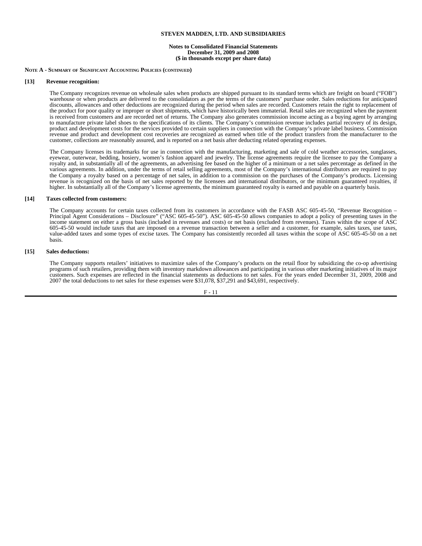#### **Notes to Consolidated Financial Statements December 31, 2009 and 2008 (\$ in thousands except per share data)**

#### **NOTE A - SUMMARY OF SIGNIFICANT ACCOUNTING POLICIES (CONTINUED)**

### **[13] Revenue recognition:**

The Company recognizes revenue on wholesale sales when products are shipped pursuant to its standard terms which are freight on board ("FOB") warehouse or when products are delivered to the consolidators as per the terms of the customers' purchase order. Sales reductions for anticipated discounts, allowances and other deductions are recognized during the period when sales are recorded. Customers retain the right to replacement of the product for poor quality or improper or short shipments, which have historically been immaterial. Retail sales are recognized when the payment is received from customers and are recorded net of returns. The Company also generates commission income acting as a buying agent by arranging to manufacture private label shoes to the specifications of its clients. The Company's commission revenue includes partial recovery of its design, product and development costs for the services provided to certain suppliers in connection with the Company's private label business. Commission revenue and product and development cost recoveries are recognized as earned when title of the product transfers from the manufacturer to the customer, collections are reasonably assured, and is reported on a net basis after deducting related operating expenses.

The Company licenses its trademarks for use in connection with the manufacturing, marketing and sale of cold weather accessories, sunglasses, eyewear, outerwear, bedding, hosiery, women's fashion apparel and jewelry. The license agreements require the licensee to pay the Company a royalty and, in substantially all of the agreements, an advertising fee based on the higher of a minimum or a net sales percentage as defined in the various agreements. In addition, under the terms of retail selling agreements, most of the Company's international distributors are required to pay the Company a royalty based on a percentage of net sales, in addition to a commission on the purchases of the Company's products. Licensing revenue is recognized on the basis of net sales reported by the licensees and international distributors, or the minimum guaranteed royalties, if higher. In substantially all of the Company's license agreements, the minimum guaranteed royalty is earned and payable on a quarterly basis.

### **[14] Taxes collected from customers:**

The Company accounts for certain taxes collected from its customers in accordance with the FASB ASC 605-45-50, "Revenue Recognition – Principal Agent Considerations – Disclosure" ("ASC 605-45-50"). ASC 605-45-50 allows companies to adopt a policy of presenting taxes in the income statement on either a gross basis (included in revenues and costs) or net basis (excluded from revenues). Taxes within the scope of ASC 605-45-50 would include taxes that are imposed on a revenue transaction between a seller and a customer, for example, sales taxes, use taxes, value-added taxes and some types of excise taxes. The Company has consistently recorded all taxes within the scope of ASC 605-45-50 on a net basis.

### **[15] Sales deductions:**

The Company supports retailers' initiatives to maximize sales of the Company's products on the retail floor by subsidizing the co-op advertising programs of such retailers, providing them with inventory markdown allowances and participating in various other marketing initiatives of its major customers. Such expenses are reflected in the financial statements as deductions to net sales. For the years ended December 31, 2009, 2008 and 2007 the total deductions to net sales for these expenses were \$31,078, \$37,291 and \$43,691, respectively.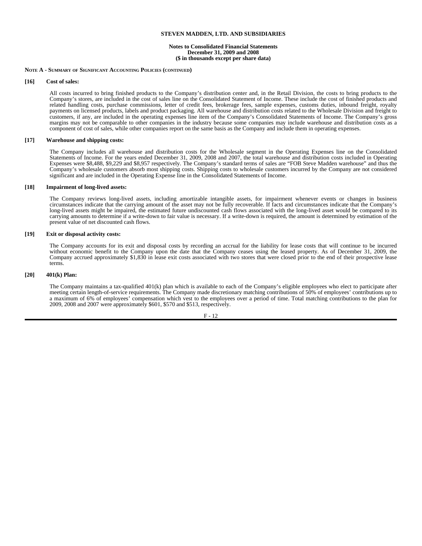#### **Notes to Consolidated Financial Statements December 31, 2009 and 2008 (\$ in thousands except per share data)**

### **NOTE A - SUMMARY OF SIGNIFICANT ACCOUNTING POLICIES (CONTINUED)**

#### **[16] Cost of sales:**

All costs incurred to bring finished products to the Company's distribution center and, in the Retail Division, the costs to bring products to the Company's stores, are included in the cost of sales line on the Consolidated Statement of Income. These include the cost of finished products and related handling costs, purchase commissions, letter of credit fees, brokerage fees, sample expenses, customs duties, inbound freight, royalty payments on licensed products, labels and product packaging. All warehouse and distribution costs related to the Wholesale Division and freight to customers, if any, are included in the operating expenses line item of the Company's Consolidated Statements of Income. The Company's gross margins may not be comparable to other companies in the industry because some companies may include warehouse and distribution costs as a component of cost of sales, while other companies report on the same basis as the Company and include them in operating expenses.

## **[17] Warehouse and shipping costs:**

The Company includes all warehouse and distribution costs for the Wholesale segment in the Operating Expenses line on the Consolidated Statements of Income. For the years ended December 31, 2009, 2008 and 2007, the total warehouse and distribution costs included in Operating Expenses were \$8,488, \$9,229 and \$8,957 respectively. The Company's standard terms of sales are "FOB Steve Madden warehouse" and thus the Company's wholesale customers absorb most shipping costs. Shipping costs to wholesale customers incurred by the Company are not considered significant and are included in the Operating Expense line in the Consolidated Statements of Income.

### **[18] Impairment of long-lived assets:**

The Company reviews long-lived assets, including amortizable intangible assets, for impairment whenever events or changes in business circumstances indicate that the carrying amount of the asset may not be fully recoverable. If facts and circumstances indicate that the Company's long-lived assets might be impaired, the estimated future undiscounted cash flows associated with the long-lived asset would be compared to its carrying amounts to determine if a write-down to fair value is necessary. If a write-down is required, the amount is determined by estimation of the present value of net discounted cash flows.

## **[19] Exit or disposal activity costs:**

The Company accounts for its exit and disposal costs by recording an accrual for the liability for lease costs that will continue to be incurred without economic benefit to the Company upon the date that the Company ceases using the leased property. As of December 31, 2009, the Company accrued approximately \$1,830 in lease exit costs associated with two stores that were closed prior to the end of their prospective lease terms.

## **[20] 401(k) Plan:**

The Company maintains a tax-qualified 401(k) plan which is available to each of the Company's eligible employees who elect to participate after meeting certain length-of-service requirements. The Company made discretionary matching contributions of 50% of employees' contributions up to a maximum of 6% of employees' compensation which vest to the employees over a period of time. Total matching contributions to the plan for 2009, 2008 and 2007 were approximately \$601, \$570 and \$513, respectively.

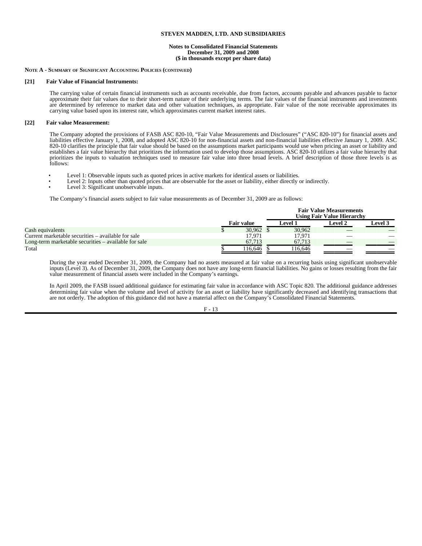#### **Notes to Consolidated Financial Statements December 31, 2009 and 2008 (\$ in thousands except per share data)**

#### **NOTE A - SUMMARY OF SIGNIFICANT ACCOUNTING POLICIES (CONTINUED)**

#### **[21] Fair Value of Financial Instruments:**

The carrying value of certain financial instruments such as accounts receivable, due from factors, accounts payable and advances payable to factor approximate their fair values due to their short-term nature of their underlying terms. The fair values of the financial instruments and investments are determined by reference to market data and other valuation techniques, as appropriate. Fair value of the note receivable approximates its carrying value based upon its interest rate, which approximates current market interest rates.

### **[22] Fair value Measurement:**

The Company adopted the provisions of FASB ASC 820-10, "Fair Value Measurements and Disclosures" ("ASC 820-10") for financial assets and liabilities effective January 1, 2008, and adopted ASC 820-10 for non-financial assets and non-financial liabilities effective January 1, 2009. ASC 820-10 clarifies the principle that fair value should be based on the assumptions market participants would use when pricing an asset or liability and establishes a fair value hierarchy that prioritizes the information use establishes a fair value hierarchy that prioritizes the information used to develop those assumptions. ASC 820-10 utilizes a fair value hierarchy that prioritizes the inputs to valuation techniques used to measure fair value into three broad levels. A brief description of those three levels is as follows:

- Level 1: Observable inputs such as quoted prices in active markets for identical assets or liabilities.
- Level 2: Inputs other than quoted prices that are observable for the asset or liability, either directly or indirectly.
- Level 3: Significant unobservable inputs.

The Company's financial assets subject to fair value measurements as of December 31, 2009 are as follows:

|                                                      |                   | <b>Fair Value Measurements</b><br><b>Using Fair Value Hierarchy</b> |         |                |  |  |  |
|------------------------------------------------------|-------------------|---------------------------------------------------------------------|---------|----------------|--|--|--|
|                                                      | <b>Fair value</b> | Level 1                                                             | Level 2 | <b>Level 3</b> |  |  |  |
| Cash equivalents                                     | 30.962            | 30.962                                                              |         |                |  |  |  |
| Current marketable securities – available for sale   | 17.971            | 17.971                                                              |         |                |  |  |  |
| Long-term marketable securities – available for sale | 67.713            | 67,713                                                              |         |                |  |  |  |
| Total                                                | 116.646           | 116,646                                                             |         |                |  |  |  |

During the year ended December 31, 2009, the Company had no assets measured at fair value on a recurring basis using significant unobservable inputs (Level 3). As of December 31, 2009, the Company does not have any long-term financial liabilities. No gains or losses resulting from the fair value measurement of financial assets were included in the Company's earnings.

In April 2009, the FASB issued additional guidance for estimating fair value in accordance with ASC Topic 820. The additional guidance addresses determining fair value when the volume and level of activity for an asset or liability have significantly decreased and identifying transactions that are not orderly. The adoption of this guidance did not have a material affect on the Company's Consolidated Financial Statements.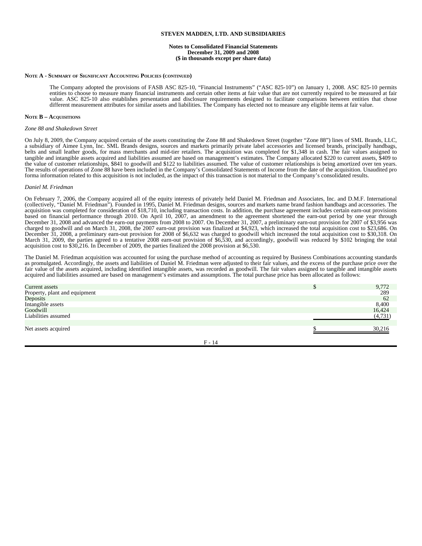#### **Notes to Consolidated Financial Statements December 31, 2009 and 2008 (\$ in thousands except per share data)**

### **NOTE A - SUMMARY OF SIGNIFICANT ACCOUNTING POLICIES (CONTINUED)**

The Company adopted the provisions of FASB ASC 825-10, "Financial Instruments" ("ASC 825-10") on January 1, 2008. ASC 825-10 permits entities to choose to measure many financial instruments and certain other items at fair value that are not currently required to be measured at fair value. ASC 825-10 also establishes presentation and disclosure requirements designed to facilitate comparisons between entities that chose different measurement attributes for similar assets and liabilities. The Company has elected not to measure any eligible items at fair value.

## **NOTE B – ACQUISITIONS**

### *Zone 88 and Shakedown Street*

On July 8, 2009, the Company acquired certain of the assets constituting the Zone 88 and Shakedown Street (together "Zone 88") lines of SML Brands, LLC, a subsidiary of Aimee Lynn, Inc. SML Brands designs, sources and markets primarily private label accessories and licensed brands, principally handbags, belts and small leather goods, for mass merchants and mid-tier retailers. The acquisition was completed for \$1,348 in cash. The fair values assigned to tangible and intangible assets acquired and liabilities assumed are based on management's estimates. The Company allocated \$220 to current assets, \$409 to the value of customer relationships, \$841 to goodwill and \$122 to liabilities assumed. The value of customer relationships is being amortized over ten years. The results of operations of Zone 88 have been included in the Company's Consolidated Statements of Income from the date of the acquisition. Unaudited pro forma information related to this acquisition is not included, as the impact of this transaction is not material to the Company's consolidated results.

#### *Daniel M. Friedman*

On February 7, 2006, the Company acquired all of the equity interests of privately held Daniel M. Friedman and Associates, Inc. and D.M.F. International (collectively, "Daniel M. Friedman"). Founded in 1995, Daniel M. Friedman designs, sources and markets name brand fashion handbags and accessories. The acquisition was completed for consideration of \$18,710, including transaction costs. In addition, the purchase agreement includes certain earn-out provisions based on financial performance through 2010. On April 10, 2007, an amendment to the agreement shortened the earn-out period by one year through December 31, 2008 and advanced the earn-out payments from 2008 to 2007. On December 31, 2007, a preliminary earn-out provision for 2007 of \$3,956 was charged to goodwill and on March 31, 2008, the 2007 earn-out provision was finalized at \$4,923, which increased the total acquisition cost to \$23,686. On December 31, 2008, a preliminary earn-out provision for 2008 of \$6,632 was charged to goodwill which increased the total acquisition cost to \$30,318. On March 31, 2009, the parties agreed to a tentative 2008 earn-out provision of \$6,530, and accordingly, goodwill was reduced by \$102 bringing the total acquisition cost to \$30,216. In December of 2009, the parties finalized the 2008 provision at \$6,530.

The Daniel M. Friedman acquisition was accounted for using the purchase method of accounting as required by Business Combinations accounting standards as promulgated. Accordingly, the assets and liabilities of Daniel M. Friedman were adjusted to their fair values, and the excess of the purchase price over the fair value of the assets acquired, including identified intangible assets, was recorded as goodwill. The fair values assigned to tangible and intangible assets acquired and liabilities assumed are based on management's estimates and assumptions. The total purchase price has been allocated as follows:

| <b>Current assets</b>         | 9,772    |
|-------------------------------|----------|
| Property, plant and equipment | 289      |
| Deposits                      | 62       |
| Intangible assets             | 8,400    |
| Goodwill                      | 16,424   |
| Liabilities assumed           | (4, 731) |
| Net assets acquired           | 30,216   |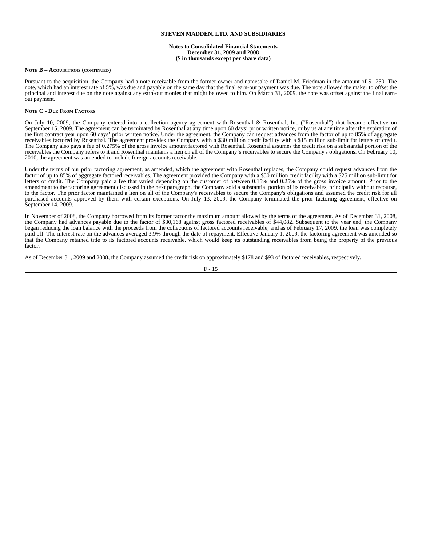#### **Notes to Consolidated Financial Statements December 31, 2009 and 2008 (\$ in thousands except per share data)**

## **NOTE B – ACQUISITIONS (CONTINUED)**

Pursuant to the acquisition, the Company had a note receivable from the former owner and namesake of Daniel M. Friedman in the amount of \$1,250. The note, which had an interest rate of 5%, was due and payable on the same day that the final earn-out payment was due. The note allowed the maker to offset the principal and interest due on the note against any earn-out monies that might be owed to him. On March 31, 2009, the note was offset against the final earnout payment.

## **NOTE C - DUE FROM FACTORS**

On July 10, 2009, the Company entered into a collection agency agreement with Rosenthal & Rosenthal, Inc ("Rosenthal") that became effective on September 15, 2009. The agreement can be terminated by Rosenthal at any time upon 60 days' prior written notice, or by us at any time after the expiration of the first contract year upon 60 days' prior written notice. Under the agreement, the Company can request advances from the factor of up to 85% of aggregate receivables factored by Rosenthal. The agreement provides the Company with a \$30 million credit facility with a \$15 million sub-limit for letters of credit. The Company also pays a fee of 0.275% of the gross invoice amount factored with Rosenthal. Rosenthal assumes the credit risk on a substantial portion of the receivables the Company refers to it and Rosenthal maintains a lien on all of the Company's receivables to secure the Company's obligations. On February 10, 2010, the agreement was amended to include foreign accounts receivable.

Under the terms of our prior factoring agreement, as amended, which the agreement with Rosenthal replaces, the Company could request advances from the factor of up to 85% of aggregate factored receivables. The agreement provided the Company with a \$50 million credit facility with a \$25 million sub-limit for letters of credit. The Company paid a fee that varied depending on the customer of between 0.15% and 0.25% of the gross invoice amount. Prior to the amendment to the factoring agreement discussed in the next paragraph, the Company sold a substantial portion of its receivables, principally without recourse, to the factor. The prior factor maintained a lien on all of the Company's receivables to secure the Company's obligations and assumed the credit risk for all purchased accounts approved by them with certain exceptions. On July 13, 2009, the Company terminated the prior factoring agreement, effective on September 14, 2009.

In November of 2008, the Company borrowed from its former factor the maximum amount allowed by the terms of the agreement. As of December 31, 2008, the Company had advances payable due to the factor of \$30,168 against gross factored receivables of \$44,082. Subsequent to the year end, the Company began reducing the loan balance with the proceeds from the collections of factored accounts receivable, and as of February 17, 2009, the loan was completely paid off. The interest rate on the advances averaged 3.9% through the date of repayment. Effective January 1, 2009, the factoring agreement was amended so that the Company retained title to its factored accounts receivable, which would keep its outstanding receivables from being the property of the previous factor.

As of December 31, 2009 and 2008, the Company assumed the credit risk on approximately \$178 and \$93 of factored receivables, respectively.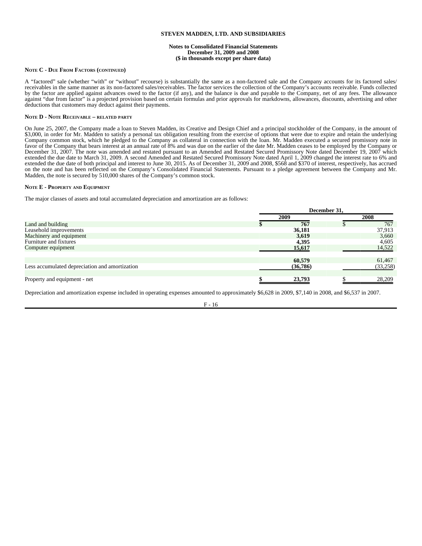#### **Notes to Consolidated Financial Statements December 31, 2009 and 2008 (\$ in thousands except per share data)**

### **NOTE C - DUE FROM FACTORS (CONTINUED)**

A "factored" sale (whether "with" or "without" recourse) is substantially the same as a non-factored sale and the Company accounts for its factored sales/ receivables in the same manner as its non-factored sales/receivables. The factor services the collection of the Company's accounts receivable. Funds collected by the factor are applied against advances owed to the factor (if any), and the balance is due and payable to the Company, net of any fees. The allowance against "due from factor" is a projected provision based on certain formulas and prior approvals for markdowns, allowances, discounts, advertising and other deductions that customers may deduct against their payments.

## **NOTE D - NOTE RECEIVABLE – RELATED PARTY**

On June 25, 2007, the Company made a loan to Steven Madden, its Creative and Design Chief and a principal stockholder of the Company, in the amount of \$3,000, in order for Mr. Madden to satisfy a personal tax obligation resulting from the exercise of options that were due to expire and retain the underlying Company common stock, which he pledged to the Company as collateral in connection with the loan. Mr. Madden executed a secured promissory note in favor of the Company that bears interest at an annual rate of 8% and was due on the earlier of the date Mr. Madden ceases to be employed by the Company or December 31, 2007. The note was amended and restated pursuant to an Amended and Restated Secured Promissory Note dated December 19, 2007 which extended the due date to March 31, 2009. A second Amended and Restated Secured Promissory Note dated April 1, 2009 changed the interest rate to 6% and extended the due date of both principal and interest to June 30, 2015. As of December 31, 2009 and 2008, \$568 and \$370 of interest, respectively, has accrued on the note and has been reflected on the Company's Consolidated Financial Statements. Pursuant to a pledge agreement between the Company and Mr. Madden, the note is secured by 510,000 shares of the Company's common stock.

#### **NOTE E - PROPERTY AND EQUIPMENT**

The major classes of assets and total accumulated depreciation and amortization are as follows:

|                                                |          | December 31. |  |  |  |
|------------------------------------------------|----------|--------------|--|--|--|
|                                                | 2009     | 2008         |  |  |  |
| Land and building                              | 767      | 767          |  |  |  |
| Leasehold improvements                         | 36,181   | 37,913       |  |  |  |
| Machinery and equipment                        | 3,619    | 3,660        |  |  |  |
| Furniture and fixtures                         | 4,395    | 4,605        |  |  |  |
| Computer equipment                             | 15,617   | 14,522       |  |  |  |
|                                                | 60,579   | 61,467       |  |  |  |
| Less accumulated depreciation and amortization | (36,786) | (33,258)     |  |  |  |
| Property and equipment - net                   | 23,793   | 28,209       |  |  |  |

Depreciation and amortization expense included in operating expenses amounted to approximately \$6,628 in 2009, \$7,140 in 2008, and \$6,537 in 2007.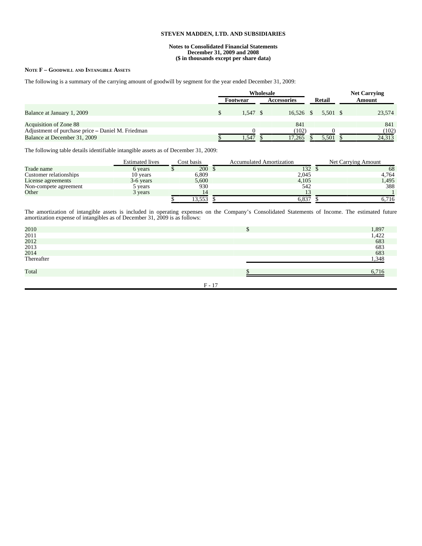#### **Notes to Consolidated Financial Statements December 31, 2009 and 2008 (\$ in thousands except per share data)**

# **NOTE F – GOODWILL AND INTANGIBLE ASSETS**

The following is a summary of the carrying amount of goodwill by segment for the year ended December 31, 2009:

|                                                   | Wholesale |             |             |        |          |        | <b>Net Carrying</b> |  |
|---------------------------------------------------|-----------|-------------|-------------|--------|----------|--------|---------------------|--|
|                                                   | Footwear  | Accessories |             | Retail |          | Amount |                     |  |
| Balance at January 1, 2009                        | 1.547S    |             | $16.526$ \$ |        | 5.501 \$ |        | 23,574              |  |
| Acquisition of Zone 88                            |           |             | 841         |        |          |        | 841                 |  |
| Adjustment of purchase price - Daniel M. Friedman |           |             | (102)       |        |          |        | (102)               |  |
| Balance at December 31, 2009                      | 1,547     |             | 17,265      |        | 5.501    |        | 24,313              |  |

The following table details identifiable intangible assets as of December 31, 2009:

|                        | <b>Estimated lives</b> | Cost basis | Accumulated Amortization |       | Net Carrying Amount |  |
|------------------------|------------------------|------------|--------------------------|-------|---------------------|--|
| Trade name             | 6 years                | 200        |                          | 132   | 68                  |  |
| Customer relationships | 10 years               | 6,809      |                          | 2.045 | 4.764               |  |
| License agreements     | $3-6$ years            | 5,600      |                          | 4,105 | 1,495               |  |
| Non-compete agreement  | 5 years                | 930        |                          | 542   | 388                 |  |
| Other                  | 3 years                | 14         |                          |       |                     |  |
|                        |                        | 13,553     |                          | 6,837 | 6.716               |  |

The amortization of intangible assets is included in operating expenses on the Company's Consolidated Statements of Income. The estimated future amortization expense of intangibles as of December 31, 2009 is as follows:

| 2010<br>2011<br>2012<br>2013<br>2014<br>Thereafter |          | $\begin{array}{r} 1,897 \\ 1,422 \\ 683 \\ 683 \\ 683 \\ 1,348 \end{array}$ |
|----------------------------------------------------|----------|-----------------------------------------------------------------------------|
|                                                    |          |                                                                             |
|                                                    |          |                                                                             |
|                                                    |          |                                                                             |
|                                                    |          |                                                                             |
|                                                    |          |                                                                             |
|                                                    |          |                                                                             |
| Total                                              |          | 6,716                                                                       |
|                                                    |          |                                                                             |
|                                                    | $F - 17$ |                                                                             |
|                                                    |          |                                                                             |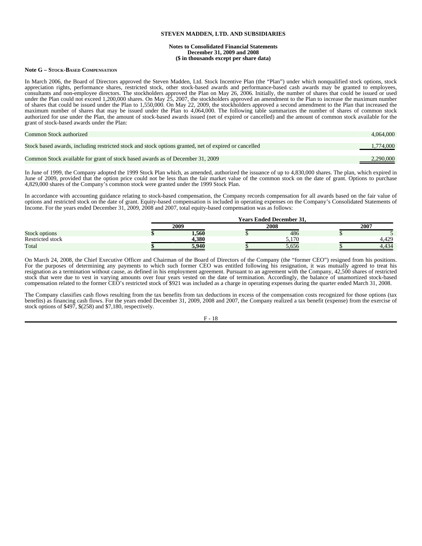#### **Notes to Consolidated Financial Statements December 31, 2009 and 2008 (\$ in thousands except per share data)**

## **Note G – STOCK-BASED COMPENSATION**

In March 2006, the Board of Directors approved the Steven Madden, Ltd. Stock Incentive Plan (the "Plan") under which nonqualified stock options, stock appreciation rights, performance shares, restricted stock, other stock-based awards and performance-based cash awards may be granted to employees, consultants and non-employee directors. The stockholders approved the Plan on May 26, 2006. Initially, the number of shares that could be issued or used under the Plan could not exceed 1,200,000 shares. On May  $25$ , 2007, the stockholders approved an amendment to the Plan to increase the maximum number of shares that could be issued under the Plan to 1,550,000. On May 22, 2009, the stockholders approved a second amendment to the Plan that increased the maximum number of shares that may be issued under the Plan to 4,064,000. The following table summarizes the number of shares of common stock authorized for use under the Plan, the amount of stock-based awards issued (net of expired or cancelled) and the amount of common stock available for the grant of stock-based awards under the Plan:

| Common Stock authorized                                                                               | 4,064,000 |
|-------------------------------------------------------------------------------------------------------|-----------|
|                                                                                                       |           |
| Stock based awards, including restricted stock and stock options granted, net of expired or cancelled | 1,774,000 |
|                                                                                                       |           |
| Common Stock available for grant of stock based awards as of December 31, 2009                        | 2,290,000 |

In June of 1999, the Company adopted the 1999 Stock Plan which, as amended, authorized the issuance of up to 4,830,000 shares. The plan, which expired in June of 2009, provided that the option price could not be less than the fair market value of the common stock on the date of grant. Options to purchase 4,829,000 shares of the Company's common stock were granted under the 1999 Stock Plan.

In accordance with accounting guidance relating to stock-based compensation, the Company records compensation for all awards based on the fair value of options and restricted stock on the date of grant. Equity-based compensation is included in operating expenses on the Company's Consolidated Statements of Income. For the years ended December 31, 2009, 2008 and 2007, total equity-based compensation was as follows:

|                  | <b>Years Ended December 31.</b> |  |       |      |                                |  |
|------------------|---------------------------------|--|-------|------|--------------------------------|--|
|                  | 2009                            |  | 2008  | 2007 |                                |  |
| Stock options    | 1.560                           |  | 486   |      |                                |  |
| Restricted stock | 1.380                           |  | 5.170 |      | 4.429                          |  |
| Total            | 5.940                           |  | 3,656 |      | $\Lambda$ $\Lambda$<br>434<br> |  |

On March 24, 2008, the Chief Executive Officer and Chairman of the Board of Directors of the Company (the "former CEO") resigned from his positions. For the purposes of determining any payments to which such former CEO was entitled following his resignation, it was mutually agreed to treat his resignation as a termination without cause, as defined in his employment agreement. Pursuant to an agreement with the Company, 42,500 shares of restricted stock that were due to vest in varying amounts over four years vested on the date of termination. Accordingly, the balance of unamortized stock-based compensation related to the former CEO's restricted stock of \$921 was included as a charge in operating expenses during the quarter ended March 31, 2008.

The Company classifies cash flows resulting from the tax benefits from tax deductions in excess of the compensation costs recognized for those options (tax benefits) as financing cash flows. For the years ended December 31, 2009, 2008 and 2007, the Company realized a tax benefit (expense) from the exercise of stock options of \$497, \$(258) and \$7,180, respectively.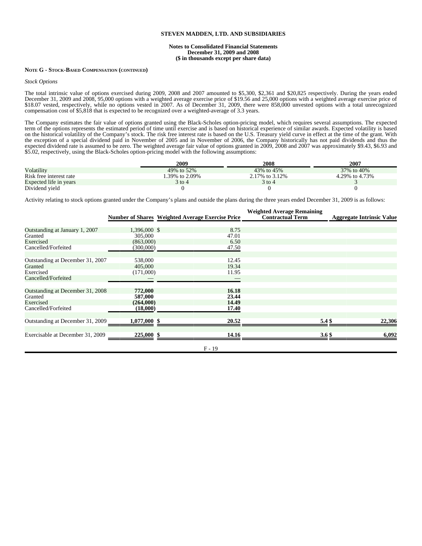#### **Notes to Consolidated Financial Statements December 31, 2009 and 2008 (\$ in thousands except per share data)**

### **NOTE G - STOCK-BASED COMPENSATION (CONTINUED)**

*Stock Options*

The total intrinsic value of options exercised during 2009, 2008 and 2007 amounted to \$5,300, \$2,361 and \$20,825 respectively. During the years ended December 31, 2009 and 2008, 95,000 options with a weighted average exercise price of \$19.56 and 25,000 options with a weighted average exercise price of \$18.07 vested, respectively, while no options vested in 2007. As of December 31, 2009, there were 858,000 unvested options with a total unrecognized compensation cost of \$5,818 that is expected to be recognized over a weighted-average of 3.3 years.

The Company estimates the fair value of options granted using the Black-Scholes option-pricing model, which requires several assumptions. The expected term of the options represents the estimated period of time until exercise and is based on historical experience of similar awards. Expected volatility is based on the historical volatility of the Company's stock. The risk free interest rate is based on the U.S. Treasury yield curve in effect at the time of the grant. With the exception of a special dividend paid in November of 2005 and in November of 2006, the Company historically has not paid dividends and thus the expected dividend rate is assumed to be zero. The weighted average fair value of options granted in 2009, 2008 and 2007 was approximately \$9.43, \$6.93 and \$5.02, respectively, using the Black-Scholes option-pricing model with the following assumptions:

|                         | 2009              | 2008             | 2007           |
|-------------------------|-------------------|------------------|----------------|
| Volatility              | 49% to 52%        | 43\% to 45\%     | 37\% to 40\%   |
| Risk free interest rate | .39% to 2.09%     | 2.17\% to 3.12\% | 4.29% to 4.73% |
| Expected life in years  | $3 \text{ to } 4$ | $3$ to 4         |                |
| Dividend yield          |                   |                  |                |

Activity relating to stock options granted under the Company's plans and outside the plans during the three years ended December 31, 2009 is as follows:

|                                  |              | <b>Number of Shares Weighted Average Exercise Price</b> | <b>Weighted Average Remaining</b><br><b>Contractual Term</b> | <b>Aggregate Intrinsic Value</b> |
|----------------------------------|--------------|---------------------------------------------------------|--------------------------------------------------------------|----------------------------------|
| Outstanding at January 1, 2007   | 1,396,000 \$ | 8.75                                                    |                                                              |                                  |
| Granted                          | 305,000      | 47.01                                                   |                                                              |                                  |
| Exercised                        | (863,000)    | 6.50                                                    |                                                              |                                  |
| Cancelled/Forfeited              | (300,000)    | 47.50                                                   |                                                              |                                  |
|                                  |              |                                                         |                                                              |                                  |
| Outstanding at December 31, 2007 | 538,000      | 12.45                                                   |                                                              |                                  |
| Granted                          | 405,000      | 19.34                                                   |                                                              |                                  |
| Exercised                        | (171,000)    | 11.95                                                   |                                                              |                                  |
| Cancelled/Forfeited              |              |                                                         |                                                              |                                  |
| Outstanding at December 31, 2008 | 772.000      | 16.18                                                   |                                                              |                                  |
| Granted                          | 587,000      | 23.44                                                   |                                                              |                                  |
| Exercised                        | (264,000)    | 14.49                                                   |                                                              |                                  |
| Cancelled/Forfeited              | (18,000)     | 17.40                                                   |                                                              |                                  |
| Outstanding at December 31, 2009 | 1,077,000 \$ | 20.52                                                   | 5.4\$                                                        | 22,306                           |
|                                  |              |                                                         |                                                              |                                  |
| Exercisable at December 31, 2009 | 225,000 \$   | 14.16                                                   | 3.6S                                                         | 6,092                            |
|                                  |              | $F - 19$                                                |                                                              |                                  |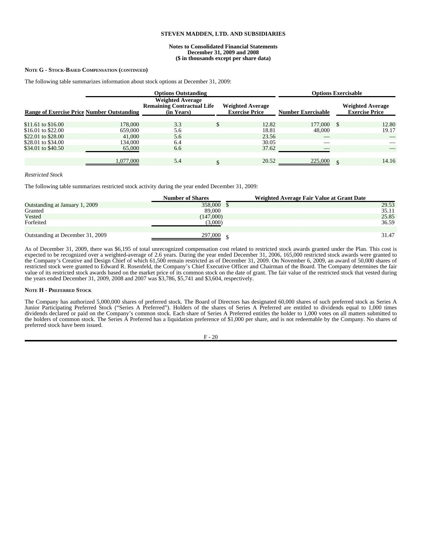#### **Notes to Consolidated Financial Statements December 31, 2009 and 2008 (\$ in thousands except per share data)**

### **NOTE G - STOCK-BASED COMPENSATION (CONTINUED)**

The following table summarizes information about stock options at December 31, 2009:

|                                                   | <b>Options Outstanding</b> |                                                                            |  |                                                  |                           | <b>Options Exercisable</b> |                                                  |  |
|---------------------------------------------------|----------------------------|----------------------------------------------------------------------------|--|--------------------------------------------------|---------------------------|----------------------------|--------------------------------------------------|--|
| <b>Range of Exercise Price Number Outstanding</b> |                            | <b>Weighted Average</b><br><b>Remaining Contractual Life</b><br>(in Years) |  | <b>Weighted Average</b><br><b>Exercise Price</b> | <b>Number Exercisable</b> |                            | <b>Weighted Average</b><br><b>Exercise Price</b> |  |
| \$11.61 to \$16.00                                | 178,000                    | 3.3                                                                        |  | 12.82                                            | 177,000                   |                            | 12.80                                            |  |
| \$16.01 to \$22.00                                | 659,000                    | 5.6                                                                        |  | 18.81                                            | 48,000                    |                            | 19.17                                            |  |
| \$22.01 to \$28.00                                | 41,000                     | 5.6                                                                        |  | 23.56                                            |                           |                            | $\hspace{0.1mm}-\hspace{0.1mm}$                  |  |
| \$28.01 to \$34.00                                | 134.000                    | 6.4                                                                        |  | 30.05                                            |                           |                            |                                                  |  |
| \$34.01 to \$40.50                                | 65,000                     | 6.6                                                                        |  | 37.62                                            |                           |                            |                                                  |  |
|                                                   |                            |                                                                            |  |                                                  |                           |                            |                                                  |  |
|                                                   | 1,077,000                  | 5.4                                                                        |  | 20.52                                            | 225,000                   |                            | 14.16                                            |  |

### *Restricted Stock*

The following table summarizes restricted stock activity during the year ended December 31, 2009:

|                                  | <b>Number of Shares</b> | Weighted Average Fair Value at Grant Date |
|----------------------------------|-------------------------|-------------------------------------------|
| Outstanding at January 1, 2009   | 358,000 \$              | 29.53                                     |
| Granted                          | 89,000                  | 35.11                                     |
| Vested                           | (147,000)               | 25.85                                     |
| Forfeited                        | (3,000)                 | 36.59                                     |
|                                  |                         |                                           |
| Outstanding at December 31, 2009 | 297,000                 | 31.47                                     |

As of December 31, 2009, there was \$6,195 of total unrecognized compensation cost related to restricted stock awards granted under the Plan. This cost is expected to be recognized over a weighted-average of 2.6 years. During the year ended December 31, 2006, 165,000 restricted stock awards were granted to the Company's Creative and Design Chief of which 61,500 remain restricted as of December 31, 2009. On November 6, 2009, an award of 50,000 shares of restricted stock were granted to Edward R. Rosenfeld, the Company's Chief Executive Officer and Chairman of the Board. The Company determines the fair value of its restricted stock awards based on the market price of its common stock on the date of grant. The fair value of the restricted stock that vested during the years ended December 31, 2009, 2008 and 2007 was \$3,786, \$5,741 and \$3,604, respectively.

#### **NOTE H - PREFERRED STOCK**

The Company has authorized 5,000,000 shares of preferred stock. The Board of Directors has designated 60,000 shares of such preferred stock as Series A Junior Participating Preferred Stock ("Series A Preferred"). Holders of the shares of Series A Preferred are entitled to dividends equal to 1,000 times dividends declared or paid on the Company's common stock. Each share of Series A Preferred entitles the holder to 1,000 votes on all matters submitted to the holders of common stock. The Series A Preferred has a liquidation preference of \$1,000 per share, and is not redeemable by the Company. No shares of preferred stock have been issued.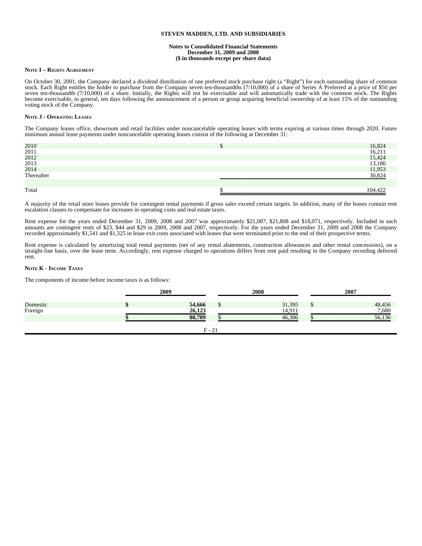#### **Notes to Consolidated Financial Statements December 31, 2009 and 2008 (\$ in thousands except per share data)**

# **NOTE I – RIGHTS AGREEMENT**

On October 30, 2001, the Company declared a dividend distribution of one preferred stock purchase right (a "Right") for each outstanding share of common stock. Each Right entitles the holder to purchase from the Company seven ten-thousandths (7/10,000) of a share of Series A Preferred at a price of \$50 per seven ten-thousandth (7/10,000) of a share. Initially, the Rights will not be exercisable and will automatically trade with the common stock. The Rights become exercisable, in general, ten days following the announcement of a person or group acquiring beneficial ownership of at least 15% of the outstanding voting stock of the Company.

### **NOTE J - OPERATING LEASES**

The Company leases office, showroom and retail facilities under noncancelable operating leases with terms expiring at various times through 2020. Future minimum annual lease payments under noncancelable operating leases consist of the following at December 31:

| $\frac{2010}{2011}$ |                                                          |
|---------------------|----------------------------------------------------------|
|                     |                                                          |
|                     |                                                          |
| 2012<br>2013        |                                                          |
| 2014                |                                                          |
| Thereafter          | 16,824<br>16,211<br>15,424<br>13,186<br>11,953<br>30,824 |
|                     |                                                          |
| Total               | 104,422                                                  |

A majority of the retail store leases provide for contingent rental payments if gross sales exceed certain targets. In addition, many of the leases contain rent escalation clauses to compensate for increases in operating costs and real estate taxes.

Rent expense for the years ended December 31, 2009, 2008 and 2007 was approximately \$21,087, \$21,808 and \$18,071, respectively. Included in such amounts are contingent rents of \$23, \$44 and \$29 in 2009, 2008 and 2007, respectively. For the years ended December 31, 2009 and 2008 the Company recorded approximately \$1,541 and \$1,325 in lease exit costs associated with leases that were terminated prior to the end of their prospective terms.

Rent expense is calculated by amortizing total rental payments (net of any rental abatements, construction allowances and other rental concessions), on a straight-line basis, over the lease term. Accordingly, rent expense charged to operations differs from rent paid resulting in the Company recording deferred rent.

## **NOTE K - INCOME TAXES**

The components of income before income taxes is as follows:

|                     | 2009     | 2008   | 2007   |
|---------------------|----------|--------|--------|
|                     | 54,666   | 31,395 | 48,456 |
| Domestic<br>Foreign | 26,123   | 14.911 | 7,680  |
|                     | 80,789   | 46,306 | 56,136 |
|                     | $F - 21$ |        |        |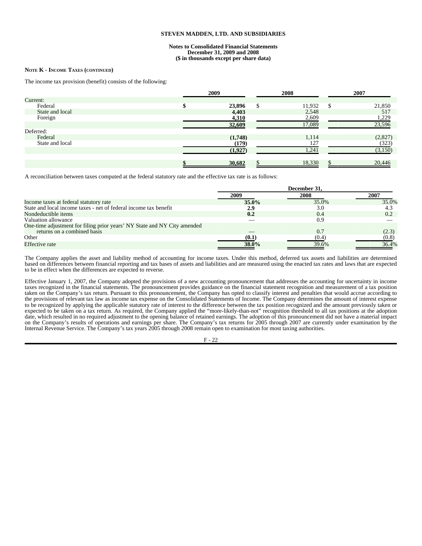#### **Notes to Consolidated Financial Statements December 31, 2009 and 2008 (\$ in thousands except per share data)**

## **NOTE K - INCOME TAXES (CONTINUED)**

The income tax provision (benefit) consists of the following:

|                 | 2009    | 2008 |        |     | 2007    |
|-----------------|---------|------|--------|-----|---------|
| Current:        |         |      |        |     |         |
| Federal         | 23,896  |      | 11,932 | \$. | 21,850  |
| State and local | 4,403   |      | 2,548  |     | 517     |
| Foreign         | 4,310   |      | 2,609  |     | 1,229   |
|                 | 32,609  |      | 17,089 |     | 23,596  |
| Deferred:       |         |      |        |     |         |
| Federal         | (1,748) |      | 1,114  |     | (2,827) |
| State and local | (179)   |      | 127    |     | (323)   |
|                 | (1,927) |      | 1,241  |     | (3,150) |
|                 |         |      |        |     |         |
|                 | 30,682  |      | 18,330 |     | 20,446  |

A reconciliation between taxes computed at the federal statutory rate and the effective tax rate is as follows:

|                                                                          | December 31. |       |       |
|--------------------------------------------------------------------------|--------------|-------|-------|
|                                                                          | 2009         | 2008  | 2007  |
| Income taxes at federal statutory rate                                   | $35.0\%$     | 35.0% | 35.0% |
| State and local income taxes - net of federal income tax benefit         | 2.9          | 3.0   |       |
| Nondeductible items                                                      | 0.2          | 0.4   | 0.2   |
| Valuation allowance                                                      |              | 0.9   |       |
| One-time adjustment for filing prior years' NY State and NY City amended |              |       |       |
| returns on a combined basis                                              |              | 0.7   | (2.3) |
| Other                                                                    | (0.1)        | (0.4) | (0.8) |
| Effective rate                                                           | 38.0%        | 39.6% | 36.4% |

The Company applies the asset and liability method of accounting for income taxes. Under this method, deferred tax assets and liabilities are determined based on differences between financial reporting and tax bases of assets and liabilities and are measured using the enacted tax rates and laws that are expected to be in effect when the differences are expected to reverse.

Effective January 1, 2007, the Company adopted the provisions of a new accounting pronouncement that addresses the accounting for uncertainty in income taxes recognized in the financial statements. The pronouncement provides guidance on the financial statement recognition and measurement of a tax position taken on the Company's tax return. Pursuant to this pronouncement, the Company has opted to classify interest and penalties that would accrue according to the provisions of relevant tax law as income tax expense on the Consolidated Statements of Income. The Company determines the amount of interest expense to be recognized by applying the applicable statutory rate of interest to the difference between the tax position recognized and the amount previously taken or expected to be taken on a tax return. As required, the Company applied the "more-likely-than-not" recognition threshold to all tax positions at the adoption date, which resulted in no required adjustment to the opening balance of retained earnings. The adoption of this pronouncement did not have a material impact on the Company's results of operations and earnings per share. The Company's tax returns for 2005 through 2007 are currently under examination by the Internal Revenue Service. The Company's tax years 2005 through 2008 remain open to examination for most taxing authorities.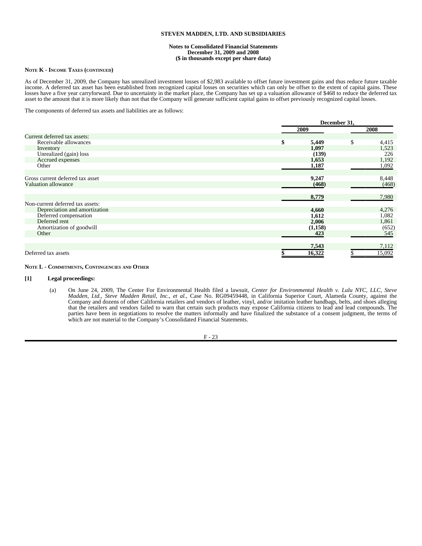#### **Notes to Consolidated Financial Statements December 31, 2009 and 2008 (\$ in thousands except per share data)**

## **NOTE K - INCOME TAXES (CONTINUED)**

As of December 31, 2009, the Company has unrealized investment losses of \$2,983 available to offset future investment gains and thus reduce future taxable income. A deferred tax asset has been established from recognized capital losses on securities which can only be offset to the extent of capital gains. These losses have a five year carryforward. Due to uncertainty in the market place, the Company has set up a valuation allowance of \$468 to reduce the deferred tax asset to the amount that it is more likely than not that the Company will generate sufficient capital gains to offset previously recognized capital losses.

The components of deferred tax assets and liabilities are as follows:

|                                  | December 31. |    |        |  |  |
|----------------------------------|--------------|----|--------|--|--|
|                                  | 2009         |    | 2008   |  |  |
| Current deferred tax assets:     |              |    |        |  |  |
| Receivable allowances            | \$<br>5,449  | \$ | 4,415  |  |  |
| Inventory                        | 1,097        |    | 1,523  |  |  |
| Unrealized (gain) loss           | (139)        |    | 226    |  |  |
| Accrued expenses                 | 1,653        |    | 1,192  |  |  |
| Other                            | 1,187        |    | 1,092  |  |  |
| Gross current deferred tax asset | 9,247        |    | 8,448  |  |  |
| Valuation allowance              | (468)        |    | (468)  |  |  |
|                                  | 8,779        |    | 7,980  |  |  |
| Non-current deferred tax assets: |              |    |        |  |  |
| Depreciation and amortization    | 4,660        |    | 4,276  |  |  |
| Deferred compensation            | 1,612        |    | 1,082  |  |  |
| Deferred rent                    | 2,006        |    | 1,861  |  |  |
| Amortization of goodwill         | (1,158)      |    | (652)  |  |  |
| Other                            | 423          |    | 545    |  |  |
|                                  | 7,543        |    | 7,112  |  |  |
| Deferred tax assets              | 16,322       |    | 15,092 |  |  |

### **NOTE L - COMMITMENTS, CONTINGENCIES AND OTHER**

# **[1] Legal proceedings:**

(a) On June 24, 2009, The Center For Environmental Health filed a lawsuit, *Center for Environmental Health v. Lulu NYC, LLC, Steve Madden, Ltd., Steve Madden Retail, Inc., et al.*, Case No. RG09459448, in California Superior Court, Alameda County, against the Company and dozens of other California retailers and vendors of leather, vinyl, and/or imitation leather handbags, belts, and shoes alleging that the retailers and vendors failed to warn that certain such products may expose California citizens to lead and lead compounds. The parties have been in negotiations to resolve the matters informally and have finalized the substance of a consent judgment, the terms of which are not material to the Company's Consolidated Financial Statements.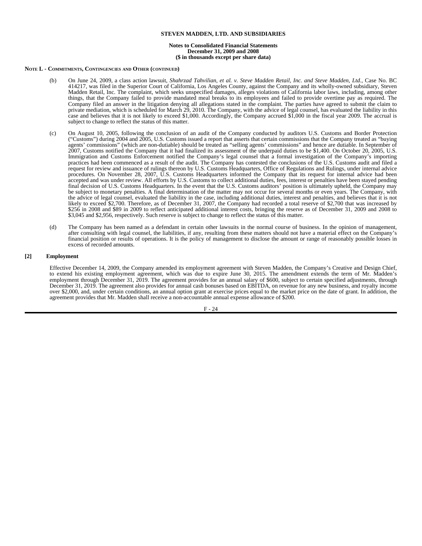### **Notes to Consolidated Financial Statements December 31, 2009 and 2008 (\$ in thousands except per share data)**

### **NOTE L - COMMITMENTS, CONTINGENCIES AND OTHER (CONTINUED)**

- (b) On June 24, 2009, a class action lawsuit, *Shahrzad Tahvilian, et al. v. Steve Madden Retail, Inc. and Steve Madden, Ltd.*, Case No. BC 414217, was filed in the Superior Court of California, Los Angeles County, against the Company and its wholly-owned subsidiary, Steven Madden Retail, Inc. The complaint, which seeks unspecified damages, alleges violations of California labor laws, including, among other things, that the Company failed to provide mandated meal breaks to its employees and failed to provide overtime pay as required. The Company filed an answer in the litigation denying all allegations stated in the complaint. The parties have agreed to submit the claim to private mediation, which is scheduled for March 29, 2010. The Company, with the advice of legal counsel, has evaluated the liability in this case and believes that it is not likely to exceed \$1,000. Accordingly, the Company accrued \$1,000 in the fiscal year 2009. The accrual is subject to change to reflect the status of this matter.
- (c) On August 10, 2005, following the conclusion of an audit of the Company conducted by auditors U.S. Customs and Border Protection ("Customs") during 2004 and 2005, U.S. Customs issued a report that asserts that certain commissions that the Company treated as "buying agents' commissions" (which are non-dutiable) should be treated as "selling agents' commissions" and hence are dutiable. In September of 2007, Customs notified the Company that it had finalized its assessment of the underpaid duties to be \$1,400. On October 20, 2005, U.S. Immigration and Customs Enforcement notified the Company's legal counsel that a formal investigation of the Company's importing practices had been commenced as a result of the audit. The Company has contested the conclusions of the U.S. Customs audit and filed a request for review and issuance of rulings thereon by U.S. Customs Headquarters, Office of Regulations and Rulings, under internal advice procedures. On November 28, 2007, U.S. Customs Headquarters informed the Company that its request for internal advice had been accepted and was under review. All efforts by U.S. Customs to collect additional duties, fees, interest or penalties have been stayed pending final decision of U.S. Customs Headquarters. In the event that the U.S. Customs auditors' position is ultimately upheld, the Company may be subject to monetary penalties. A final determination of the matter may not occur for several months or even years. The Company, with the advice of legal counsel, evaluated the liability in the case, including additional duties, interest and penalties, and believes that it is not likely to exceed \$2,700. Therefore, as of December 31, 2007, the Company had recorded a total reserve of \$2,700 that was increased by \$256 in 2008 and \$89 in 2009 to reflect anticipated additional interest costs, bringing the reserve as of December 31, 2009 and 2008 to \$3,045 and \$2,956, respectively. Such reserve is subject to change to reflect the status of this matter.
- (d) The Company has been named as a defendant in certain other lawsuits in the normal course of business. In the opinion of management, after consulting with legal counsel, the liabilities, if any, resulting from these matters should not have a material effect on the Company's financial position or results of operations. It is the policy of management to disclose the amount or range of reasonably possible losses in excess of recorded amounts.

## **[2] Employment**

Effective December 14, 2009, the Company amended its employment agreement with Steven Madden, the Company's Creative and Design Chief, to extend his existing employment agreement, which was due to expire June 30, 2015. The amendment extends the term of Mr. Madden's employment through December 31, 2019. The agreement provides for an annual salary of \$600, subject to certain specified adjustments, through December 31, 2019. The agreement also provides for annual cash bonuses based on EBITDA, on revenue for any new business, and royalty income over \$2,000, and, under certain conditions, an annual option grant at exercise prices equal to the market price on the date of grant. In addition, the agreement provides that Mr. Madden shall receive a non-accountable annual expense allowance of \$200.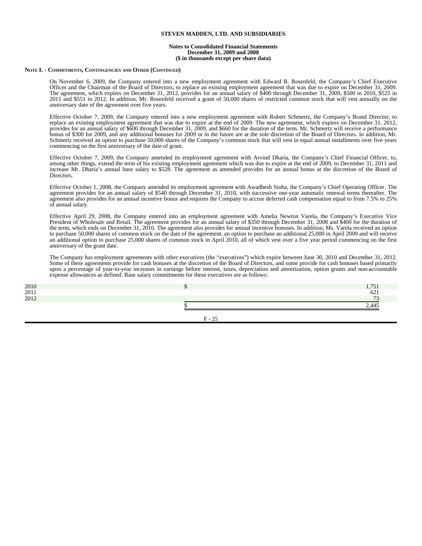#### **Notes to Consolidated Financial Statements December 31, 2009 and 2008 (\$ in thousands except per share data)**

### **NOTE L - COMMITMENTS, CONTINGENCIES AND OTHER (CONTINUED)**

On November 6, 2009, the Company entered into a new employment agreement with Edward R. Rosenfeld, the Company's Chief Executive Officer and the Chairman of the Board of Directors, to replace an existing employment agreement that was due to expire on December 31, 2009. The agreement, which expires on December 31, 2012, provides for an annual salary of \$400 through December 31, 2009, \$500 in 2010, \$525 in 2011 and \$551 in 2012. In addition, Mr. Rosenfeld received a grant of 50,000 shares of restricted common stock that will vest annually on the anniversary date of the agreement over five years.

Effective October 7, 2009, the Company entered into a new employment agreement with Robert Schmertz, the Company's Brand Director, to replace an existing employment agreement that was due to expire at the end of 2009. The new agreement, which expires on December 31, 2012, provides for an annual salary of \$600 through December 31, 2009, and \$660 for the duration of the term. Mr. Schmertz will receive a performance bonus of \$300 for 2009, and any additional bonuses for 2009 or in the future are at the sole discretion of the Board of Directors. In addition, Mr. Schmertz received an option to purchase 50,000 shares of the Company's common stock that will vest in equal annual installments over five years commencing on the first anniversary of the date of grant.

Effective October 7, 2009, the Company amended its employment agreement with Arvind Dharia, the Company's Chief Financial Officer, to, among other things, extend the term of his existing employment agreement which was due to expire at the end of 2009, to December 31, 2011 and increase Mr. Dharia's annual base salary to \$528. The agreement as amended provides for an annual bonus at the discretion of the Board of Directors.

Effective October 1, 2008, the Company amended its employment agreement with Awadhesh Sinha, the Company's Chief Operating Officer. The agreement provides for an annual salary of \$540 through December 31, 2010, with successive one-year automatic renewal terms thereafter. The agreement also provides for an annual incentive bonus and requires the Company to accrue deferred cash compensation equal to from 7.5% to 25% of annual salary.

Effective April 29, 2008, the Company entered into an employment agreement with Amelia Newton Varela, the Company's Executive Vice President of Wholesale and Retail. The agreement provides for an annual salary of \$350 through December 31, 2008 and \$400 for the duration of the term, which ends on December 31, 2010. The agreement also provides for annual incentive bonuses. In addition, Ms. Varela received an option to purchase 50,000 shares of common stock on the date of the agreement, an option to purchase an additional 25,000 in April 2009 and will receive an additional option to purchase 25,000 shares of common stock in April 2010, all of which vest over a five year period commencing on the first anniversary of the grant date.

The Company has employment agreements with other executives (the "executives") which expire between June 30, 2010 and December 31, 2012. Some of these agreements provide for cash bonuses at the discretion of the Board of Directors, and some provide for cash bonuses based primarily upon a percentage of year-to-year increases in earnings before interest, taxes, depreciation and amortization, option grants and non-accountable expense allowances as defined. Base salary commitments for these executives are as follows:

| 2010 | $- - -$                  |
|------|--------------------------|
| 2011 | OZ.                      |
| 2012 | $\overline{\phantom{a}}$ |
|      | -2.445                   |
|      |                          |

|  | ۰, |
|--|----|
|--|----|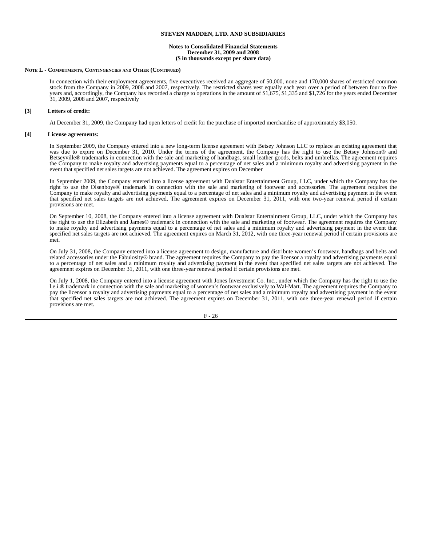#### **Notes to Consolidated Financial Statements December 31, 2009 and 2008 (\$ in thousands except per share data)**

### **NOTE L - COMMITMENTS, CONTINGENCIES AND OTHER (CONTINUED)**

In connection with their employment agreements, five executives received an aggregate of 50,000, none and 170,000 shares of restricted common stock from the Company in 2009, 2008 and 2007, respectively. The restricted shares vest equally each year over a period of between four to five years and, accordingly, the Company has recorded a charge to operations in the amount of \$1,675, \$1,335 and \$1,726 for the years ended December 31, 2009, 2008 and 2007, respectively

### **[3] Letters of credit:**

At December 31, 2009, the Company had open letters of credit for the purchase of imported merchandise of approximately \$3,050.

## **[4] License agreements:**

In September 2009, the Company entered into a new long-term license agreement with Betsey Johnson LLC to replace an existing agreement that was due to expire on December 31, 2010. Under the terms of the agreement, the Company has the right to use the Betsey Johnson® and Betseyville® trademarks in connection with the sale and marketing of handbags, small leather goods, belts and umbrellas. The agreement requires the Company to make royalty and advertising payments equal to a percentage of net sales and a minimum royalty and advertising payment in the event that specified net sales targets are not achieved. The agreement expires on December

In September 2009, the Company entered into a license agreement with Dualstar Entertainment Group, LLC, under which the Company has the right to use the Olsenboye® trademark in connection with the sale and marketing of footwear and accessories. The agreement requires the Company to make royalty and advertising payments equal to a percentage of net sales and a minimum royalty and advertising payment in the event that specified net sales targets are not achieved. The agreement expires on December 31, 2011, with one two-year renewal period if certain provisions are met.

On September 10, 2008, the Company entered into a license agreement with Dualstar Entertainment Group, LLC, under which the Company has the right to use the Elizabeth and James® trademark in connection with the sale and marketing of footwear. The agreement requires the Company to make royalty and advertising payments equal to a percentage of net sales and a minimum royalty and advertising payment in the event that specified net sales targets are not achieved. The agreement expires on March 31, 2012, with one three-year renewal period if certain provisions are met.

On July 31, 2008, the Company entered into a license agreement to design, manufacture and distribute women's footwear, handbags and belts and related accessories under the Fabulosity® brand. The agreement requires the Company to pay the licensor a royalty and advertising payments equal to a percentage of net sales and a minimum royalty and advertising payment in the event that specified net sales targets are not achieved. The agreement expires on December 31, 2011, with one three-year renewal period if certain provisions are met.

On July 1, 2008, the Company entered into a license agreement with Jones Investment Co. Inc., under which the Company has the right to use the l.e.i.® trademark in connection with the sale and marketing of women's footwear exclusively to Wal-Mart. The agreement requires the Company to pay the licensor a royalty and advertising payments equal to a percentage of net sales and a minimum royalty and advertising payment in the event that specified net sales targets are not achieved. The agreement expires on December 31, 2011, with one three-year renewal period if certain provisions are met.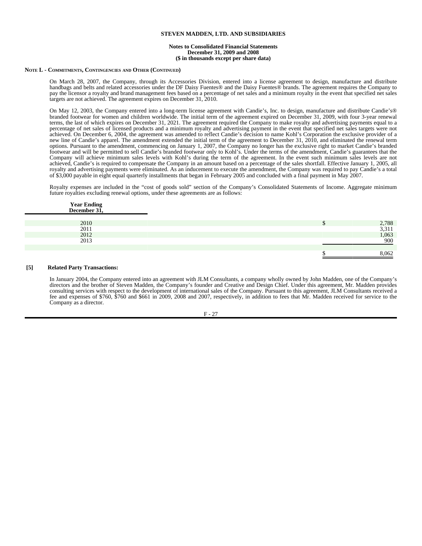#### **Notes to Consolidated Financial Statements December 31, 2009 and 2008 (\$ in thousands except per share data)**

### **NOTE L - COMMITMENTS, CONTINGENCIES AND OTHER (CONTINUED)**

On March 28, 2007, the Company, through its Accessories Division, entered into a license agreement to design, manufacture and distribute handbags and belts and related accessories under the DF Daisy Fuentes® and the Daisy Fuentes® brands. The agreement requires the Company to pay the licensor a royalty and brand management fees based on a percentage of net sales and a minimum royalty in the event that specified net sales targets are not achieved. The agreement expires on December 31, 2010.

On May 12, 2003, the Company entered into a long-term license agreement with Candie's, Inc. to design, manufacture and distribute Candie's® branded footwear for women and children worldwide. The initial term of the agreement expired on December 31, 2009, with four 3-year renewal terms, the last of which expires on December 31, 2021. The agreement required the Company to make royalty and advertising payments equal to a percentage of net sales of licensed products and a minimum royalty and advertising payment in the event that specified net sales targets were not achieved. On December 6, 2004, the agreement was amended to reflect Candie's decision to name Kohl's Corporation the exclusive provider of a new line of Candie's apparel. The amendment extended the initial term of the agreement to December 31, 2010, and eliminated the renewal term options. Pursuant to the amendment, commencing on January 1, 2007, the Company no longer has the exclusive right to market Candie's branded footwear and will be permitted to sell Candie's branded footwear only to Kohl's. Under the terms of the amendment, Candie's guarantees that the Company will achieve minimum sales levels with Kohl's during the term of the agreement. In the event such minimum sales levels are not achieved, Candie's is required to compensate the Company in an amount based on a percentage of the sales shortfall. Effective January 1, 2005, all royalty and advertising payments were eliminated. As an inducement to execute the amendment, the Company was required to pay Candie's a total of \$3,000 payable in eight equal quarterly installments that began in February 2005 and concluded with a final payment in May 2007.

Royalty expenses are included in the "cost of goods sold" section of the Company's Consolidated Statements of Income. Aggregate minimum future royalties excluding renewal options, under these agreements are as follows:

| <b>Year Ending</b> |  |
|--------------------|--|
| December 31,       |  |

| 2010 | 2,788                 |
|------|-----------------------|
| 2011 | $\frac{3,311}{1,063}$ |
| 2012 |                       |
| 2013 | 900                   |
|      |                       |
|      | በሬገ                   |

### **[5] Related Party Transactions:**

In January 2004, the Company entered into an agreement with JLM Consultants, a company wholly owned by John Madden, one of the Company's directors and the brother of Steven Madden, the Company's founder and Creative and Design Chief. Under this agreement, Mr. Madden provides consulting services with respect to the development of international sales of the Company. Pursuant to this agreement, JLM Consultants received a fee and expenses of \$760, \$760 and \$661 in 2009, 2008 and 2007, respectively, in addition to fees that Mr. Madden received for service to the Company as a director.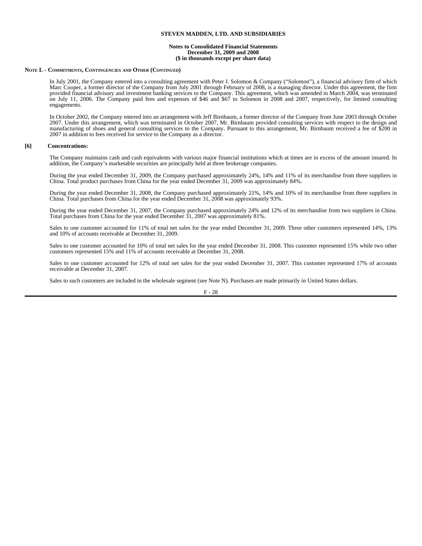#### **Notes to Consolidated Financial Statements December 31, 2009 and 2008 (\$ in thousands except per share data)**

### **NOTE L - COMMITMENTS, CONTINGENCIES AND OTHER (CONTINUED)**

In July 2001, the Company entered into a consulting agreement with Peter J. Solomon & Company ("Solomon"), a financial advisory firm of which Marc Cooper, a former director of the Company from July 2001 through February of 2008, is a managing director. Under this agreement, the firm provided financial advisory and investment banking services to the Company. This agreement, which was amended in March 2004, was terminated on July 11, 2006. The Company paid fees and expenses of \$46 and \$67 to Solomon in 2008 and 2007, respectively, for limited consulting engagements.

In October 2002, the Company entered into an arrangement with Jeff Birnbaum, a former director of the Company from June 2003 through October 2007. Under this arrangement, which was terminated in October 2007, Mr. Birnbaum provided consulting services with respect to the design and manufacturing of shoes and general consulting services to the Company. Pursuant to this arrangement, Mr. Birnbaum received a fee of \$200 in 2007 in addition to fees received for service to the Company as a director.

#### **[6] Concentrations:**

The Company maintains cash and cash equivalents with various major financial institutions which at times are in excess of the amount insured. In addition, the Company's marketable securities are principally held at three brokerage companies.

During the year ended December 31, 2009, the Company purchased approximately 24%, 14% and 11% of its merchandise from three suppliers in China. Total product purchases from China for the year ended December 31, 2009 was approximately 84%.

During the year ended December 31, 2008, the Company purchased approximately 21%, 14% and 10% of its merchandise from three suppliers in China. Total purchases from China for the year ended December 31, 2008 was approximately 93%.

During the year ended December 31, 2007, the Company purchased approximately 24% and 12% of its merchandise from two suppliers in China. Total purchases from China for the year ended December 31, 2007 was approximately 81%.

Sales to one customer accounted for 11% of total net sales for the year ended December 31, 2009. Three other customers represented 14%, 13% and 10% of accounts receivable at December 31, 2009.

Sales to one customer accounted for 10% of total net sales for the year ended December 31, 2008. This customer represented 15% while two other customers represented 15% and 11% of accounts receivable at December 31, 2008.

Sales to one customer accounted for 12% of total net sales for the year ended December 31, 2007. This customer represented 17% of accounts receivable at December 31, 2007.

Sales to such customers are included in the wholesale segment (see Note N). Purchases are made primarily in United States dollars.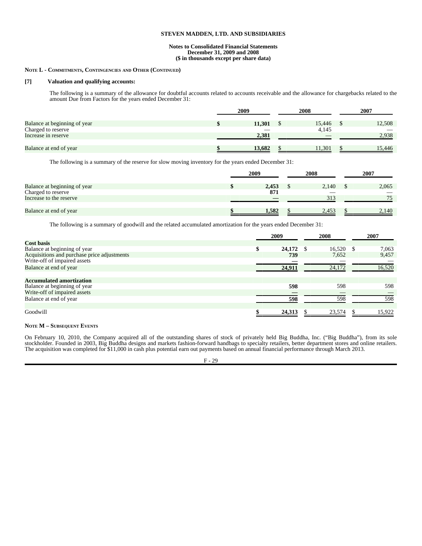#### **Notes to Consolidated Financial Statements December 31, 2009 and 2008 (\$ in thousands except per share data)**

# **NOTE L - COMMITMENTS, CONTINGENCIES AND OTHER (CONTINUED)**

## **[7] Valuation and qualifying accounts:**

The following is a summary of the allowance for doubtful accounts related to accounts receivable and the allowance for chargebacks related to the amount Due from Factors for the years ended December 31:

|                              | 2009   | 2008 |        |  | 2007                     |  |  |
|------------------------------|--------|------|--------|--|--------------------------|--|--|
| Balance at beginning of year | 11,301 |      | 15.446 |  | 12,508                   |  |  |
| Charged to reserve           |        |      | 4,145  |  | $\overline{\phantom{a}}$ |  |  |
| Increase in reserve          | 2,381  |      |        |  | 2,938                    |  |  |
|                              |        |      |        |  |                          |  |  |
| Balance at end of year       | 13,682 |      | 11,301 |  | 15,446                   |  |  |

The following is a summary of the reserve for slow moving inventory for the years ended December 31:

|                              | 2009 |       | 2008  | 2007 |       |
|------------------------------|------|-------|-------|------|-------|
| Balance at beginning of year |      | 2.453 | 2.140 |      | 2,065 |
| Charged to reserve           |      | 871   | _     |      |       |
| Increase to the reserve      |      |       | 313   |      | 75    |
| Balance at end of year       |      | 1.582 | 2,453 |      | 2,140 |

The following is a summary of goodwill and the related accumulated amortization for the years ended December 31:

|                                             | 2009 |             | 2008   | 2007   |
|---------------------------------------------|------|-------------|--------|--------|
| <b>Cost basis</b>                           |      |             |        |        |
| Balance at beginning of year                |      | $24,172$ \$ | 16,520 | 7,063  |
| Acquisitions and purchase price adjustments |      | 739         | 7,652  | 9,457  |
| Write-off of impaired assets                |      |             |        |        |
| Balance at end of year                      |      | 24,911      | 24,172 | 16,520 |
| <b>Accumulated amortization</b>             |      |             |        |        |
| Balance at beginning of year                |      | 598         | 598    | 598    |
| Write-off of impaired assets                |      |             |        |        |
| Balance at end of year                      |      | 598         | 598    | 598    |
| Goodwill                                    |      | 24,313      | 23,574 | 15,922 |

# **NOTE M – SUBSEQUENT EVENTS**

On February 10, 2010, the Company acquired all of the outstanding shares of stock of privately held Big Buddha, Inc. ("Big Buddha"), from its sole stockholder. Founded in 2003, Big Buddha designs and markets fashion-forward handbags to specialty retailers, better department stores and online retailers. The acquisition was completed for \$11,000 in cash plus potential earn out payments based on annual financial performance through March 2013.

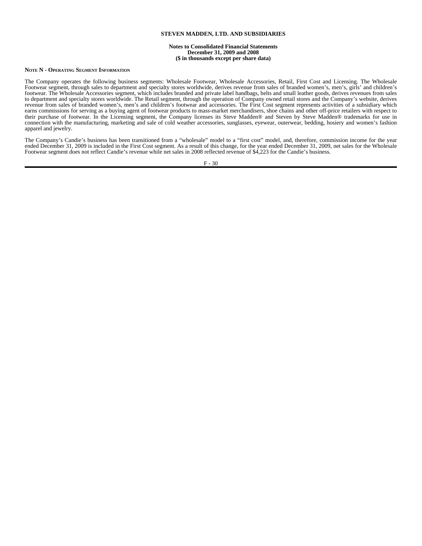### **Notes to Consolidated Financial Statements December 31, 2009 and 2008 (\$ in thousands except per share data)**

# **NOTE N - OPERATING SEGMENT INFORMATION**

The Company operates the following business segments: Wholesale Footwear, Wholesale Accessories, Retail, First Cost and Licensing. The Wholesale Footwear segment, through sales to department and specialty stores worldwide, derives revenue from sales of branded women's, men's, girls' and children's footwear. The Wholesale Accessories segment, which includes branded and private label handbags, belts and small leather goods, derives revenues from sales to department and specialty stores worldwide. The Retail segment, through the operation of Company owned retail stores and the Company's website, derives revenue from sales of branded women's, men's and children's footwear and accessories. The First Cost segment represents activities of a subsidiary which earns commissions for serving as a buying agent of footwear products to mass-market merchandisers, shoe chains and other off-price retailers with respect to their purchase of footwear. In the Licensing segment, the Company licenses its Steve Madden® and Steven by Steve Madden® trademarks for use in connection with the manufacturing, marketing and sale of cold weather accessories, sunglasses, eyewear, outerwear, bedding, hosiery and women's fashion apparel and jewelry.

The Company's Candie's business has been transitioned from a "wholesale" model to a "first cost" model, and, therefore, commission income for the year ended December 31, 2009 is included in the First Cost segment. As a result of this change, for the year ended December 31, 2009, net sales for the Wholesale Footwear segment does not reflect Candie's revenue while net sales in 2008 reflected revenue of \$4,223 for the Candie's business.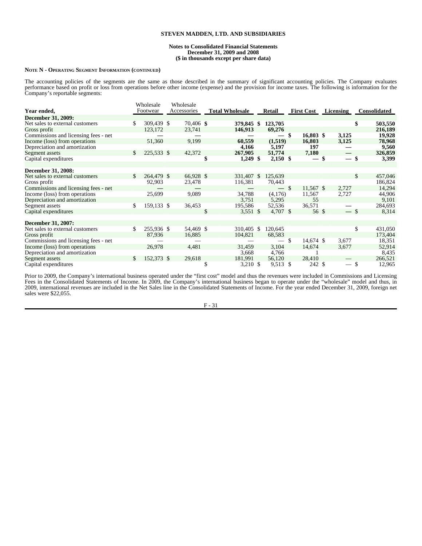### **Notes to Consolidated Financial Statements December 31, 2009 and 2008 (\$ in thousands except per share data)**

# **NOTE N - OPERATING SEGMENT INFORMATION (CONTINUED)**

The accounting policies of the segments are the same as those described in the summary of significant accounting policies. The Company evaluates performance based on profit or loss from operations before other income (expense) and the provision for income taxes. The following is information for the Company's reportable segments:

|                                      | Wholesale        | Wholesale   |                        |                          |               |                   |                  |     |              |
|--------------------------------------|------------------|-------------|------------------------|--------------------------|---------------|-------------------|------------------|-----|--------------|
| Year ended,                          | Footwear         | Accessories | <b>Total Wholesale</b> | Retail                   |               | <b>First Cost</b> | <b>Licensing</b> |     | Consolidated |
| <b>December 31, 2009:</b>            |                  |             |                        |                          |               |                   |                  |     |              |
| Net sales to external customers      | \$<br>309.439 \$ | 70.406 \$   | 379,845 \$             | 123,705                  |               |                   |                  | \$  | 503,550      |
| Gross profit                         | 123,172          | 23,741      | 146,913                | 69,276                   |               |                   |                  |     | 216,189      |
| Commissions and licensing fees - net |                  |             |                        | $\overline{\phantom{0}}$ | -\$           | $16,803$ \$       | 3,125            |     | 19,928       |
| Income (loss) from operations        | 51,360           | 9,199       | 60.559                 | (1,519)                  |               | 16,803            | 3,125            |     | 78,968       |
| Depreciation and amortization        |                  |             | 4,166                  | 5,197                    |               | 197               |                  |     | 9,560        |
| Segment assets                       | \$<br>225,533 \$ | 42,372      | 267,905                | 51,774                   |               | 7,180             |                  |     | 326,859      |
| Capital expenditures                 |                  |             | \$<br>$1,249$ \$       | $2,150$ \$               |               | $-$ \$            | $-$ \$           |     | 3,399        |
|                                      |                  |             |                        |                          |               |                   |                  |     |              |
| December 31, 2008:                   |                  |             |                        |                          |               |                   |                  |     |              |
| Net sales to external customers      | \$<br>264,479 \$ | 66,928 \$   | 331,407 \$             | 125,639                  |               |                   |                  | \$. | 457,046      |
| Gross profit                         | 92,903           | 23,478      | 116,381                | 70,443                   |               |                   |                  |     | 186,824      |
| Commissions and licensing fees - net |                  |             |                        | $-$ \$                   |               | 11,567 \$         | 2,727            |     | 14,294       |
| Income (loss) from operations        | 25,699           | 9,089       | 34,788                 | (4,176)                  |               | 11,567            | 2,727            |     | 44,906       |
| Depreciation and amortization        |                  |             | 3,751                  | 5,295                    |               | 55                |                  |     | 9,101        |
| Segment assets                       | \$<br>159,133 \$ | 36,453      | 195,586                | 52,536                   |               | 36,571            |                  |     | 284,693      |
| Capital expenditures                 |                  |             | \$<br>$3,551$ \$       | 4,707 \$                 |               | 56 \$             | $-$ \$           |     | 8,314        |
|                                      |                  |             |                        |                          |               |                   |                  |     |              |
| December 31, 2007:                   |                  |             |                        |                          |               |                   |                  |     |              |
| Net sales to external customers      | \$<br>255,936 \$ | 54,469 \$   | 310,405 \$             | 120,645                  |               |                   |                  | \$  | 431,050      |
| Gross profit                         | 87,936           | 16,885      | 104,821                | 68,583                   |               |                   |                  |     | 173,404      |
| Commissions and licensing fees - net |                  |             |                        | $\overline{\phantom{a}}$ | <sup>\$</sup> | 14,674 \$         | 3,677            |     | 18,351       |
| Income (loss) from operations        | 26,978           | 4,481       | 31.459                 | 3,104                    |               | 14,674            | 3,677            |     | 52,914       |
| Depreciation and amortization        |                  |             | 3,668                  | 4,766                    |               |                   |                  |     | 8,435        |
| Segment assets                       | \$<br>152,373 \$ | 29,618      | 181,991                | 56,120                   |               | 28,410            |                  |     | 266,521      |
| Capital expenditures                 |                  |             | \$<br>3,210 \$         | $9,513$ \$               |               | 242 \$            | $-$ \$           |     | 12,965       |

Prior to 2009, the Company's international business operated under the "first cost" model and thus the revenues were included in Commissions and Licensing Fees in the Consolidated Statements of Income. In 2009, the Company's international business began to operate under the "wholesale" model and thus, in 2009, international revenues are included in the Net Sales line in the Consolidated Statements of Income. For the year ended December 31, 2009, foreign net sales were \$22,055.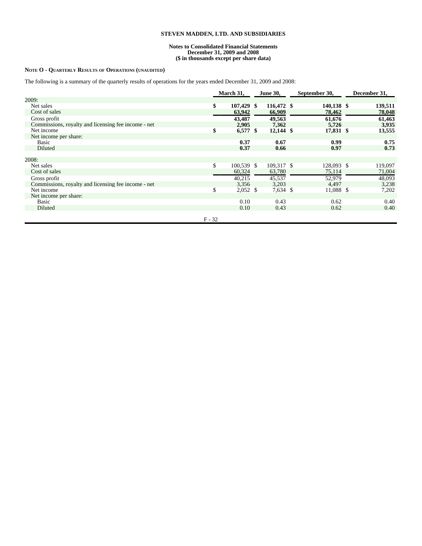# **STEVEN MADDEN, LTD. AND SUBSIDIARIES**

#### **Notes to Consolidated Financial Statements December 31, 2009 and 2008 (\$ in thousands except per share data)**

# **NOTE O - QUARTERLY RESULTS OF OPERATIONS (UNAUDITED)**

### The following is a summary of the quarterly results of operations for the years ended December 31, 2009 and 2008:

|                                                     |          | March 31,           | <b>June 30,</b> | September 30, | December 31. |
|-----------------------------------------------------|----------|---------------------|-----------------|---------------|--------------|
| 2009:                                               |          |                     |                 |               |              |
| Net sales                                           | \$       | 107,429 \$          | 116,472 \$      | 140,138 \$    | 139,511      |
| Cost of sales                                       |          | 63,942              | 66,909          | 78,462        | 78,048       |
| Gross profit                                        |          | 43,487              | 49,563          | 61,676        | 61,463       |
| Commissions, royalty and licensing fee income - net |          | 2,905               | 7,362           | 5,726         | 3,935        |
| Net income                                          | \$       | $6,577$ \$          | $12,144$ \$     | 17,831 \$     | 13,555       |
| Net income per share:                               |          |                     |                 |               |              |
| Basic                                               |          | 0.37                | 0.67            | 0.99          | 0.75         |
| Diluted                                             |          | 0.37                | 0.66            | 0.97          | 0.73         |
|                                                     |          |                     |                 |               |              |
| 2008:                                               |          |                     |                 |               |              |
| Net sales                                           | \$       | 100,539 \$          | 109,317 \$      | 128,093 \$    | 119,097      |
| Cost of sales                                       |          | 60,324              | 63,780          | 75,114        | 71,004       |
| Gross profit                                        |          | 40,215              | 45,537          | 52,979        | 48,093       |
| Commissions, royalty and licensing fee income - net |          | 3,356               | 3,203           | 4,497         | 3,238        |
| Net income                                          | \$       | $2,052 \text{ }$ \$ | 7,634 \$        | 11,088 \$     | 7,202        |
| Net income per share:                               |          |                     |                 |               |              |
| Basic                                               |          | 0.10                | 0.43            | 0.62          | 0.40         |
| Diluted                                             |          | 0.10                | 0.43            | 0.62          | 0.40         |
|                                                     |          |                     |                 |               |              |
|                                                     | $F - 32$ |                     |                 |               |              |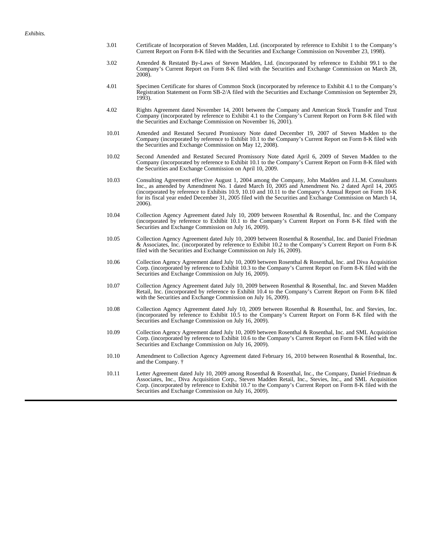- 3.01 Certificate of Incorporation of Steven Madden, Ltd. (incorporated by reference to Exhibit 1 to the Company's Current Report on Form 8-K filed with the Securities and Exchange Commission on November 23, 1998).
- 3.02 Amended & Restated By-Laws of Steven Madden, Ltd. (incorporated by reference to Exhibit 99.1 to the Company's Current Report on Form 8-K filed with the Securities and Exchange Commission on March 28, 2008).
- 4.01 Specimen Certificate for shares of Common Stock (incorporated by reference to Exhibit 4.1 to the Company's Registration Statement on Form SB-2/A filed with the Securities and Exchange Commission on September 29, 1993).
- 4.02 Rights Agreement dated November 14, 2001 between the Company and American Stock Transfer and Trust Company (incorporated by reference to Exhibit 4.1 to the Company's Current Report on Form 8-K filed with the Securities and Exchange Commission on November 16, 2001).
- 10.01 Amended and Restated Secured Promissory Note dated December 19, 2007 of Steven Madden to the Company (incorporated by reference to Exhibit 10.1 to the Company's Current Report on Form 8-K filed with the Securities and Exchange Commission on May 12, 2008).
- 10.02 Second Amended and Restated Secured Promissory Note dated April 6, 2009 of Steven Madden to the Company (incorporated by reference to Exhibit 10.1 to the Company's Current Report on Form 8-K filed with the Securities and Exchange Commission on April 10, 2009.
- 10.03 Consulting Agreement effective August 1, 2004 among the Company, John Madden and J.L.M. Consultants Inc., as amended by Amendment No. 1 dated March 10, 2005 and Amendment No. 2 dated April 14, 2005 (incorporated by reference to Exhibits 10.9, 10.10 and 10.11 to the Company's Annual Report on Form 10-K for its fiscal year ended December 31, 2005 filed with the Securities and Exchange Commission on March 14, 2006).
- 10.04 Collection Agency Agreement dated July 10, 2009 between Rosenthal & Rosenthal, Inc. and the Company (incorporated by reference to Exhibit 10.1 to the Company's Current Report on Form 8-K filed with the Securities and Exchange Commission on July 16, 2009).
- 10.05 Collection Agency Agreement dated July 10, 2009 between Rosenthal & Rosenthal, Inc. and Daniel Friedman & Associates, Inc. (incorporated by reference to Exhibit 10.2 to the Company's Current Report on Form 8-K filed with the Securities and Exchange Commission on July 16, 2009).
- 10.06 Collection Agency Agreement dated July 10, 2009 between Rosenthal & Rosenthal, Inc. and Diva Acquisition Corp. (incorporated by reference to Exhibit 10.3 to the Company's Current Report on Form 8-K filed with the Securities and Exchange Commission on July 16, 2009).
- 10.07 Collection Agency Agreement dated July 10, 2009 between Rosenthal & Rosenthal, Inc. and Steven Madden Retail, Inc. (incorporated by reference to Exhibit 10.4 to the Company's Current Report on Form 8-K filed with the Securities and Exchange Commission on July 16, 2009).
- 10.08 Collection Agency Agreement dated July 10, 2009 between Rosenthal & Rosenthal, Inc. and Stevies, Inc. (incorporated by reference to Exhibit 10.5 to the Company's Current Report on Form 8-K filed with the Securities and Exchange Commission on July 16, 2009).
- 10.09 Collection Agency Agreement dated July 10, 2009 between Rosenthal & Rosenthal, Inc. and SML Acquisition Corp. (incorporated by reference to Exhibit 10.6 to the Company's Current Report on Form 8-K filed with the Securities and Exchange Commission on July 16, 2009).
- 10.10 Amendment to Collection Agency Agreement dated February 16, 2010 between Rosenthal & Rosenthal, Inc. and the Company. †
- 10.11 Letter Agreement dated July 10, 2009 among Rosenthal & Rosenthal, Inc., the Company, Daniel Friedman & Associates, Inc., Diva Acquisition Corp., Steven Madden Retail, Inc., Stevies, Inc., and SML Acquisition Corp. (incorporated by reference to Exhibit 10.7 to the Company's Current Report on Form 8-K filed with the Securities and Exchange Commission on July 16, 2009).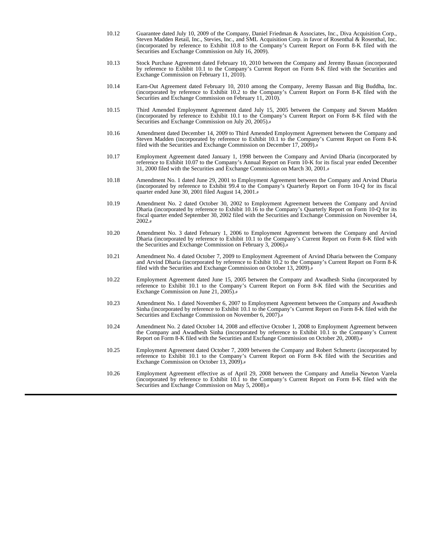- 10.12 Guarantee dated July 10, 2009 of the Company, Daniel Friedman & Associates, Inc., Diva Acquisition Corp., Steven Madden Retail, Inc., Stevies, Inc., and SML Acquisition Corp. in favor of Rosenthal & Rosenthal, Inc. (incorporated by reference to Exhibit 10.8 to the Company's Current Report on Form 8-K filed with the Securities and Exchange Commission on July 16, 2009).
- 10.13 Stock Purchase Agreement dated February 10, 2010 between the Company and Jeremy Bassan (incorporated by reference to Exhibit 10.1 to the Company's Current Report on Form 8-K filed with the Securities and Exchange Commission on February 11, 2010).
- 10.14 Earn-Out Agreement dated February 10, 2010 among the Company, Jeremy Bassan and Big Buddha, Inc. (incorporated by reference to Exhibit 10.2 to the Company's Current Report on Form 8-K filed with the Securities and Exchange Commission on February 11, 2010).
- 10.15 Third Amended Employment Agreement dated July 15, 2005 between the Company and Steven Madden (incorporated by reference to Exhibit 10.1 to the Company's Current Report on Form 8-K filed with the Securities and Exchange Commission on July 20, 2005).#
- 10.16 Amendment dated December 14, 2009 to Third Amended Employment Agreement between the Company and Steven Madden (incorporated by reference to Exhibit 10.1 to the Company's Current Report on Form 8-K filed with the Securities and Exchange Commission on December 17, 2009).#
- 10.17 Employment Agreement dated January 1, 1998 between the Company and Arvind Dharia (incorporated by reference to Exhibit 10.07 to the Company's Annual Report on Form 10-K for its fiscal year ended December 31, 2000 filed with the Securities and Exchange Commission on March 30, 2001.#
- 10.18 Amendment No. 1 dated June 29, 2001 to Employment Agreement between the Company and Arvind Dharia (incorporated by reference to Exhibit 99.4 to the Company's Quarterly Report on Form 10-Q for its fiscal quarter ended June 30, 2001 filed August 14, 2001.#
- 10.19 Amendment No. 2 dated October 30, 2002 to Employment Agreement between the Company and Arvind Dharia (incorporated by reference to Exhibit 10.16 to the Company's Quarterly Report on Form 10-Q for its fiscal quarter ended September 30, 2002 filed with the Securities and Exchange Commission on November 14, 2002.#
- 10.20 Amendment No. 3 dated February 1, 2006 to Employment Agreement between the Company and Arvind Dharia (incorporated by reference to Exhibit 10.1 to the Company's Current Report on Form 8-K filed with the Securities and Exchange Commission on February 3, 2006).#
- 10.21 Amendment No. 4 dated October 7, 2009 to Employment Agreement of Arvind Dharia between the Company and Arvind Dharia (incorporated by reference to Exhibit 10.2 to the Company's Current Report on Form 8-K filed with the Securities and Exchange Commission on October 13, 2009).#
- 10.22 Employment Agreement dated June 15, 2005 between the Company and Awadhesh Sinha (incorporated by reference to Exhibit 10.1 to the Company's Current Report on Form 8-K filed with the Securities and Exchange Commission on June 21, 2005).#
- 10.23 Amendment No. 1 dated November 6, 2007 to Employment Agreement between the Company and Awadhesh Sinha (incorporated by reference to Exhibit 10.1 to the Company's Current Report on Form 8-K filed with the Securities and Exchange Commission on November 6, 2007).#
- 10.24 Amendment No. 2 dated October 14, 2008 and effective October 1, 2008 to Employment Agreement between the Company and Awadhesh Sinha (incorporated by reference to Exhibit 10.1 to the Company's Current Report on Form 8-K filed with the Securities and Exchange Commission on October 20, 2008).#
- 10.25 Employment Agreement dated October 7, 2009 between the Company and Robert Schmertz (incorporated by reference to Exhibit 10.1 to the Company's Current Report on Form 8-K filed with the Securities and Exchange Commission on October 13, 2009).#
- 10.26 Employment Agreement effective as of April 29, 2008 between the Company and Amelia Newton Varela (incorporated by reference to Exhibit 10.1 to the Company's Current Report on Form 8-K filed with the Securities and Exchange Commission on May 5, 2008).#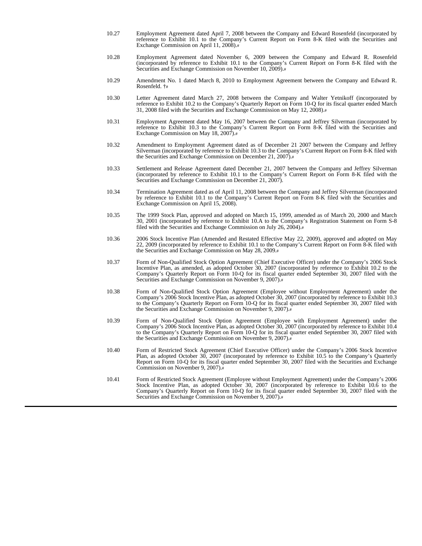- 10.27 Employment Agreement dated April 7, 2008 between the Company and Edward Rosenfeld (incorporated by reference to Exhibit 10.1 to the Company's Current Report on Form 8-K filed with the Securities and Exchange Commission on April 11, 2008).#
- 10.28 Employment Agreement dated November 6, 2009 between the Company and Edward R. Rosenfeld (incorporated by reference to Exhibit 10.1 to the Company's Current Report on Form 8-K filed with the Securities and Exchange Commission on November 10, 2009).#
- 10.29 Amendment No. 1 dated March 8, 2010 to Employment Agreement between the Company and Edward R. Rosenfeld. †#
- 10.30 Letter Agreement dated March 27, 2008 between the Company and Walter Yetnikoff (incorporated by reference to Exhibit 10.2 to the Company's Quarterly Report on Form 10-Q for its fiscal quarter ended March 31, 2008 filed with the Securities and Exchange Commission on May 12, 2008).#
- 10.31 Employment Agreement dated May 16, 2007 between the Company and Jeffrey Silverman (incorporated by reference to Exhibit 10.3 to the Company's Current Report on Form 8-K filed with the Securities and Exchange Commission on May 18, 2007).#
- 10.32 Amendment to Employment Agreement dated as of December 21 2007 between the Company and Jeffrey Silverman (incorporated by reference to Exhibit 10.3 to the Company's Current Report on Form 8-K filed with the Securities and Exchange Commission on December 21, 2007).#
- 10.33 Settlement and Release Agreement dated December 21, 2007 between the Company and Jeffrey Silverman (incorporated by reference to Exhibit 10.1 to the Company's Current Report on Form 8-K filed with the Securities and Exchange Commission on December 21, 2007).
- 10.34 Termination Agreement dated as of April 11, 2008 between the Company and Jeffrey Silverman (incorporated by reference to Exhibit 10.1 to the Company's Current Report on Form 8-K filed with the Securities and Exchange Commission on April 15, 2008).
- 10.35 The 1999 Stock Plan, approved and adopted on March 15, 1999, amended as of March 20, 2000 and March 30, 2001 (incorporated by reference to Exhibit 10.A to the Company's Registration Statement on Form S-8 filed with the Securities and Exchange Commission on July 26, 2004).#
- 10.36 2006 Stock Incentive Plan (Amended and Restated Effective May 22, 2009), approved and adopted on May 22, 2009 (incorporated by reference to Exhibit 10.1 to the Company's Current Report on Form 8-K filed with the Securities and Exchange Commission on May 28, 2009.#
- 10.37 Form of Non-Qualified Stock Option Agreement (Chief Executive Officer) under the Company's 2006 Stock Incentive Plan, as amended, as adopted October 30, 2007 (incorporated by reference to Exhibit 10.2 to the Company's Quarterly Report on Form 10-Q for its fiscal quarter ended September 30, 2007 filed with the Securities and Exchange Commission on November 9, 2007).#
- 10.38 Form of Non-Qualified Stock Option Agreement (Employee without Employment Agreement) under the Company's 2006 Stock Incentive Plan, as adopted October 30, 2007 (incorporated by reference to Exhibit 10.3 to the Company's Quarterly Report on Form 10-Q for its fiscal quarter ended September 30, 2007 filed with the Securities and Exchange Commission on November 9, 2007).#
- 10.39 Form of Non-Qualified Stock Option Agreement (Employee with Employment Agreement) under the Company's 2006 Stock Incentive Plan, as adopted October 30, 2007 (incorporated by reference to Exhibit 10.4 to the Company's Quarterly Report on Form 10-Q for its fiscal quarter ended September 30, 2007 filed with the Securities and Exchange Commission on November 9, 2007).#
- 10.40 Form of Restricted Stock Agreement (Chief Executive Officer) under the Company's 2006 Stock Incentive Plan, as adopted October 30, 2007 (incorporated by reference to Exhibit 10.5 to the Company's Quarterly Report on Form 10-Q for its fiscal quarter ended September 30, 2007 filed with the Securities and Exchange Commission on November 9, 2007).#
- 10.41 Form of Restricted Stock Agreement (Employee without Employment Agreement) under the Company's 2006 Stock Incentive Plan, as adopted October 30, 2007 (incorporated by reference to Exhibit 10.6 to the Company's Quarterly Report on Form 10-Q for its fiscal quarter ended September 30, 2007 filed with the Securities and Exchange Commission on November 9, 2007).#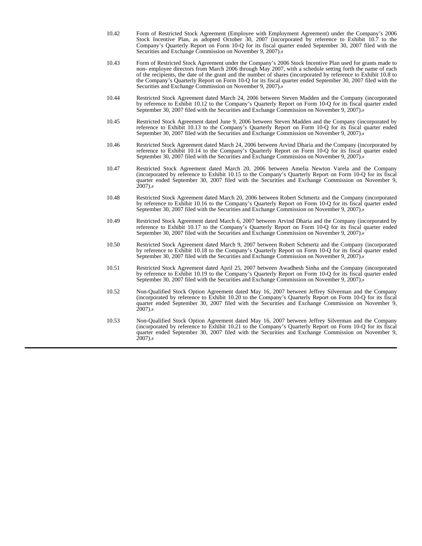- 10.42 Form of Restricted Stock Agreement (Employee with Employment Agreement) under the Company's 2006 Stock Incentive Plan, as adopted October 30, 2007 (incorporated by reference to Exhibit 10.7 to the Company's Quarterly Report on Form 10-Q for its fiscal quarter ended September 30, 2007 filed with the Securities and Exchange Commission on November 9, 2007).#
- 10.43 Form of Restricted Stock Agreement under the Company's 2006 Stock Incentive Plan used for grants made to non- employee directors from March 2006 through May 2007, with a schedule setting forth the name of each of the recipients, the date of the grant and the number of shares (incorporated by reference to Exhibit 10.8 to the Company's Quarterly Report on Form 10-Q for its fiscal quarter ended September 30, 2007 filed with the Securities and Exchange Commission on November 9, 2007).#
- 10.44 Restricted Stock Agreement dated March 24, 2006 between Steven Madden and the Company (incorporated by reference to Exhibit 10.12 to the Company's Quarterly Report on Form 10-Q for its fiscal quarter ended September 30, 2007 filed with the Securities and Exchange Commission on November 9, 2007).#
- 10.45 Restricted Stock Agreement dated June 9, 2006 between Steven Madden and the Company (incorporated by reference to Exhibit 10.13 to the Company's Quarterly Report on Form 10-Q for its fiscal quarter ended September 30, 2007 filed with the Securities and Exchange Commission on November 9, 2007).#
- 10.46 Restricted Stock Agreement dated March 24, 2006 between Arvind Dharia and the Company (incorporated by reference to Exhibit 10.14 to the Company's Quarterly Report on Form 10-Q for its fiscal quarter ended September 30, 2007 filed with the Securities and Exchange Commission on November 9, 2007).#
- 10.47 Restricted Stock Agreement dated March 20, 2006 between Amelia Newton Varela and the Company (incorporated by reference to Exhibit 10.15 to the Company's Quarterly Report on Form 10-Q for its fiscal quarter ended September 30, 2007 filed with the Securities and Exchange Commission on November 9,  $2007$ ).#
- 10.48 Restricted Stock Agreement dated March 20, 2006 between Robert Schmertz and the Company (incorporated by reference to Exhibit 10.16 to the Company's Quarterly Report on Form 10-Q for its fiscal quarter ended September 30, 2007 filed with the Securities and Exchange Commission on November 9, 2007).#
- 10.49 Restricted Stock Agreement dated March 6, 2007 between Arvind Dharia and the Company (incorporated by reference to Exhibit 10.17 to the Company's Quarterly Report on Form 10-Q for its fiscal quarter ended September 30, 2007 filed with the Securities and Exchange Commission on November 9, 2007).#
- 10.50 Restricted Stock Agreement dated March 9, 2007 between Robert Schmertz and the Company (incorporated by reference to Exhibit 10.18 to the Company's Quarterly Report on Form 10-Q for its fiscal quarter ended September 30, 2007 filed with the Securities and Exchange Commission on November 9, 2007).#
- 10.51 Restricted Stock Agreement dated April 25, 2007 between Awadhesh Sinha and the Company (incorporated by reference to Exhibit 10.19 to the Company's Quarterly Report on Form 10-Q for its fiscal quarter ended September 30, 2007 filed with the Securities and Exchange Commission on November 9, 2007).#
- 10.52 Non-Qualified Stock Option Agreement dated May 16, 2007 between Jeffrey Silverman and the Company (incorporated by reference to Exhibit 10.20 to the Company's Quarterly Report on Form 10-Q for its fiscal quarter ended September 30, 2007 filed with the Securities and Exchange Commission on November 9,  $2007$ ).#
- 10.53 Non-Qualified Stock Option Agreement dated May 16, 2007 between Jeffrey Silverman and the Company (incorporated by reference to Exhibit 10.21 to the Company's Quarterly Report on Form 10-Q for its fiscal quarter ended September 30, 2007 filed with the Securities and Exchange Commission on November 9,  $2007$ ).#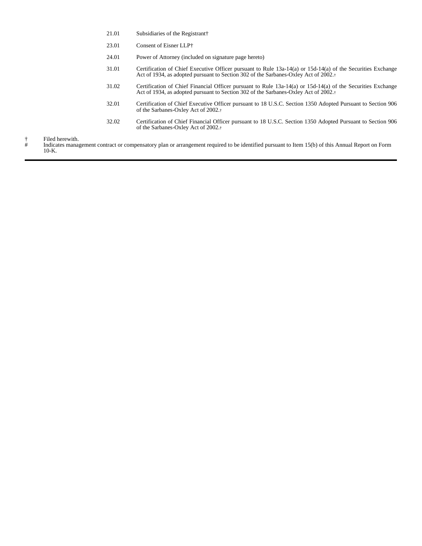- 21.01 Subsidiaries of the Registrant†
- 23.01 Consent of Eisner LLP†
- 24.01 Power of Attorney (included on signature page hereto)
- 31.01 Certification of Chief Executive Officer pursuant to Rule 13a-14(a) or 15d-14(a) of the Securities Exchange Act of 1934, as adopted pursuant to Section 302 of the Sarbanes-Oxley Act of 2002.†
- 31.02 Certification of Chief Financial Officer pursuant to Rule 13a-14(a) or 15d-14(a) of the Securities Exchange Act of 1934, as adopted pursuant to Section 302 of the Sarbanes-Oxley Act of 2002.†
- 32.01 Certification of Chief Executive Officer pursuant to 18 U.S.C. Section 1350 Adopted Pursuant to Section 906 of the Sarbanes-Oxley Act of 2002.†
- 32.02 Certification of Chief Financial Officer pursuant to 18 U.S.C. Section 1350 Adopted Pursuant to Section 906 of the Sarbanes-Oxley Act of 2002.†

# † Filed herewith.<br>
# Indicates mana

Indicates management contract or compensatory plan or arrangement required to be identified pursuant to Item 15(b) of this Annual Report on Form 10-K.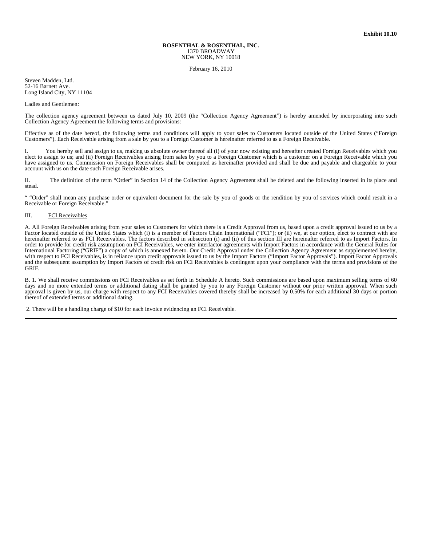#### **ROSENTHAL & ROSENTHAL, INC.** 1370 BROADWAY NEW YORK, NY 10018

February 16, 2010

Steven Madden, Ltd. 52-16 Barnett Ave. Long Island City, NY 11104

Ladies and Gentlemen:

The collection agency agreement between us dated July 10, 2009 (the "Collection Agency Agreement") is hereby amended by incorporating into such Collection Agency Agreement the following terms and provisions:

Effective as of the date hereof, the following terms and conditions will apply to your sales to Customers located outside of the United States ("Foreign Customers"). Each Receivable arising from a sale by you to a Foreign Customer is hereinafter referred to as a Foreign Receivable.

I. You hereby sell and assign to us, making us absolute owner thereof all (i) of your now existing and hereafter created Foreign Receivables which you elect to assign to us; and (ii) Foreign Receivables arising from sales by you to a Foreign Customer which is a customer on a Foreign Receivable which you have assigned to us. Commission on Foreign Receivables shall be computed as hereinafter provided and shall be due and payable and chargeable to your account with us on the date such Foreign Receivable arises.

II. The definition of the term "Order" in Section 14 of the Collection Agency Agreement shall be deleted and the following inserted in its place and stead.

" "Order" shall mean any purchase order or equivalent document for the sale by you of goods or the rendition by you of services which could result in a Receivable or Foreign Receivable."

### III. FCI Receivables

A. All Foreign Receivables arising from your sales to Customers for which there is a Credit Approval from us, based upon a credit approval issued to us by a Factor located outside of the United States which (i) is a member of Factors Chain International ("FCI"); or (ii) we, at our option, elect to contract with are hereinafter referred to as FCI Receivables. The factors described in subsection (i) and (ii) of this section III are hereinafter referred to as Import Factors. In order to provide for credit risk assumption on FCI Receivables, we enter interfactor agreements with Import Factors in accordance with the General Rules for International Factoring ("GRIF") a copy of which is annexed hereto. Our Credit Approval under the Collection Agency Agreement as supplemented hereby, with respect to FCI Receivables, is in reliance upon credit approvals issued to us by the Import Factors ("Import Factor Approvals"). Import Factor Approvals and the subsequent assumption by Import Factors of credit risk on FCI Receivables is contingent upon your compliance with the terms and provisions of the GRIF.

B. 1. We shall receive commissions on FCI Receivables as set forth in Schedule A hereto. Such commissions are based upon maximum selling terms of 60 days and no more extended terms or additional dating shall be granted by you to any Foreign Customer without our prior written approval. When such approval is given by us, our charge with respect to any FCI Receivables covered thereby shall be increased by 0.50% for each additional 30 days or portion thereof of extended terms or additional dating.

2. There will be a handling charge of \$10 for each invoice evidencing an FCI Receivable.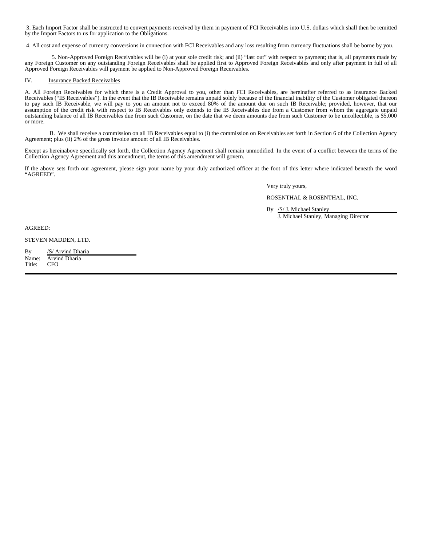3. Each Import Factor shall be instructed to convert payments received by them in payment of FCI Receivables into U.S. dollars which shall then be remitted by the Import Factors to us for application to the Obligations.

4. All cost and expense of currency conversions in connection with FCI Receivables and any loss resulting from currency fluctuations shall be borne by you.

 5. Non-Approved Foreign Receivables will be (i) at your sole credit risk; and (ii) "last out" with respect to payment; that is, all payments made by any Foreign Customer on any outstanding Foreign Receivables shall be applied first to Approved Foreign Receivables and only after payment in full of all Approved Foreign Receivables will payment be applied to Non-Approved Foreign Receivables.

### IV. Insurance Backed Receivables

A. All Foreign Receivables for which there is a Credit Approval to you, other than FCI Receivables, are hereinafter referred to as Insurance Backed Receivables ("IB Receivables"). In the event that the IB Receivable remains unpaid solely because of the financial inability of the Customer obligated thereon to pay such IB Receivable, we will pay to you an amount not to exceed 80% of the amount due on such IB Receivable; provided, however, that our assumption of the credit risk with respect to IB Receivables only extends to the IB Receivables due from a Customer from whom the aggregate unpaid outstanding balance of all IB Receivables due from such Customer, on the date that we deem amounts due from such Customer to be uncollectible, is \$5,000 or more.

B. We shall receive a commission on all IB Receivables equal to (i) the commission on Receivables set forth in Section 6 of the Collection Agency Agreement; plus (ii) 2% of the gross invoice amount of all IB Receivables.

Except as hereinabove specifically set forth, the Collection Agency Agreement shall remain unmodified. In the event of a conflict between the terms of the Collection Agency Agreement and this amendment, the terms of this amendment will govern.

If the above sets forth our agreement, please sign your name by your duly authorized officer at the foot of this letter where indicated beneath the word "AGREED".

Very truly yours,

ROSENTHAL & ROSENTHAL, INC.

By /S/ J. Michael Stanley J. Michael Stanley, Managing Director

AGREED:

STEVEN MADDEN, LTD.

By /S/ Arvind Dharia Name: Arvind Dharia<br>Title: CFO Title: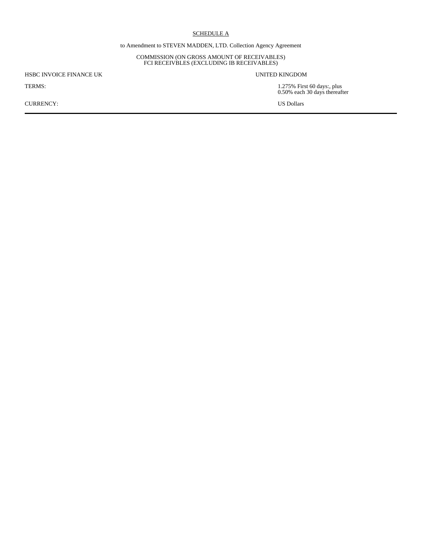# **SCHEDULE A**

# to Amendment to STEVEN MADDEN, LTD. Collection Agency Agreement

### COMMISSION (ON GROSS AMOUNT OF RECEIVABLES) FCI RECEIVBLES (EXCLUDING IB RECEIVABLES)

HSBC INVOICE FINANCE UK UNITED KINGDOM

CURRENCY: US Dollars

TERMS: 1.275% First 60 days:, plus 0.50% each 30 days thereafter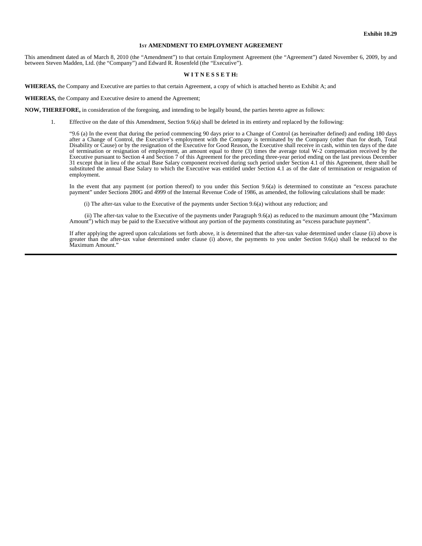### **1ST AMENDMENT TO EMPLOYMENT AGREEMENT**

This amendment dated as of March 8, 2010 (the "Amendment") to that certain Employment Agreement (the "Agreement") dated November 6, 2009, by and between Steven Madden, Ltd. (the "Company") and Edward R. Rosenfeld (the "Executive").

### **W I T N E S S E T H:**

**WHEREAS,** the Company and Executive are parties to that certain Agreement, a copy of which is attached hereto as Exhibit A; and

**WHEREAS,** the Company and Executive desire to amend the Agreement;

**NOW, THEREFORE,** in consideration of the foregoing, and intending to be legally bound, the parties hereto agree as follows:

1. Effective on the date of this Amendment, Section 9.6(a) shall be deleted in its entirety and replaced by the following:

"9.6 (a) In the event that during the period commencing 90 days prior to a Change of Control (as hereinafter defined) and ending 180 days after a Change of Control, the Executive's employment with the Company is terminated by the Company (other than for death, Total Disability or Cause) or by the resignation of the Executive for Good Reason, the Executive shall receive in cash, within ten days of the date of termination or resignation of employment, an amount equal to three (3) times the average total W-2 compensation received by the Executive pursuant to Section 4 and Section 7 of this Agreement for the preceding three-year period ending on the last previous December 31 except that in lieu of the actual Base Salary component received during such period under Section 4.1 of this Agreement, there shall be substituted the annual Base Salary to which the Executive was entitled under Section 4.1 as of the date of termination or resignation of employment.

In the event that any payment (or portion thereof) to you under this Section 9.6(a) is determined to constitute an "excess parachute payment" under Sections 280G and 4999 of the Internal Revenue Code of 1986, as amended, the following calculations shall be made:

(i) The after-tax value to the Executive of the payments under Section 9.6(a) without any reduction; and

 (ii) The after-tax value to the Executive of the payments under Paragraph 9.6(a) as reduced to the maximum amount (the "Maximum Amount") which may be paid to the Executive without any portion of the payments constituting an "excess parachute payment".

If after applying the agreed upon calculations set forth above, it is determined that the after-tax value determined under clause (ii) above is greater than the after-tax value determined under clause (i) above, the payments to you under Section 9.6(a) shall be reduced to the Maximum Amount."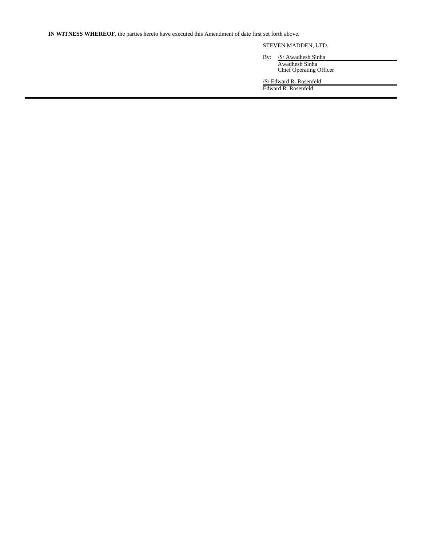**IN WITNESS WHEREOF**, the parties hereto have executed this Amendment of date first set forth above.

# STEVEN MADDEN, LTD.

By: /S/ Awadhesh Sinha Awadhesh Sinha Chief Operating Officer

/S/ Edward R. Rosenfeld Edward R. Rosenfeld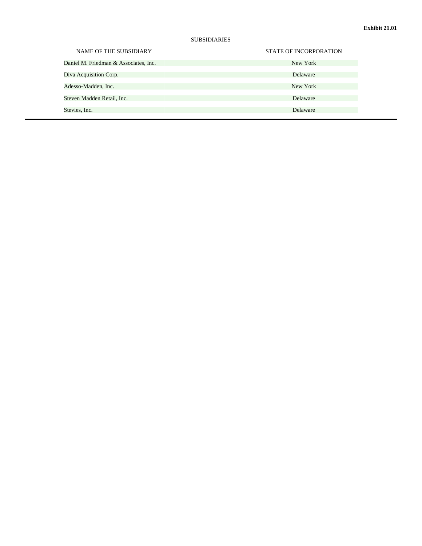# SUBSIDIARIES

| NAME OF THE SUBSIDIARY                | <b>STATE OF INCORPORATION</b> |
|---------------------------------------|-------------------------------|
| Daniel M. Friedman & Associates, Inc. | New York                      |
| Diva Acquisition Corp.                | Delaware                      |
| Adesso-Madden, Inc.                   | New York                      |
| Steven Madden Retail, Inc.            | Delaware                      |
| Stevies, Inc.                         | Delaware                      |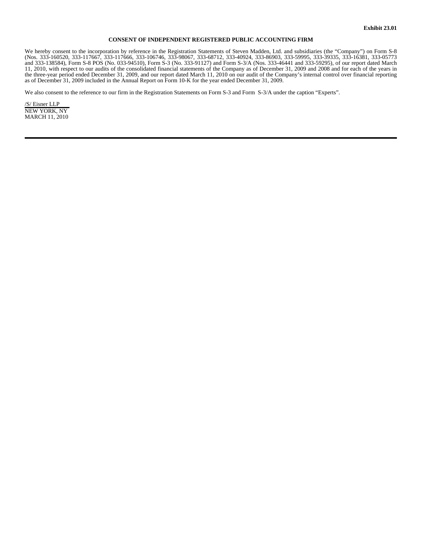### **CONSENT OF INDEPENDENT REGISTERED PUBLIC ACCOUNTING FIRM**

We hereby consent to the incorporation by reference in the Registration Statements of Steven Madden, Ltd. and subsidiaries (the "Company") on Form S-8 (Nos. 333-160520, 333-117667, 333-117666, 333-106746, 333-98067, 333-68712, 333-40924, 333-86903, 333-59995, 333-39335, 333-16381, 333-05773 and 333-138584), Form S-8 POS (No. 033-94510), Form S-3 (No. 333-91127) and Form S-3/A (Nos. 333-46441 and 333-59295), of our report dated March 11, 2010, with respect to our audits of the consolidated financial statements of the Company as of December 31, 2009 and 2008 and for each of the years in the three-year period ended December 31, 2009, and our report dated March 11, 2010 on our audit of the Company's internal control over financial reporting as of December 31, 2009 included in the Annual Report on Form 10-K for the year ended December 31, 2009.

We also consent to the reference to our firm in the Registration Statements on Form S-3 and Form S-3/A under the caption "Experts".

/S/ Eisner LLP NEW YORK, NY MARCH 11, 2010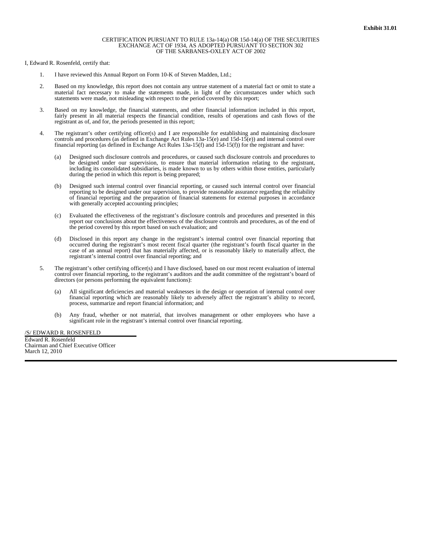#### CERTIFICATION PURSUANT TO RULE 13a-14(a) OR 15d-14(a) OF THE SECURITIES EXCHANGE ACT OF 1934, AS ADOPTED PURSUANT TO SECTION 302 OF THE SARBANES-OXLEY ACT OF 2002

I, Edward R. Rosenfeld, certify that:

- 1. I have reviewed this Annual Report on Form 10-K of Steven Madden, Ltd.;
- 2. Based on my knowledge, this report does not contain any untrue statement of a material fact or omit to state a material fact necessary to make the statements made, in light of the circumstances under which such statements were made, not misleading with respect to the period covered by this report;
- 3. Based on my knowledge, the financial statements, and other financial information included in this report, fairly present in all material respects the financial condition, results of operations and cash flows of the registrant as of, and for, the periods presented in this report;
- 4. The registrant's other certifying officer(s) and I are responsible for establishing and maintaining disclosure controls and procedures (as defined in Exchange Act Rules 13a-15(e) and 15d-15(e)) and internal control over financial reporting (as defined in Exchange Act Rules 13a-15(f) and 15d-15(f)) for the registrant and have:
	- (a) Designed such disclosure controls and procedures, or caused such disclosure controls and procedures to be designed under our supervision, to ensure that material information relating to the registrant, including its consolidated subsidiaries, is made known to us by others within those entities, particularly during the period in which this report is being prepared;
	- (b) Designed such internal control over financial reporting, or caused such internal control over financial reporting to be designed under our supervision, to provide reasonable assurance regarding the reliability of financial reporting and the preparation of financial statements for external purposes in accordance with generally accepted accounting principles;
	- (c) Evaluated the effectiveness of the registrant's disclosure controls and procedures and presented in this report our conclusions about the effectiveness of the disclosure controls and procedures, as of the end of the period covered by this report based on such evaluation; and
	- (d) Disclosed in this report any change in the registrant's internal control over financial reporting that occurred during the registrant's most recent fiscal quarter (the registrant's fourth fiscal quarter in the case of an annual report) that has materially affected, or is reasonably likely to materially affect, the registrant's internal control over financial reporting; and
- 5. The registrant's other certifying officer(s) and I have disclosed, based on our most recent evaluation of internal control over financial reporting, to the registrant's auditors and the audit committee of the registrant's board of directors (or persons performing the equivalent functions):
	- (a) All significant deficiencies and material weaknesses in the design or operation of internal control over financial reporting which are reasonably likely to adversely affect the registrant's ability to record, process, summarize and report financial information; and
	- (b) Any fraud, whether or not material, that involves management or other employees who have a significant role in the registrant's internal control over financial reporting.

/S/ EDWARD R. ROSENFELD Edward R. Rosenfeld Chairman and Chief Executive Officer March 12, 2010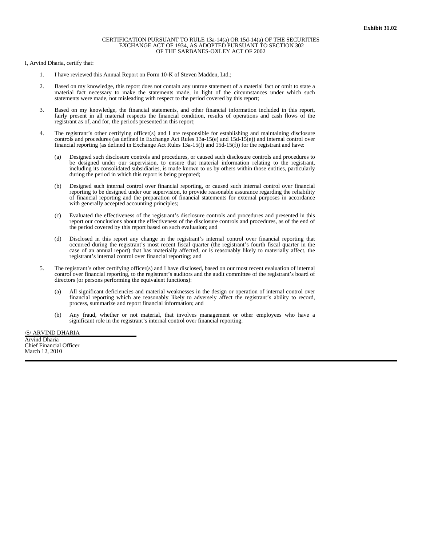#### CERTIFICATION PURSUANT TO RULE 13a-14(a) OR 15d-14(a) OF THE SECURITIES EXCHANGE ACT OF 1934, AS ADOPTED PURSUANT TO SECTION 302 OF THE SARBANES-OXLEY ACT OF 2002

I, Arvind Dharia, certify that:

- 1. I have reviewed this Annual Report on Form 10-K of Steven Madden, Ltd.;
- 2. Based on my knowledge, this report does not contain any untrue statement of a material fact or omit to state a material fact necessary to make the statements made, in light of the circumstances under which such statements were made, not misleading with respect to the period covered by this report;
- 3. Based on my knowledge, the financial statements, and other financial information included in this report, fairly present in all material respects the financial condition, results of operations and cash flows of the registrant as of, and for, the periods presented in this report;
- 4. The registrant's other certifying officer(s) and I are responsible for establishing and maintaining disclosure controls and procedures (as defined in Exchange Act Rules 13a-15(e) and 15d-15(e)) and internal control over financial reporting (as defined in Exchange Act Rules 13a-15(f) and 15d-15(f)) for the registrant and have:
	- (a) Designed such disclosure controls and procedures, or caused such disclosure controls and procedures to be designed under our supervision, to ensure that material information relating to the registrant, including its consolidated subsidiaries, is made known to us by others within those entities, particularly during the period in which this report is being prepared;
	- (b) Designed such internal control over financial reporting, or caused such internal control over financial reporting to be designed under our supervision, to provide reasonable assurance regarding the reliability of financial reporting and the preparation of financial statements for external purposes in accordance with generally accepted accounting principles;
	- (c) Evaluated the effectiveness of the registrant's disclosure controls and procedures and presented in this report our conclusions about the effectiveness of the disclosure controls and procedures, as of the end of the period covered by this report based on such evaluation; and
	- (d) Disclosed in this report any change in the registrant's internal control over financial reporting that occurred during the registrant's most recent fiscal quarter (the registrant's fourth fiscal quarter in the case of an annual report) that has materially affected, or is reasonably likely to materially affect, the registrant's internal control over financial reporting; and
- 5. The registrant's other certifying officer(s) and I have disclosed, based on our most recent evaluation of internal control over financial reporting, to the registrant's auditors and the audit committee of the registrant's board of directors (or persons performing the equivalent functions):
	- (a) All significant deficiencies and material weaknesses in the design or operation of internal control over financial reporting which are reasonably likely to adversely affect the registrant's ability to record, process, summarize and report financial information; and
	- (b) Any fraud, whether or not material, that involves management or other employees who have a significant role in the registrant's internal control over financial reporting.

/S/ ARVIND DHARIA Arvind Dharia Chief Financial Officer March 12, 2010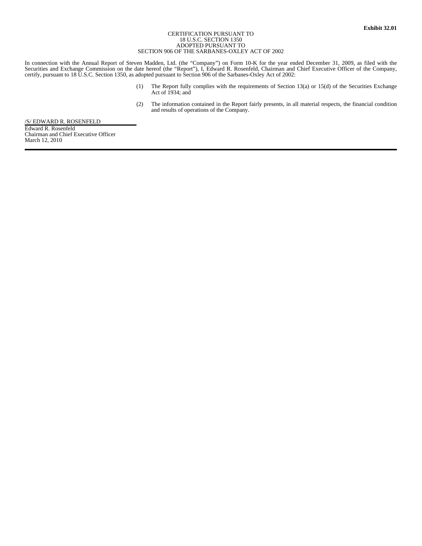#### CERTIFICATION PURSUANT TO 18 U.S.C. SECTION 1350 ADOPTED PURSUANT TO SECTION 906 OF THE SARBANES-OXLEY ACT OF 2002

In connection with the Annual Report of Steven Madden, Ltd. (the "Company") on Form 10-K for the year ended December 31, 2009, as filed with the Securities and Exchange Commission on the date hereof (the "Report"), I, Edward R. Rosenfeld, Chairman and Chief Executive Officer of the Company, certify, pursuant to 18 U.S.C. Section 1350, as adopted pursuant to Section 906 of the Sarbanes-Oxley Act of 2002:

- (1) The Report fully complies with the requirements of Section 13(a) or 15(d) of the Securities Exchange Act of 1934; and
- (2) The information contained in the Report fairly presents, in all material respects, the financial condition and results of operations of the Company.

/S/ EDWARD R. ROSENFELD Edward R. Rosenfeld Chairman and Chief Executive Officer March 12, 2010